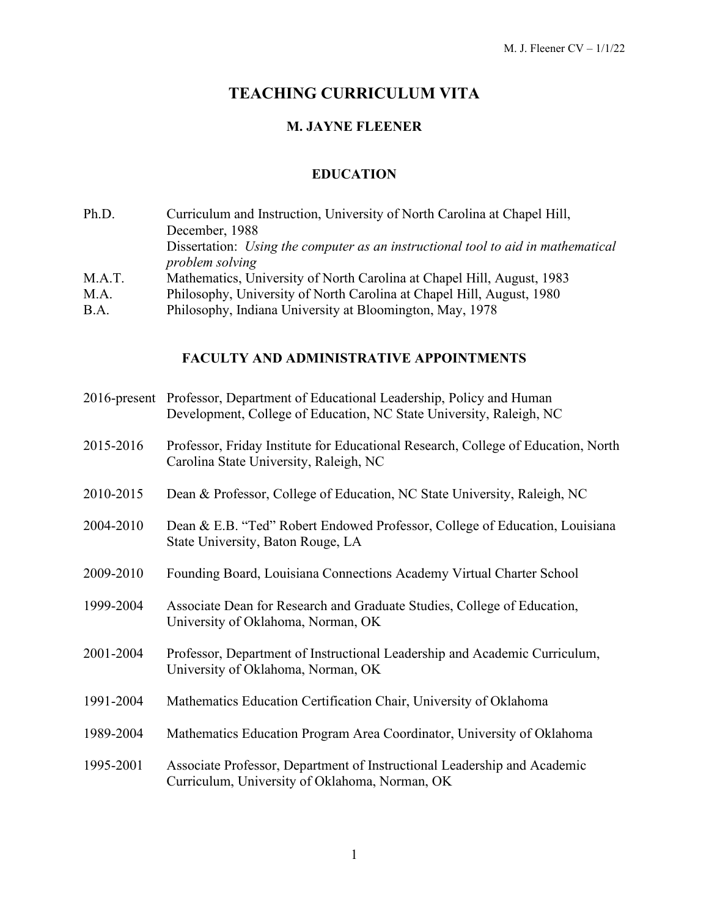# **TEACHING CURRICULUM VITA**

# **M. JAYNE FLEENER**

# **EDUCATION**

| Ph.D.  | Curriculum and Instruction, University of North Carolina at Chapel Hill,                |
|--------|-----------------------------------------------------------------------------------------|
|        | December, 1988                                                                          |
|        | Dissertation: <i>Using the computer as an instructional tool to aid in mathematical</i> |
|        | problem solving                                                                         |
| M.A.T. | Mathematics, University of North Carolina at Chapel Hill, August, 1983                  |
| M.A.   | Philosophy, University of North Carolina at Chapel Hill, August, 1980                   |
| B.A.   | Philosophy, Indiana University at Bloomington, May, 1978                                |

# **FACULTY AND ADMINISTRATIVE APPOINTMENTS**

|           | 2016-present Professor, Department of Educational Leadership, Policy and Human<br>Development, College of Education, NC State University, Raleigh, NC |
|-----------|-------------------------------------------------------------------------------------------------------------------------------------------------------|
| 2015-2016 | Professor, Friday Institute for Educational Research, College of Education, North<br>Carolina State University, Raleigh, NC                           |
| 2010-2015 | Dean & Professor, College of Education, NC State University, Raleigh, NC                                                                              |
| 2004-2010 | Dean & E.B. "Ted" Robert Endowed Professor, College of Education, Louisiana<br>State University, Baton Rouge, LA                                      |
| 2009-2010 | Founding Board, Louisiana Connections Academy Virtual Charter School                                                                                  |
| 1999-2004 | Associate Dean for Research and Graduate Studies, College of Education,<br>University of Oklahoma, Norman, OK                                         |
| 2001-2004 | Professor, Department of Instructional Leadership and Academic Curriculum,<br>University of Oklahoma, Norman, OK                                      |
| 1991-2004 | Mathematics Education Certification Chair, University of Oklahoma                                                                                     |
| 1989-2004 | Mathematics Education Program Area Coordinator, University of Oklahoma                                                                                |
| 1995-2001 | Associate Professor, Department of Instructional Leadership and Academic<br>Curriculum, University of Oklahoma, Norman, OK                            |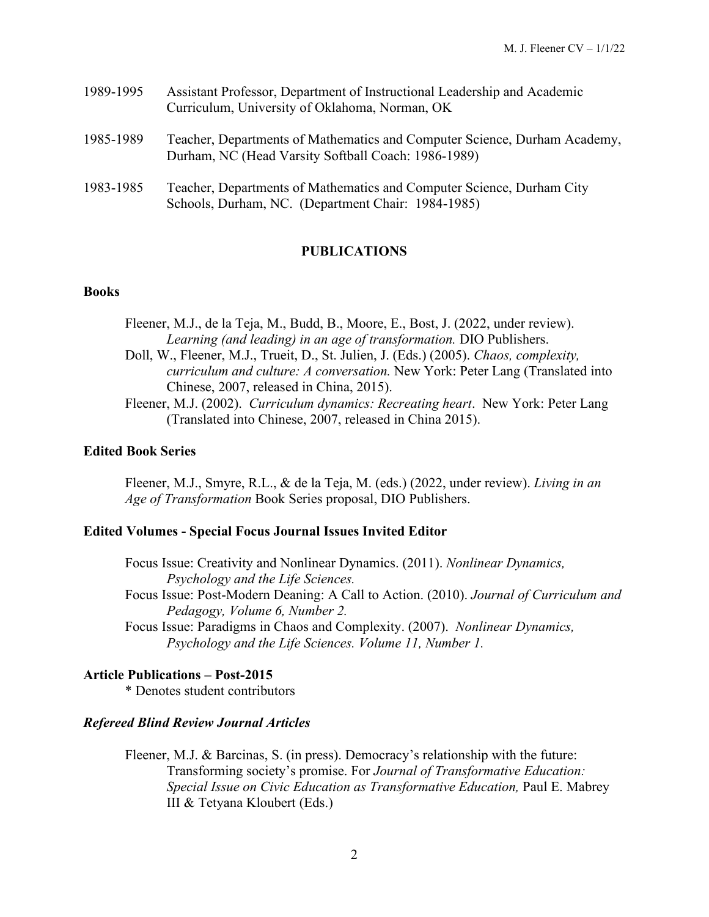| 1989-1995 | Assistant Professor, Department of Instructional Leadership and Academic<br>Curriculum, University of Oklahoma, Norman, OK       |
|-----------|----------------------------------------------------------------------------------------------------------------------------------|
| 1985-1989 | Teacher, Departments of Mathematics and Computer Science, Durham Academy,<br>Durham, NC (Head Varsity Softball Coach: 1986-1989) |
| 1983-1985 | Teacher, Departments of Mathematics and Computer Science, Durham City<br>Schools, Durham, NC. (Department Chair: 1984-1985)      |

### **PUBLICATIONS**

#### **Books**

Fleener, M.J., de la Teja, M., Budd, B., Moore, E., Bost, J. (2022, under review). *Learning (and leading) in an age of transformation.* DIO Publishers. Doll, W., Fleener, M.J., Trueit, D., St. Julien, J. (Eds.) (2005). *Chaos, complexity, curriculum and culture: A conversation.* New York: Peter Lang (Translated into Chinese, 2007, released in China, 2015). Fleener, M.J. (2002). *Curriculum dynamics: Recreating heart*. New York: Peter Lang

(Translated into Chinese, 2007, released in China 2015).

#### **Edited Book Series**

Fleener, M.J., Smyre, R.L., & de la Teja, M. (eds.) (2022, under review). *Living in an Age of Transformation* Book Series proposal, DIO Publishers.

#### **Edited Volumes - Special Focus Journal Issues Invited Editor**

Focus Issue: Creativity and Nonlinear Dynamics. (2011). *Nonlinear Dynamics, Psychology and the Life Sciences.*  Focus Issue: Post-Modern Deaning: A Call to Action. (2010). *Journal of Curriculum and Pedagogy, Volume 6, Number 2.* Focus Issue: Paradigms in Chaos and Complexity. (2007). *Nonlinear Dynamics, Psychology and the Life Sciences. Volume 11, Number 1.*

#### **Article Publications – Post-2015**

\* Denotes student contributors

#### *Refereed Blind Review Journal Articles*

Fleener, M.J. & Barcinas, S. (in press). Democracy's relationship with the future: Transforming society's promise. For *Journal of Transformative Education: Special Issue on Civic Education as Transformative Education,* Paul E. Mabrey III & Tetyana Kloubert (Eds.)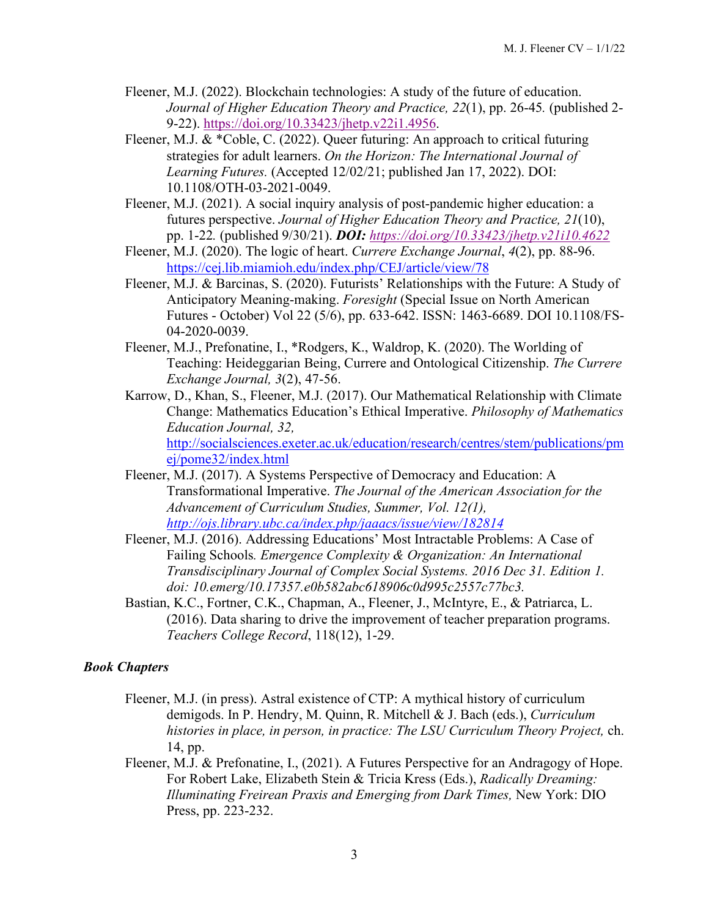- Fleener, M.J. (2022). Blockchain technologies: A study of the future of education. *Journal of Higher Education Theory and Practice, 22*(1), pp. 26-45*.* (published 2- 9-22). [https://doi.org/10.33423/jhetp.v22i1.4956.](https://doi.org/10.33423/jhetp.v22i1.4956)
- Fleener, M.J. & \*Coble, C. (2022). Queer futuring: An approach to critical futuring strategies for adult learners. *On the Horizon: The International Journal of Learning Futures.* (Accepted 12/02/21; published Jan 17, 2022). DOI: 10.1108/OTH-03-2021-0049.
- Fleener, M.J. (2021). A social inquiry analysis of post-pandemic higher education: a futures perspective. *Journal of Higher Education Theory and Practice, 21*(10), pp. 1-22*.* (published 9/30/21). *DOI: <https://doi.org/10.33423/jhetp.v21i10.4622>*
- Fleener, M.J. (2020). The logic of heart. *Currere Exchange Journal*, *4*(2), pp. 88-96. <https://cej.lib.miamioh.edu/index.php/CEJ/article/view/78>
- Fleener, M.J. & Barcinas, S. (2020). Futurists' Relationships with the Future: A Study of Anticipatory Meaning-making. *Foresight* (Special Issue on North American Futures - October) Vol 22 (5/6), pp. 633-642. ISSN: 1463-6689. DOI 10.1108/FS-04-2020-0039.
- Fleener, M.J., Prefonatine, I., \*Rodgers, K., Waldrop, K. (2020). The Worlding of Teaching: Heideggarian Being, Currere and Ontological Citizenship. *The Currere Exchange Journal, 3*(2), 47-56.
- Karrow, D., Khan, S., Fleener, M.J. (2017). Our Mathematical Relationship with Climate Change: Mathematics Education's Ethical Imperative. *Philosophy of Mathematics Education Journal, 32,*  [http://socialsciences.exeter.ac.uk/education/research/centres/stem/publications/pm](http://socialsciences.exeter.ac.uk/education/research/centres/stem/publications/pmej/pome32/index.html) [ej/pome32/index.html](http://socialsciences.exeter.ac.uk/education/research/centres/stem/publications/pmej/pome32/index.html)
- Fleener, M.J. (2017). A Systems Perspective of Democracy and Education: A Transformational Imperative. *The Journal of the American Association for the Advancement of Curriculum Studies, Summer, Vol. 12(1), <http://ojs.library.ubc.ca/index.php/jaaacs/issue/view/182814>*
- Fleener, M.J. (2016). Addressing Educations' Most Intractable Problems: A Case of Failing Schools*. Emergence Complexity & Organization: An International Transdisciplinary Journal of Complex Social Systems. 2016 Dec 31. Edition 1. doi: 10.emerg/10.17357.e0b582abc618906c0d995c2557c77bc3.*
- Bastian, K.C., Fortner, C.K., Chapman, A., Fleener, J., McIntyre, E., & Patriarca, L. (2016). Data sharing to drive the improvement of teacher preparation programs. *Teachers College Record*, 118(12), 1-29.

### *Book Chapters*

- Fleener, M.J. (in press). Astral existence of CTP: A mythical history of curriculum demigods. In P. Hendry, M. Quinn, R. Mitchell & J. Bach (eds.), *Curriculum histories in place, in person, in practice: The LSU Curriculum Theory Project,* ch. 14, pp.
- Fleener, M.J. & Prefonatine, I., (2021). A Futures Perspective for an Andragogy of Hope. For Robert Lake, Elizabeth Stein & Tricia Kress (Eds.), *Radically Dreaming: Illuminating Freirean Praxis and Emerging from Dark Times,* New York: DIO Press, pp. 223-232.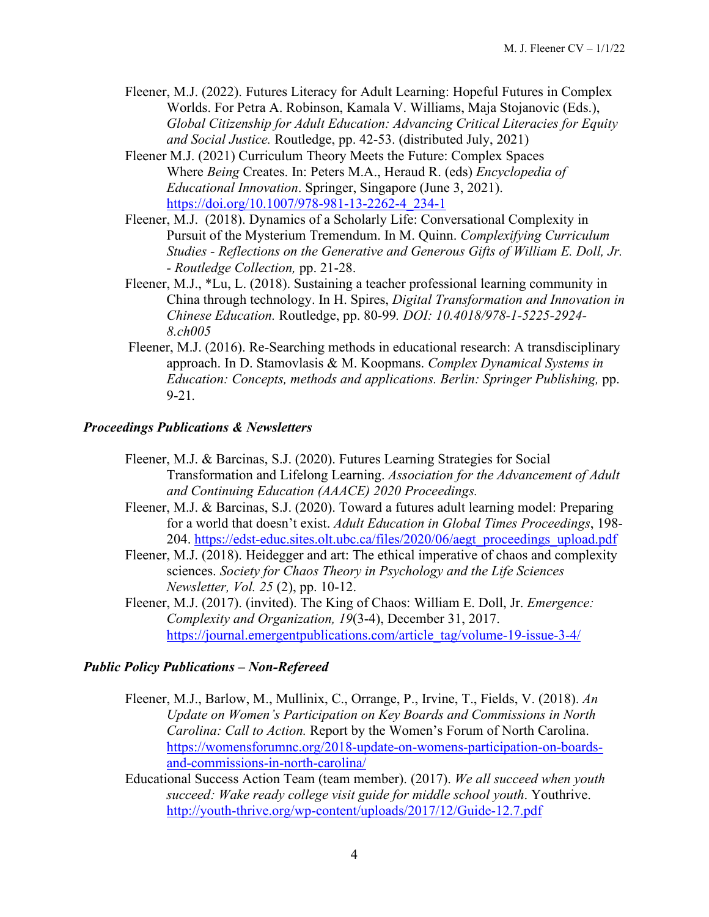- Fleener, M.J. (2022). Futures Literacy for Adult Learning: Hopeful Futures in Complex Worlds. For Petra A. Robinson, Kamala V. Williams, Maja Stojanovic (Eds.), *Global Citizenship for Adult Education: Advancing Critical Literacies for Equity and Social Justice.* Routledge, pp. 42-53. (distributed July, 2021)
- Fleener M.J. (2021) Curriculum Theory Meets the Future: Complex Spaces Where *Being* Creates. In: Peters M.A., Heraud R. (eds) *Encyclopedia of Educational Innovation*. Springer, Singapore (June 3, 2021). [https://doi.org/10.1007/978-981-13-2262-4\\_234-1](https://doi.org/10.1007/978-981-13-2262-4_234-1)
- Fleener, M.J. (2018). Dynamics of a Scholarly Life: Conversational Complexity in Pursuit of the Mysterium Tremendum. In M. Quinn. *Complexifying Curriculum Studies - Reflections on the Generative and Generous Gifts of William E. Doll, Jr. - Routledge Collection,* pp. 21-28.
- Fleener, M.J., \*Lu, L. (2018). Sustaining a teacher professional learning community in China through technology. In H. Spires, *Digital Transformation and Innovation in Chinese Education.* Routledge, pp. 80-99*. DOI: 10.4018/978-1-5225-2924- 8.ch005*
- Fleener, M.J. (2016). Re-Searching methods in educational research: A transdisciplinary approach. In D. Stamovlasis & M. Koopmans. *Complex Dynamical Systems in Education: Concepts, methods and applications. Berlin: Springer Publishing, pp.* 9-21*.*

### *Proceedings Publications & Newsletters*

- Fleener, M.J. & Barcinas, S.J. (2020). Futures Learning Strategies for Social Transformation and Lifelong Learning. *Association for the Advancement of Adult and Continuing Education (AAACE) 2020 Proceedings.*
- Fleener, M.J. & Barcinas, S.J. (2020). Toward a futures adult learning model: Preparing for a world that doesn't exist. *Adult Education in Global Times Proceedings*, 198- 204. https://edst-educ.sites.olt.ubc.ca/files/2020/06/aegt\_proceedings\_upload.pdf
- Fleener, M.J. (2018). Heidegger and art: The ethical imperative of chaos and complexity sciences. *Society for Chaos Theory in Psychology and the Life Sciences Newsletter, Vol. 25* (2), pp. 10-12.
- Fleener, M.J. (2017). (invited). The King of Chaos: William E. Doll, Jr. *[Emergence:](https://journal.emergentpublications.com/article_tag/volume-19-issue-3-4/)  Complexity and Organization, 19*(3-4), December 31, 2017. [https://journal.emergentpublications.com/article\\_tag/volume-19-issue-3-4/](https://journal.emergentpublications.com/article_tag/volume-19-issue-3-4/)

### *Public Policy Publications – Non-Refereed*

- Fleener, M.J., Barlow, M., Mullinix, C., Orrange, P., Irvine, T., Fields, V. (2018). *An Update on Women's Participation on Key Boards and Commissions in North Carolina: Call to Action.* Report by the Women's Forum of North Carolina. [https://womensforumnc.org/2018-update-on-womens-participation-on-boards](https://womensforumnc.org/2018-update-on-womens-participation-on-boards-and-commissions-in-north-carolina/)[and-commissions-in-north-carolina/](https://womensforumnc.org/2018-update-on-womens-participation-on-boards-and-commissions-in-north-carolina/)
- Educational Success Action Team (team member). (2017). *We all succeed when youth succeed: Wake ready college visit guide for middle school youth*. Youthrive. <http://youth-thrive.org/wp-content/uploads/2017/12/Guide-12.7.pdf>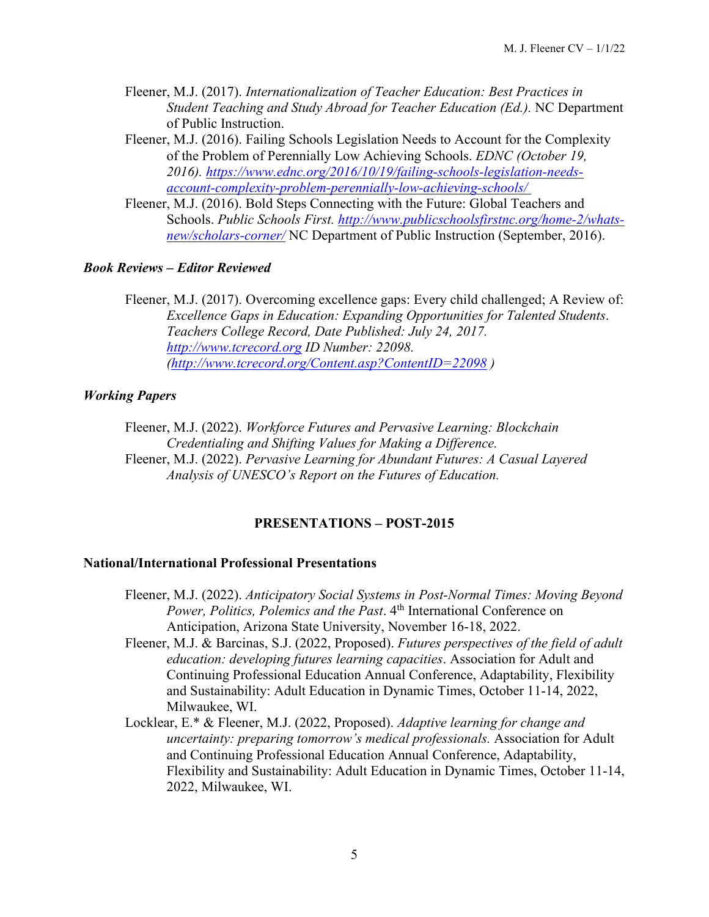- Fleener, M.J. (2017). *Internationalization of Teacher Education: Best Practices in Student Teaching and Study Abroad for Teacher Education (Ed.).* NC Department of Public Instruction.
- Fleener, M.J. (2016). Failing Schools Legislation Needs to Account for the Complexity of the Problem of Perennially Low Achieving Schools. *EDNC (October 19, 2016). [https://www.ednc.org/2016/10/19/failing-schools-legislation-needs](https://www.ednc.org/2016/10/19/failing-schools-legislation-needs-account-complexity-problem-perennially-low-achieving-schools/%C2%A0)[account-complexity-problem-perennially-low-achieving-schools/](https://www.ednc.org/2016/10/19/failing-schools-legislation-needs-account-complexity-problem-perennially-low-achieving-schools/%C2%A0)*
- Fleener, M.J. (2016). Bold Steps Connecting with the Future: Global Teachers and Schools. *Public Schools First. [http://www.publicschoolsfirstnc.org/home-2/whats](http://www.publicschoolsfirstnc.org/home-2/whats-new/scholars-corner/)[new/scholars-corner/](http://www.publicschoolsfirstnc.org/home-2/whats-new/scholars-corner/)* NC Department of Public Instruction (September, 2016).

### *Book Reviews – Editor Reviewed*

Fleener, M.J. (2017). Overcoming excellence gaps: Every child challenged; A Review of: *Excellence Gaps in Education: Expanding Opportunities for Talented Students*. *Teachers College Record, Date Published: July 24, 2017. [http://www.tcrecord.org](http://www.tcrecord.org/Home.asp) ID Number: 22098. [\(http://www.tcrecord.org/Content.asp?ContentID=22098](http://www.tcrecord.org/Content.asp?ContentID=22098) )* 

# *Working Papers*

Fleener, M.J. (2022). *Workforce Futures and Pervasive Learning: Blockchain Credentialing and Shifting Values for Making a Difference.*  Fleener, M.J. (2022). *Pervasive Learning for Abundant Futures: A Casual Layered Analysis of UNESCO's Report on the Futures of Education.* 

# **PRESENTATIONS – POST-2015**

# **National/International Professional Presentations**

- Fleener, M.J. (2022). *Anticipatory Social Systems in Post-Normal Times: Moving Beyond Power, Politics, Polemics and the Past*. 4<sup>th</sup> International Conference on Anticipation, Arizona State University, November 16-18, 2022.
- Fleener, M.J. & Barcinas, S.J. (2022, Proposed). *Futures perspectives of the field of adult education: developing futures learning capacities*. Association for Adult and Continuing Professional Education Annual Conference, Adaptability, Flexibility and Sustainability: Adult Education in Dynamic Times, October 11-14, 2022, Milwaukee, WI.
- Locklear, E.\* & Fleener, M.J. (2022, Proposed). *Adaptive learning for change and uncertainty: preparing tomorrow's medical professionals.* Association for Adult and Continuing Professional Education Annual Conference, Adaptability, Flexibility and Sustainability: Adult Education in Dynamic Times, October 11-14, 2022, Milwaukee, WI.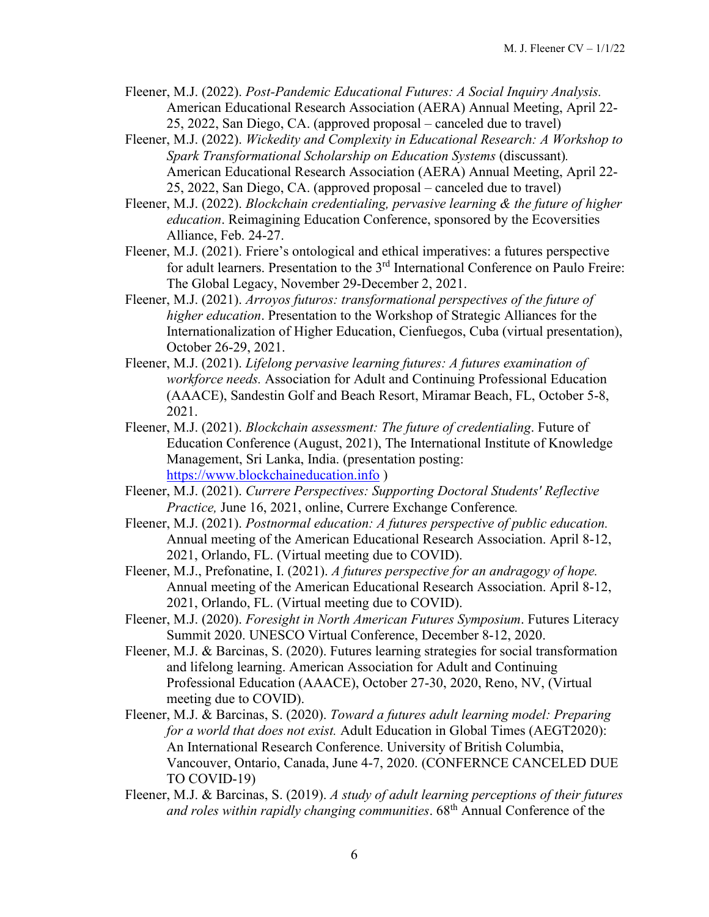- Fleener, M.J. (2022). *Post-Pandemic Educational Futures: A Social Inquiry Analysis.*  American Educational Research Association (AERA) Annual Meeting, April 22- 25, 2022, San Diego, CA. (approved proposal – canceled due to travel)
- Fleener, M.J. (2022). *Wickedity and Complexity in Educational Research: A Workshop to Spark Transformational Scholarship on Education Systems* (discussant)*.*  American Educational Research Association (AERA) Annual Meeting, April 22- 25, 2022, San Diego, CA. (approved proposal – canceled due to travel)
- Fleener, M.J. (2022). *Blockchain credentialing, pervasive learning & the future of higher education*. Reimagining Education Conference, sponsored by the Ecoversities Alliance, Feb. 24-27.
- Fleener, M.J. (2021). Friere's ontological and ethical imperatives: a futures perspective for adult learners. Presentation to the 3<sup>rd</sup> International Conference on Paulo Freire: The Global Legacy, November 29-December 2, 2021.
- Fleener, M.J. (2021). *Arroyos futuros: transformational perspectives of the future of higher education*. Presentation to the Workshop of Strategic Alliances for the Internationalization of Higher Education, Cienfuegos, Cuba (virtual presentation), October 26-29, 2021.
- Fleener, M.J. (2021). *Lifelong pervasive learning futures: A futures examination of workforce needs.* Association for Adult and Continuing Professional Education (AAACE), Sandestin Golf and Beach Resort, Miramar Beach, FL, October 5-8, 2021.
- Fleener, M.J. (2021). *Blockchain assessment: The future of credentialing*. Future of Education Conference (August, 2021), The International Institute of Knowledge Management, Sri Lanka, India. (presentation posting: [https://www.blockchaineducation.info](https://www.blockchaineducation.info/) )
- Fleener, M.J. (2021). *Currere Perspectives: Supporting Doctoral Students' Reflective Practice,* June 16, 2021, online, Currere Exchange Conference*.*
- Fleener, M.J. (2021). *Postnormal education: A futures perspective of public education.*  Annual meeting of the American Educational Research Association. April 8-12, 2021, Orlando, FL. (Virtual meeting due to COVID).
- Fleener, M.J., Prefonatine, I. (2021). *A futures perspective for an andragogy of hope.*  Annual meeting of the American Educational Research Association. April 8-12, 2021, Orlando, FL. (Virtual meeting due to COVID).
- Fleener, M.J. (2020). *Foresight in North American Futures Symposium*. Futures Literacy Summit 2020. UNESCO Virtual Conference, December 8-12, 2020.
- Fleener, M.J. & Barcinas, S. (2020). Futures learning strategies for social transformation and lifelong learning. American Association for Adult and Continuing Professional Education (AAACE), October 27-30, 2020, Reno, NV, (Virtual meeting due to COVID).
- Fleener, M.J. & Barcinas, S. (2020). *Toward a futures adult learning model: Preparing for a world that does not exist.* Adult Education in Global Times (AEGT2020): An International Research Conference. University of British Columbia, Vancouver, Ontario, Canada, June 4-7, 2020. (CONFERNCE CANCELED DUE TO COVID-19)
- Fleener, M.J. & Barcinas, S. (2019). *A study of adult learning perceptions of their futures and roles within rapidly changing communities*. 68th Annual Conference of the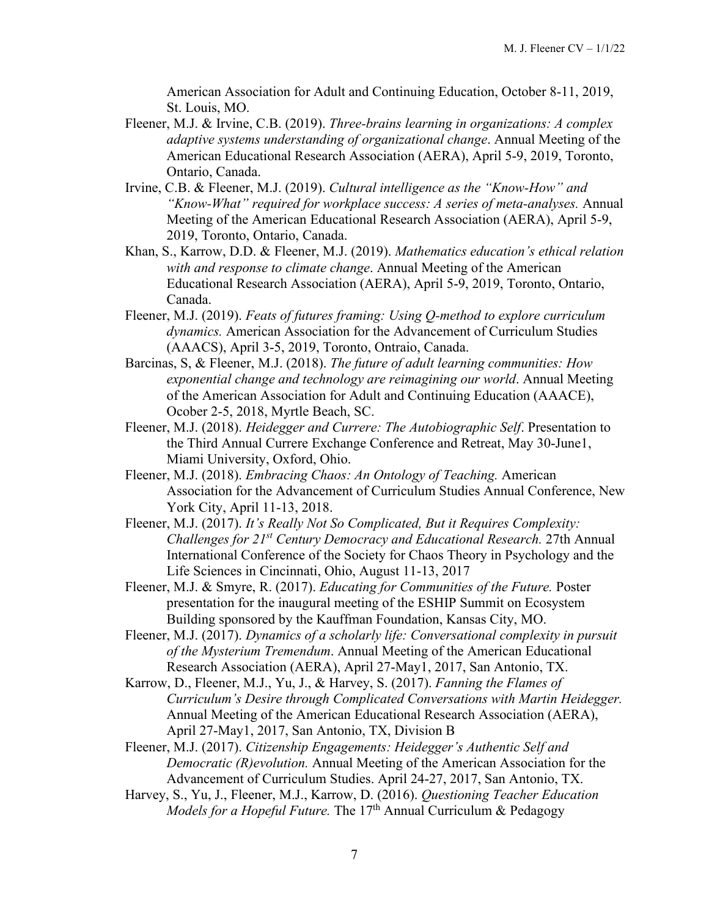American Association for Adult and Continuing Education, October 8-11, 2019, St. Louis, MO.

- Fleener, M.J. & Irvine, C.B. (2019). *Three-brains learning in organizations: A complex adaptive systems understanding of organizational change*. Annual Meeting of the American Educational Research Association (AERA), April 5-9, 2019, Toronto, Ontario, Canada.
- Irvine, C.B. & Fleener, M.J. (2019). *Cultural intelligence as the "Know-How" and "Know-What" required for workplace success: A series of meta-analyses.* Annual Meeting of the American Educational Research Association (AERA), April 5-9, 2019, Toronto, Ontario, Canada.
- Khan, S., Karrow, D.D. & Fleener, M.J. (2019). *Mathematics education's ethical relation with and response to climate change*. Annual Meeting of the American Educational Research Association (AERA), April 5-9, 2019, Toronto, Ontario, Canada.
- Fleener, M.J. (2019). *Feats of futures framing: Using Q-method to explore curriculum dynamics.* American Association for the Advancement of Curriculum Studies (AAACS), April 3-5, 2019, Toronto, Ontraio, Canada.
- Barcinas, S, & Fleener, M.J. (2018). *The future of adult learning communities: How exponential change and technology are reimagining our world*. Annual Meeting of the American Association for Adult and Continuing Education (AAACE), Ocober 2-5, 2018, Myrtle Beach, SC.
- Fleener, M.J. (2018). *Heidegger and Currere: The Autobiographic Self*. Presentation to the Third Annual Currere Exchange Conference and Retreat, May 30-June1, Miami University, Oxford, Ohio.
- Fleener, M.J. (2018). *Embracing Chaos: An Ontology of Teaching.* American Association for the Advancement of Curriculum Studies Annual Conference, New York City, April 11-13, 2018.
- Fleener, M.J. (2017). *It's Really Not So Complicated, But it Requires Complexity: Challenges for 21st Century Democracy and Educational Research.* 27th Annual International Conference of the Society for Chaos Theory in Psychology and the Life Sciences in Cincinnati, Ohio, August 11-13, 2017
- Fleener, M.J. & Smyre, R. (2017). *Educating for Communities of the Future.* Poster presentation for the inaugural meeting of the ESHIP Summit on Ecosystem Building sponsored by the Kauffman Foundation, Kansas City, MO.
- Fleener, M.J. (2017). *Dynamics of a scholarly life: Conversational complexity in pursuit of the Mysterium Tremendum*. Annual Meeting of the American Educational Research Association (AERA), April 27-May1, 2017, San Antonio, TX.
- Karrow, D., Fleener, M.J., Yu, J., & Harvey, S. (2017). *Fanning the Flames of Curriculum's Desire through Complicated Conversations with Martin Heidegger.*  Annual Meeting of the American Educational Research Association (AERA), April 27-May1, 2017, San Antonio, TX, Division B
- Fleener, M.J. (2017). *Citizenship Engagements: Heidegger's Authentic Self and Democratic (R)evolution.* Annual Meeting of the American Association for the Advancement of Curriculum Studies. April 24-27, 2017, San Antonio, TX.
- Harvey, S., Yu, J., Fleener, M.J., Karrow, D. (2016). *Questioning Teacher Education Models for a Hopeful Future.* The 17<sup>th</sup> Annual Curriculum & Pedagogy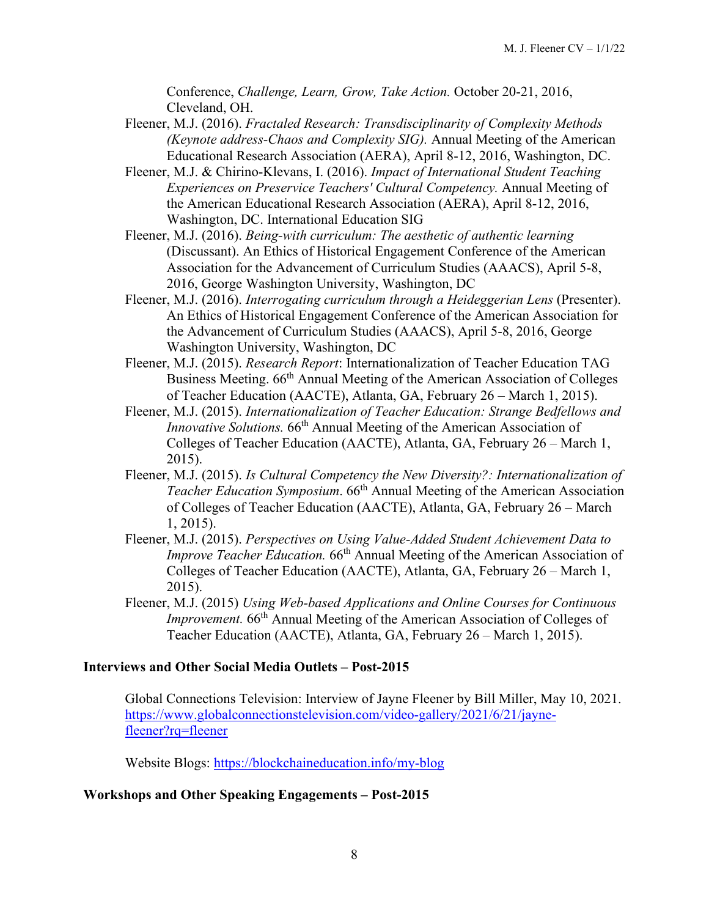Conference, *Challenge, Learn, Grow, Take Action.* October 20-21, 2016, Cleveland, OH.

- Fleener, M.J. (2016). *Fractaled Research: Transdisciplinarity of Complexity Methods (Keynote address-Chaos and Complexity SIG).* Annual Meeting of the American Educational Research Association (AERA), April 8-12, 2016, Washington, DC.
- Fleener, M.J. & Chirino-Klevans, I. (2016). *Impact of International Student Teaching Experiences on Preservice Teachers' Cultural Competency.* Annual Meeting of the American Educational Research Association (AERA), April 8-12, 2016, Washington, DC. International Education SIG
- Fleener, M.J. (2016). *Being-with curriculum: The aesthetic of authentic learning*  (Discussant). An Ethics of Historical Engagement Conference of the American Association for the Advancement of Curriculum Studies (AAACS), April 5-8, 2016, George Washington University, Washington, DC
- Fleener, M.J. (2016). *Interrogating curriculum through a Heideggerian Lens* (Presenter). An Ethics of Historical Engagement Conference of the American Association for the Advancement of Curriculum Studies (AAACS), April 5-8, 2016, George Washington University, Washington, DC
- Fleener, M.J. (2015). *Research Report*: Internationalization of Teacher Education TAG Business Meeting. 66<sup>th</sup> Annual Meeting of the American Association of Colleges of Teacher Education (AACTE), Atlanta, GA, February 26 – March 1, 2015).
- Fleener, M.J. (2015). *Internationalization of Teacher Education: Strange Bedfellows and Innovative Solutions.* 66<sup>th</sup> Annual Meeting of the American Association of Colleges of Teacher Education (AACTE), Atlanta, GA, February 26 – March 1, 2015).
- Fleener, M.J. (2015). *Is Cultural Competency the New Diversity?: Internationalization of Teacher Education Symposium.* 66<sup>th</sup> Annual Meeting of the American Association of Colleges of Teacher Education (AACTE), Atlanta, GA, February 26 – March 1, 2015).
- Fleener, M.J. (2015). *Perspectives on Using Value-Added Student Achievement Data to Improve Teacher Education.* 66<sup>th</sup> Annual Meeting of the American Association of Colleges of Teacher Education (AACTE), Atlanta, GA, February 26 – March 1, 2015).
- Fleener, M.J. (2015) *Using Web-based Applications and Online Courses for Continuous Improvement.* 66<sup>th</sup> Annual Meeting of the American Association of Colleges of Teacher Education (AACTE), Atlanta, GA, February 26 – March 1, 2015).

# **Interviews and Other Social Media Outlets – Post-2015**

Global Connections Television: Interview of Jayne Fleener by Bill Miller, May 10, 2021. [https://www.globalconnectionstelevision.com/video-gallery/2021/6/21/jayne](https://www.globalconnectionstelevision.com/video-gallery/2021/6/21/jayne-fleener?rq=fleener)[fleener?rq=fleener](https://www.globalconnectionstelevision.com/video-gallery/2021/6/21/jayne-fleener?rq=fleener)

Website Blogs:<https://blockchaineducation.info/my-blog>

# **Workshops and Other Speaking Engagements – Post-2015**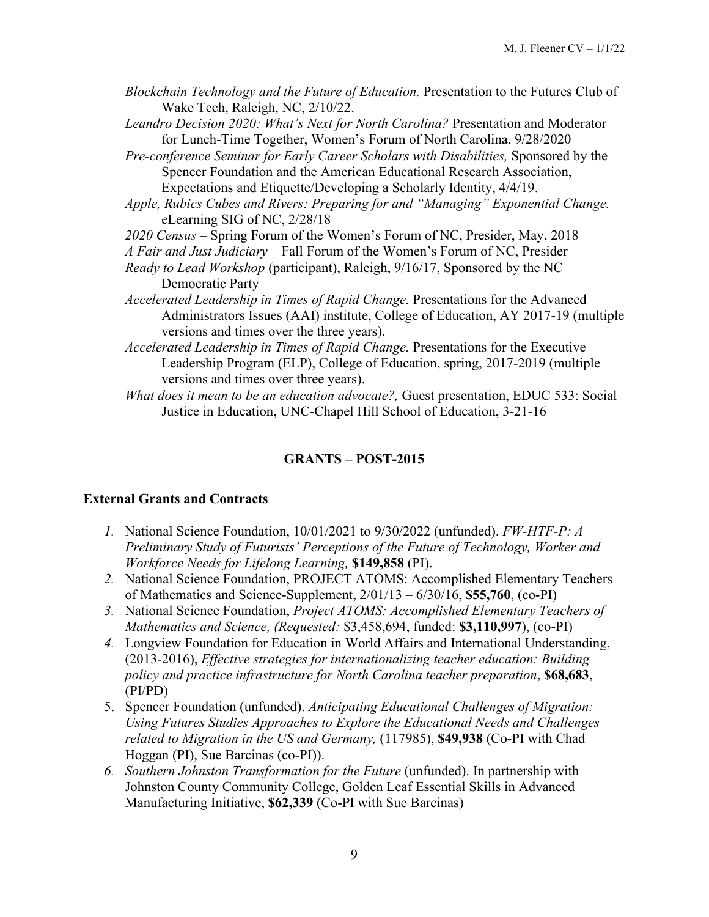- *Blockchain Technology and the Future of Education.* Presentation to the Futures Club of Wake Tech, Raleigh, NC, 2/10/22.
- *Leandro Decision 2020: What's Next for North Carolina?* Presentation and Moderator for Lunch-Time Together, Women's Forum of North Carolina, 9/28/2020
- *Pre-conference Seminar for Early Career Scholars with Disabilities,* Sponsored by the Spencer Foundation and the American Educational Research Association, Expectations and Etiquette/Developing a Scholarly Identity, 4/4/19.
- *Apple, Rubics Cubes and Rivers: Preparing for and "Managing" Exponential Change.*  eLearning SIG of NC, 2/28/18
- *2020 Census –* Spring Forum of the Women's Forum of NC, Presider, May, 2018
- *A Fair and Just Judiciary*  Fall Forum of the Women's Forum of NC, Presider
- *Ready to Lead Workshop* (participant), Raleigh, 9/16/17, Sponsored by the NC Democratic Party
- *Accelerated Leadership in Times of Rapid Change.* Presentations for the Advanced Administrators Issues (AAI) institute, College of Education, AY 2017-19 (multiple versions and times over the three years).
- *Accelerated Leadership in Times of Rapid Change.* Presentations for the Executive Leadership Program (ELP), College of Education, spring, 2017-2019 (multiple versions and times over three years).
- *What does it mean to be an education advocate?,* Guest presentation, EDUC 533: Social Justice in Education, UNC-Chapel Hill School of Education, 3-21-16

# **GRANTS – POST-2015**

# **External Grants and Contracts**

- *1.* National Science Foundation, 10/01/2021 to 9/30/2022 (unfunded). *FW-HTF-P: A Preliminary Study of Futurists' Perceptions of the Future of Technology, Worker and Workforce Needs for Lifelong Learning,* **\$149,858** (PI).
- *2.* National Science Foundation, PROJECT ATOMS: Accomplished Elementary Teachers of Mathematics and Science-Supplement, 2/01/13 – 6/30/16, **\$55,760**, (co-PI)
- *3.* National Science Foundation, *Project ATOMS: Accomplished Elementary Teachers of Mathematics and Science, (Requested:* \$3,458,694, funded: **\$3,110,997**), (co-PI)
- *4.* Longview Foundation for Education in World Affairs and International Understanding, (2013-2016), *Effective strategies for internationalizing teacher education: Building policy and practice infrastructure for North Carolina teacher preparation*, **\$68,683**, (PI/PD)
- 5. Spencer Foundation (unfunded). *Anticipating Educational Challenges of Migration: Using Futures Studies Approaches to Explore the Educational Needs and Challenges related to Migration in the US and Germany,* (117985), **\$49,938** (Co-PI with Chad Hoggan (PI), Sue Barcinas (co-PI)).
- *6. Southern Johnston Transformation for the Future* (unfunded). In partnership with Johnston County Community College, Golden Leaf Essential Skills in Advanced Manufacturing Initiative, **\$62,339** (Co-PI with Sue Barcinas)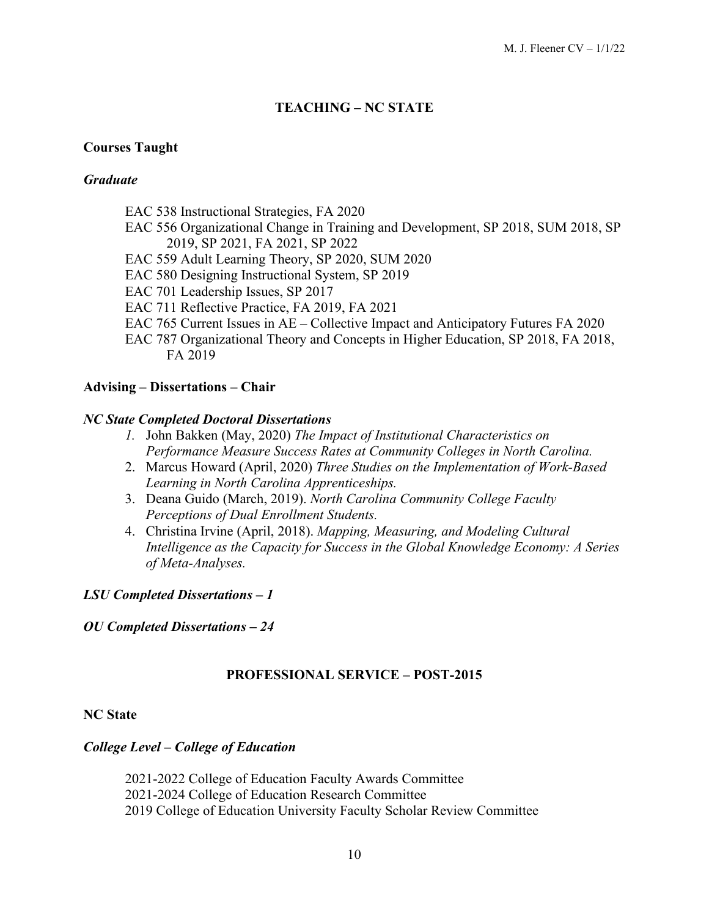# **TEACHING – NC STATE**

## **Courses Taught**

### *Graduate*

- EAC 538 Instructional Strategies, FA 2020
- EAC 556 Organizational Change in Training and Development, SP 2018, SUM 2018, SP 2019, SP 2021, FA 2021, SP 2022
- EAC 559 Adult Learning Theory, SP 2020, SUM 2020
- EAC 580 Designing Instructional System, SP 2019
- EAC 701 Leadership Issues, SP 2017
- EAC 711 Reflective Practice, FA 2019, FA 2021
- EAC 765 Current Issues in AE Collective Impact and Anticipatory Futures FA 2020
- EAC 787 Organizational Theory and Concepts in Higher Education, SP 2018, FA 2018, FA 2019

### **Advising – Dissertations – Chair**

### *NC State Completed Doctoral Dissertations*

- *1.* John Bakken (May, 2020) *The Impact of Institutional Characteristics on Performance Measure Success Rates at Community Colleges in North Carolina.*
- 2. Marcus Howard (April, 2020) *Three Studies on the Implementation of Work-Based Learning in North Carolina Apprenticeships.*
- 3. Deana Guido (March, 2019). *North Carolina Community College Faculty Perceptions of Dual Enrollment Students.*
- 4. Christina Irvine (April, 2018). *Mapping, Measuring, and Modeling Cultural Intelligence as the Capacity for Success in the Global Knowledge Economy: A Series of Meta-Analyses.*

# *LSU Completed Dissertations – 1*

### *OU Completed Dissertations – 24*

# **PROFESSIONAL SERVICE – POST-2015**

### **NC State**

### *College Level – College of Education*

2021-2022 College of Education Faculty Awards Committee 2021-2024 College of Education Research Committee 2019 College of Education University Faculty Scholar Review Committee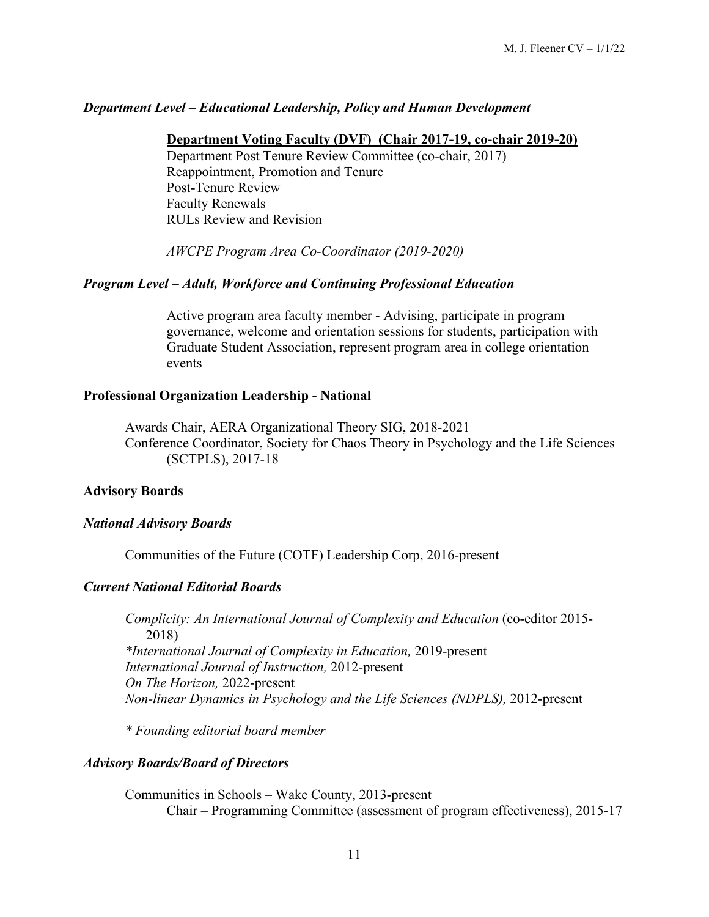### *Department Level – Educational Leadership, Policy and Human Development*

#### **Department Voting Faculty (DVF) (Chair 2017-19, co-chair 2019-20)**

Department Post Tenure Review Committee (co-chair, 2017) Reappointment, Promotion and Tenure Post-Tenure Review Faculty Renewals RULs Review and Revision

*AWCPE Program Area Co-Coordinator (2019-2020)*

### *Program Level – Adult, Workforce and Continuing Professional Education*

Active program area faculty member - Advising, participate in program governance, welcome and orientation sessions for students, participation with Graduate Student Association, represent program area in college orientation events

#### **Professional Organization Leadership - National**

Awards Chair, AERA Organizational Theory SIG, 2018-2021 Conference Coordinator, Society for Chaos Theory in Psychology and the Life Sciences (SCTPLS), 2017-18

### **Advisory Boards**

#### *National Advisory Boards*

Communities of the Future (COTF) Leadership Corp, 2016-present

### *Current National Editorial Boards*

*Complicity: An International Journal of Complexity and Education* (co-editor 2015- 2018) *\*International Journal of Complexity in Education,* 2019-present *International Journal of Instruction,* 2012-present *On The Horizon,* 2022-present *Non-linear Dynamics in Psychology and the Life Sciences (NDPLS),* 2012-present

*\* Founding editorial board member*

#### *Advisory Boards/Board of Directors*

Communities in Schools – Wake County, 2013-present Chair – Programming Committee (assessment of program effectiveness), 2015-17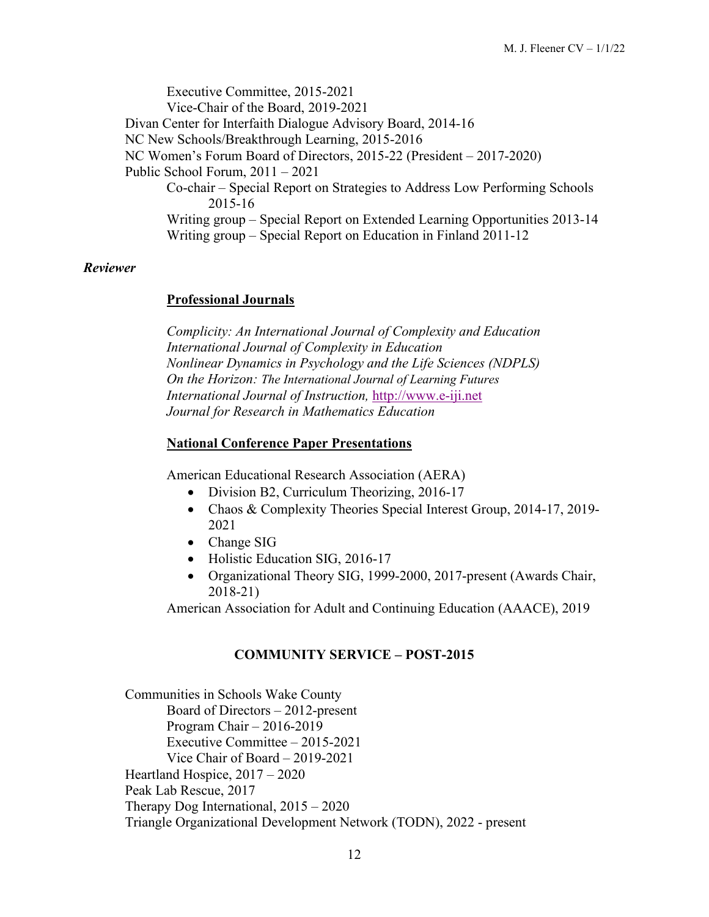Executive Committee, 2015-2021 Vice-Chair of the Board, 2019-2021 Divan Center for Interfaith Dialogue Advisory Board, 2014-16 NC New Schools/Breakthrough Learning, 2015-2016 NC Women's Forum Board of Directors, 2015-22 (President – 2017-2020) Public School Forum, 2011 – 2021 Co-chair – Special Report on Strategies to Address Low Performing Schools 2015-16 Writing group – Special Report on Extended Learning Opportunities 2013-14 Writing group – Special Report on Education in Finland 2011-12

### *Reviewer*

### **Professional Journals**

*Complicity: An International Journal of Complexity and Education International Journal of Complexity in Education Nonlinear Dynamics in Psychology and the Life Sciences (NDPLS) On the Horizon: The International Journal of Learning Futures International Journal of Instruction,* [http://www.e-iji.net](http://www.e-iji.net/) *Journal for Research in Mathematics Education*

### **National Conference Paper Presentations**

American Educational Research Association (AERA)

- Division B2, Curriculum Theorizing, 2016-17
- Chaos & Complexity Theories Special Interest Group, 2014-17, 2019-2021
- Change SIG
- Holistic Education SIG, 2016-17
- Organizational Theory SIG, 1999-2000, 2017-present (Awards Chair, 2018-21)

American Association for Adult and Continuing Education (AAACE), 2019

### **COMMUNITY SERVICE – POST-2015**

Communities in Schools Wake County Board of Directors – 2012-present Program Chair – 2016-2019 Executive Committee – 2015-2021 Vice Chair of Board – 2019-2021 Heartland Hospice, 2017 – 2020 Peak Lab Rescue, 2017 Therapy Dog International, 2015 – 2020 Triangle Organizational Development Network (TODN), 2022 - present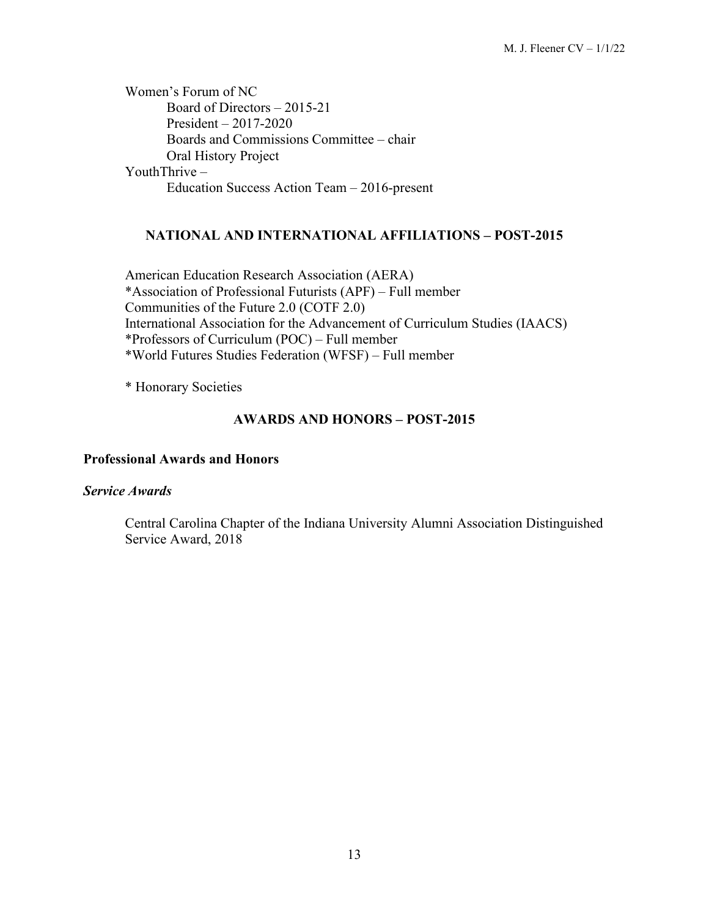Women's Forum of NC Board of Directors – 2015-21 President – 2017-2020 Boards and Commissions Committee – chair Oral History Project YouthThrive – Education Success Action Team – 2016-present

# **NATIONAL AND INTERNATIONAL AFFILIATIONS – POST-2015**

American Education Research Association (AERA) \*Association of Professional Futurists (APF) – Full member Communities of the Future 2.0 (COTF 2.0) International Association for the Advancement of Curriculum Studies (IAACS) \*Professors of Curriculum (POC) – Full member \*World Futures Studies Federation (WFSF) – Full member

\* Honorary Societies

# **AWARDS AND HONORS – POST-2015**

### **Professional Awards and Honors**

### *Service Awards*

Central Carolina Chapter of the Indiana University Alumni Association Distinguished Service Award, 2018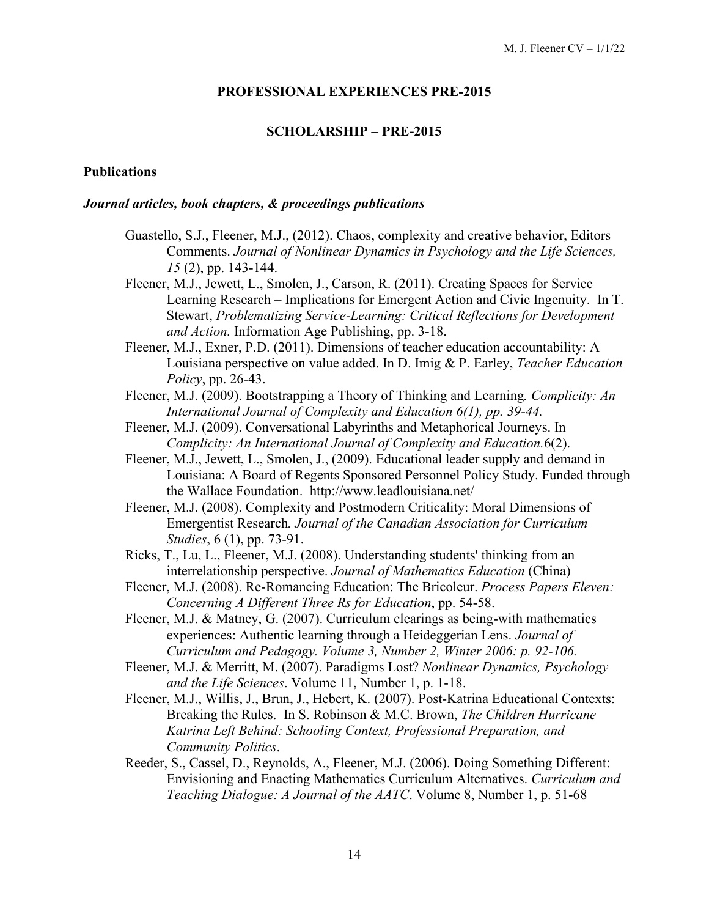#### **PROFESSIONAL EXPERIENCES PRE-2015**

#### **SCHOLARSHIP – PRE-2015**

#### **Publications**

#### *Journal articles, book chapters, & proceedings publications*

- Guastello, S.J., Fleener, M.J., (2012). Chaos, complexity and creative behavior, Editors Comments. *Journal of Nonlinear Dynamics in Psychology and the Life Sciences, 15* (2), pp. 143-144.
- Fleener, M.J., Jewett, L., Smolen, J., Carson, R. (2011). Creating Spaces for Service Learning Research – Implications for Emergent Action and Civic Ingenuity. In T. Stewart, *Problematizing Service-Learning: Critical Reflections for Development and Action.* Information Age Publishing, pp. 3-18.
- Fleener, M.J., Exner, P.D. (2011). Dimensions of teacher education accountability: A Louisiana perspective on value added. In D. Imig & P. Earley, *Teacher Education Policy*, pp. 26-43.
- Fleener, M.J. (2009). Bootstrapping a Theory of Thinking and Learning*. Complicity: An International Journal of Complexity and Education 6(1), pp. 39-44.*
- Fleener, M.J. (2009). Conversational Labyrinths and Metaphorical Journeys. In *Complicity: An International Journal of Complexity and Education.*6(2).
- Fleener, M.J., Jewett, L., Smolen, J., (2009). Educational leader supply and demand in Louisiana: A Board of Regents Sponsored Personnel Policy Study. Funded through the Wallace Foundation. http://www.leadlouisiana.net/
- Fleener, M.J. (2008). Complexity and Postmodern Criticality: Moral Dimensions of Emergentist Research*. Journal of the Canadian Association for Curriculum Studies*, 6 (1), pp. 73-91.
- Ricks, T., Lu, L., Fleener, M.J. (2008). Understanding students' thinking from an interrelationship perspective. *Journal of Mathematics Education* (China)
- Fleener, M.J. (2008). Re-Romancing Education: The Bricoleur. *Process Papers Eleven: Concerning A Different Three Rs for Education*, pp. 54-58.
- Fleener, M.J. & Matney, G. (2007). Curriculum clearings as being-with mathematics experiences: Authentic learning through a Heideggerian Lens. *Journal of Curriculum and Pedagogy. Volume 3, Number 2, Winter 2006: p. 92-106.*
- Fleener, M.J. & Merritt, M. (2007). Paradigms Lost? *Nonlinear Dynamics, Psychology and the Life Sciences*. Volume 11, Number 1, p. 1-18.
- Fleener, M.J., Willis, J., Brun, J., Hebert, K. (2007). Post-Katrina Educational Contexts: Breaking the Rules. In S. Robinson & M.C. Brown, *The Children Hurricane Katrina Left Behind: Schooling Context, Professional Preparation, and Community Politics*.
- Reeder, S., Cassel, D., Reynolds, A., Fleener, M.J. (2006). Doing Something Different: Envisioning and Enacting Mathematics Curriculum Alternatives. *Curriculum and Teaching Dialogue: A Journal of the AATC*. Volume 8, Number 1, p. 51-68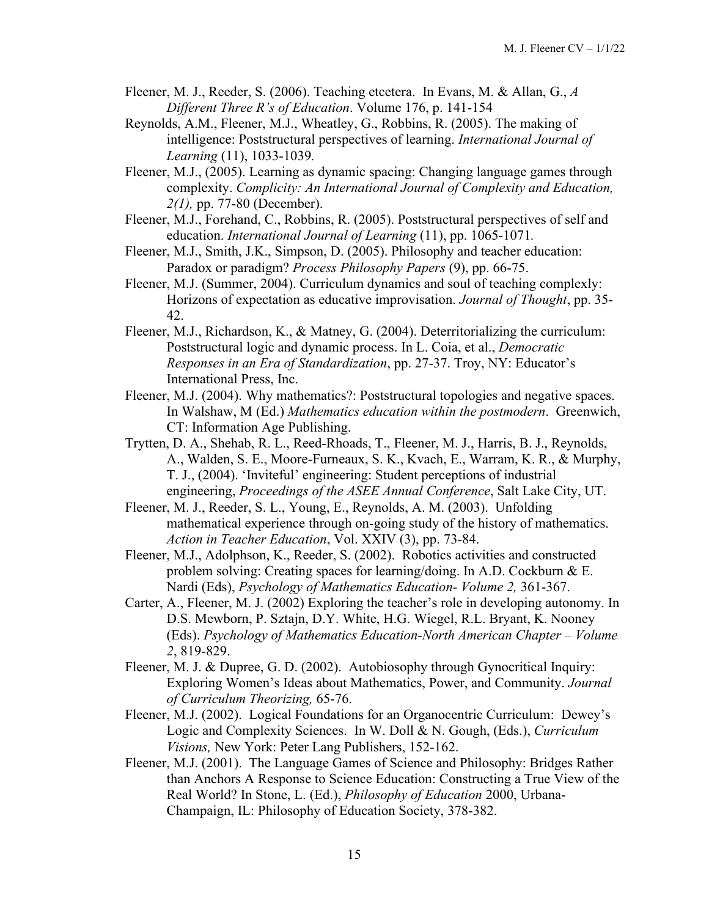- Fleener, M. J., Reeder, S. (2006). Teaching etcetera. In Evans, M. & Allan, G., *A Different Three R's of Education*. Volume 176, p. 141-154
- Reynolds, A.M., Fleener, M.J., Wheatley, G., Robbins, R. (2005). The making of intelligence: Poststructural perspectives of learning. *International Journal of Learning* (11), 1033-1039*.*
- Fleener, M.J., (2005). Learning as dynamic spacing: Changing language games through complexity. *Complicity: An International Journal of Complexity and Education, 2(1),* pp. 77-80 (December).
- Fleener, M.J., Forehand, C., Robbins, R. (2005). Poststructural perspectives of self and education. *International Journal of Learning* (11), pp. 1065-1071*.*
- Fleener, M.J., Smith, J.K., Simpson, D. (2005). Philosophy and teacher education: Paradox or paradigm? *Process Philosophy Papers* (9), pp. 66-75.
- Fleener, M.J. (Summer, 2004). Curriculum dynamics and soul of teaching complexly: Horizons of expectation as educative improvisation. *Journal of Thought*, pp. 35- 42.
- Fleener, M.J., Richardson, K., & Matney, G. (2004). Deterritorializing the curriculum: Poststructural logic and dynamic process. In L. Coia, et al., *Democratic Responses in an Era of Standardization*, pp. 27-37. Troy, NY: Educator's International Press, Inc.
- Fleener, M.J. (2004). Why mathematics?: Poststructural topologies and negative spaces. In Walshaw, M (Ed.) *Mathematics education within the postmodern*. Greenwich, CT: Information Age Publishing.
- Trytten, D. A., Shehab, R. L., Reed-Rhoads, T., Fleener, M. J., Harris, B. J., Reynolds, A., Walden, S. E., Moore-Furneaux, S. K., Kvach, E., Warram, K. R., & Murphy, T. J., (2004). 'Inviteful' engineering: Student perceptions of industrial engineering, *Proceedings of the ASEE Annual Conference*, Salt Lake City, UT.
- Fleener, M. J., Reeder, S. L., Young, E., Reynolds, A. M. (2003). Unfolding mathematical experience through on-going study of the history of mathematics. *Action in Teacher Education*, Vol. XXIV (3), pp. 73-84.
- Fleener, M.J., Adolphson, K., Reeder, S. (2002). Robotics activities and constructed problem solving: Creating spaces for learning/doing. In A.D. Cockburn & E. Nardi (Eds), *Psychology of Mathematics Education- Volume 2,* 361-367.
- Carter, A., Fleener, M. J. (2002) Exploring the teacher's role in developing autonomy. In D.S. Mewborn, P. Sztajn, D.Y. White, H.G. Wiegel, R.L. Bryant, K. Nooney (Eds). *Psychology of Mathematics Education-North American Chapter – Volume 2*, 819-829.
- Fleener, M. J. & Dupree, G. D. (2002). Autobiosophy through Gynocritical Inquiry: Exploring Women's Ideas about Mathematics, Power, and Community. *Journal of Curriculum Theorizing,* 65-76.
- Fleener, M.J. (2002). Logical Foundations for an Organocentric Curriculum: Dewey's Logic and Complexity Sciences. In W. Doll & N. Gough, (Eds.), *Curriculum Visions,* New York: Peter Lang Publishers, 152-162.
- Fleener, M.J. (2001). The Language Games of Science and Philosophy: Bridges Rather than Anchors A Response to Science Education: Constructing a True View of the Real World? In Stone, L. (Ed.), *Philosophy of Education* 2000, Urbana-Champaign, IL: Philosophy of Education Society, 378-382.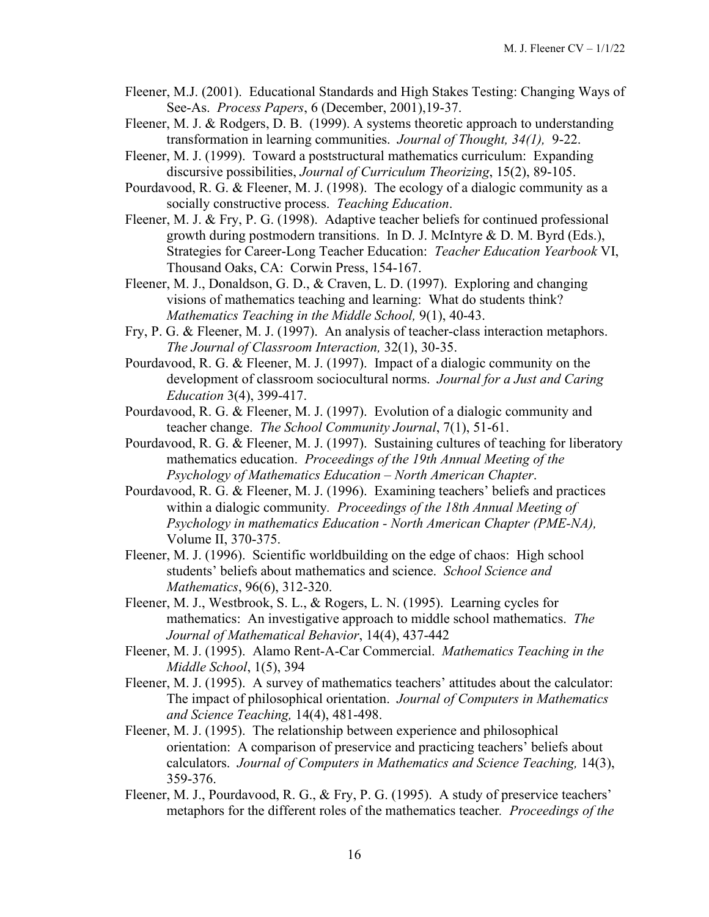- Fleener, M.J. (2001). Educational Standards and High Stakes Testing: Changing Ways of See-As. *Process Papers*, 6 (December, 2001),19-37.
- Fleener, M. J. & Rodgers, D. B. (1999). A systems theoretic approach to understanding transformation in learning communities. *Journal of Thought, 34(1),* 9-22.
- Fleener, M. J. (1999). Toward a poststructural mathematics curriculum: Expanding discursive possibilities, *Journal of Curriculum Theorizing*, 15(2), 89-105.
- Pourdavood, R. G. & Fleener, M. J. (1998). The ecology of a dialogic community as a socially constructive process. *Teaching Education*.
- Fleener, M. J. & Fry, P. G. (1998). Adaptive teacher beliefs for continued professional growth during postmodern transitions. In D. J. McIntyre & D. M. Byrd (Eds.), Strategies for Career-Long Teacher Education: *Teacher Education Yearbook* VI, Thousand Oaks, CA: Corwin Press, 154-167.
- Fleener, M. J., Donaldson, G. D., & Craven, L. D. (1997). Exploring and changing visions of mathematics teaching and learning: What do students think? *Mathematics Teaching in the Middle School,* 9(1), 40-43.
- Fry, P. G. & Fleener, M. J. (1997). An analysis of teacher-class interaction metaphors. *The Journal of Classroom Interaction,* 32(1), 30-35.
- Pourdavood, R. G. & Fleener, M. J. (1997). Impact of a dialogic community on the development of classroom sociocultural norms. *Journal for a Just and Caring Education* 3(4), 399-417.
- Pourdavood, R. G. & Fleener, M. J. (1997). Evolution of a dialogic community and teacher change. *The School Community Journal*, 7(1), 51-61.
- Pourdavood, R. G. & Fleener, M. J. (1997). Sustaining cultures of teaching for liberatory mathematics education. *Proceedings of the 19th Annual Meeting of the Psychology of Mathematics Education – North American Chapter*.
- Pourdavood, R. G. & Fleener, M. J. (1996). Examining teachers' beliefs and practices within a dialogic community*. Proceedings of the 18th Annual Meeting of Psychology in mathematics Education - North American Chapter (PME-NA),* Volume II, 370-375.
- Fleener, M. J. (1996). Scientific worldbuilding on the edge of chaos: High school students' beliefs about mathematics and science. *School Science and Mathematics*, 96(6), 312-320.
- Fleener, M. J., Westbrook, S. L., & Rogers, L. N. (1995). Learning cycles for mathematics: An investigative approach to middle school mathematics. *The Journal of Mathematical Behavior*, 14(4), 437-442
- Fleener, M. J. (1995). Alamo Rent-A-Car Commercial. *Mathematics Teaching in the Middle School*, 1(5), 394
- Fleener, M. J. (1995). A survey of mathematics teachers' attitudes about the calculator: The impact of philosophical orientation. *Journal of Computers in Mathematics and Science Teaching,* 14(4), 481-498.
- Fleener, M. J. (1995). The relationship between experience and philosophical orientation: A comparison of preservice and practicing teachers' beliefs about calculators. *Journal of Computers in Mathematics and Science Teaching,* 14(3), 359-376.
- Fleener, M. J., Pourdavood, R. G., & Fry, P. G. (1995). A study of preservice teachers' metaphors for the different roles of the mathematics teacher*. Proceedings of the*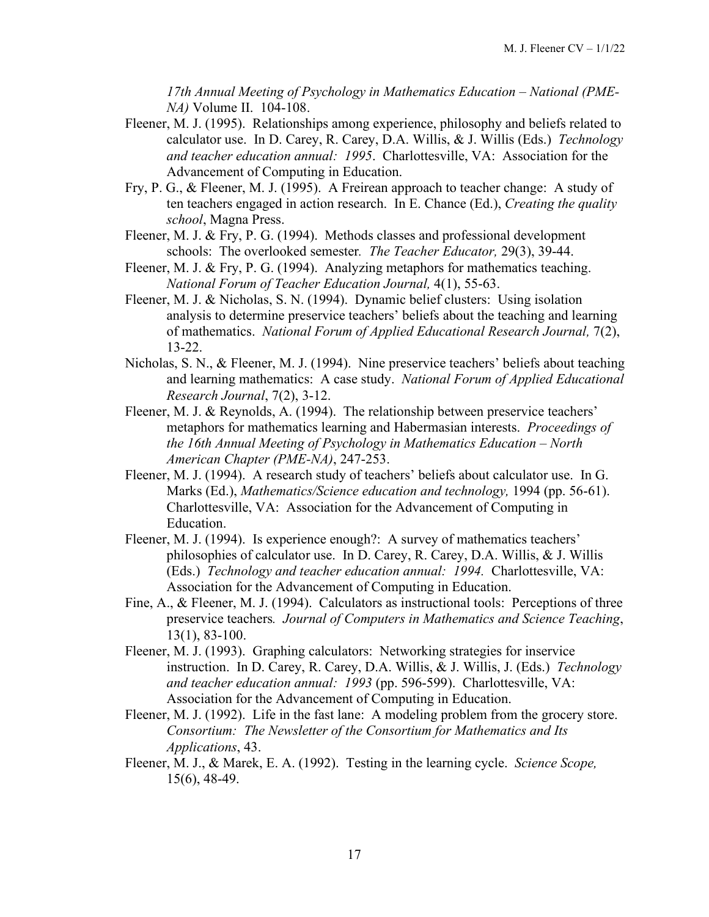*17th Annual Meeting of Psychology in Mathematics Education – National (PME-NA)* Volume II. 104-108.

- Fleener, M. J. (1995). Relationships among experience, philosophy and beliefs related to calculator use. In D. Carey, R. Carey, D.A. Willis, & J. Willis (Eds.) *Technology and teacher education annual: 1995*. Charlottesville, VA: Association for the Advancement of Computing in Education.
- Fry, P. G., & Fleener, M. J. (1995). A Freirean approach to teacher change: A study of ten teachers engaged in action research. In E. Chance (Ed.), *Creating the quality school*, Magna Press.
- Fleener, M. J. & Fry, P. G. (1994). Methods classes and professional development schools: The overlooked semester*. The Teacher Educator,* 29(3), 39-44.
- Fleener, M. J. & Fry, P. G. (1994). Analyzing metaphors for mathematics teaching. *National Forum of Teacher Education Journal,* 4(1), 55-63.
- Fleener, M. J. & Nicholas, S. N. (1994). Dynamic belief clusters: Using isolation analysis to determine preservice teachers' beliefs about the teaching and learning of mathematics. *National Forum of Applied Educational Research Journal,* 7(2), 13-22.
- Nicholas, S. N., & Fleener, M. J. (1994). Nine preservice teachers' beliefs about teaching and learning mathematics: A case study. *National Forum of Applied Educational Research Journal*, 7(2), 3-12.
- Fleener, M. J. & Reynolds, A. (1994). The relationship between preservice teachers' metaphors for mathematics learning and Habermasian interests. *Proceedings of the 16th Annual Meeting of Psychology in Mathematics Education – North American Chapter (PME-NA)*, 247-253.
- Fleener, M. J. (1994). A research study of teachers' beliefs about calculator use. In G. Marks (Ed.), *Mathematics/Science education and technology,* 1994 (pp. 56-61). Charlottesville, VA: Association for the Advancement of Computing in Education.
- Fleener, M. J. (1994). Is experience enough?: A survey of mathematics teachers' philosophies of calculator use. In D. Carey, R. Carey, D.A. Willis, & J. Willis (Eds.) *Technology and teacher education annual: 1994.* Charlottesville, VA: Association for the Advancement of Computing in Education.
- Fine, A., & Fleener, M. J. (1994). Calculators as instructional tools: Perceptions of three preservice teachers*. Journal of Computers in Mathematics and Science Teaching*, 13(1), 83-100.
- Fleener, M. J. (1993). Graphing calculators: Networking strategies for inservice instruction. In D. Carey, R. Carey, D.A. Willis, & J. Willis, J. (Eds.) *Technology and teacher education annual: 1993* (pp. 596-599). Charlottesville, VA: Association for the Advancement of Computing in Education.
- Fleener, M. J. (1992). Life in the fast lane: A modeling problem from the grocery store. *Consortium: The Newsletter of the Consortium for Mathematics and Its Applications*, 43.
- Fleener, M. J., & Marek, E. A. (1992). Testing in the learning cycle. *Science Scope,* 15(6), 48-49.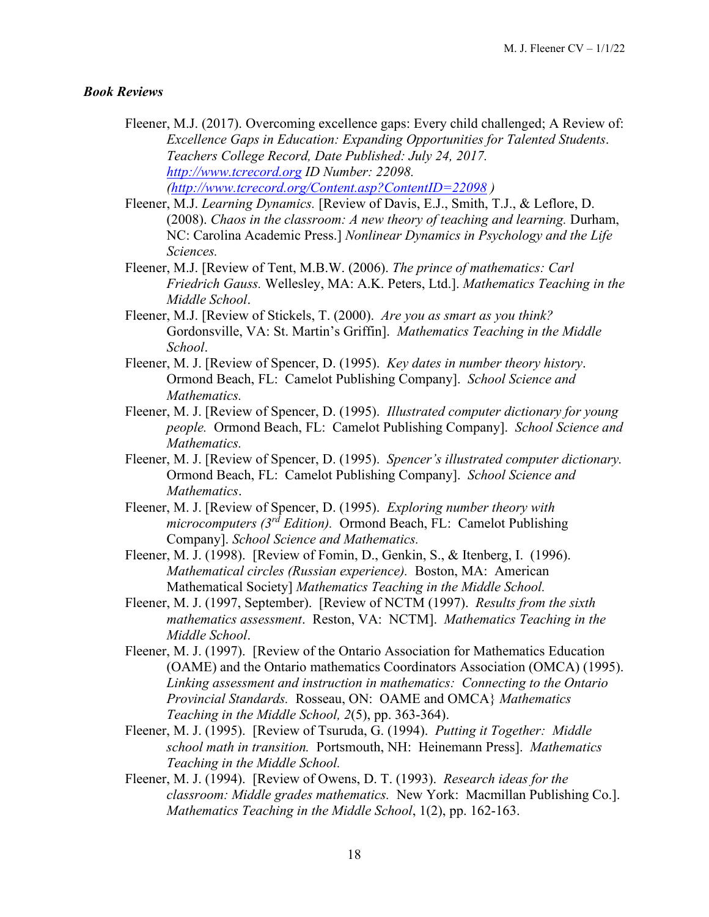#### *Book Reviews*

- Fleener, M.J. (2017). Overcoming excellence gaps: Every child challenged; A Review of: *Excellence Gaps in Education: Expanding Opportunities for Talented Students*. *Teachers College Record, Date Published: July 24, 2017. [http://www.tcrecord.org](http://www.tcrecord.org/Home.asp) ID Number: 22098. [\(http://www.tcrecord.org/Content.asp?ContentID=22098](http://www.tcrecord.org/Content.asp?ContentID=22098) )*
- Fleener, M.J. *Learning Dynamics.* [Review of Davis, E.J., Smith, T.J., & Leflore, D. (2008). *Chaos in the classroom: A new theory of teaching and learning.* Durham, NC: Carolina Academic Press.] *Nonlinear Dynamics in Psychology and the Life Sciences.*
- Fleener, M.J. [Review of Tent, M.B.W. (2006). *The prince of mathematics: Carl Friedrich Gauss.* Wellesley, MA: A.K. Peters, Ltd.]. *Mathematics Teaching in the Middle School*.
- Fleener, M.J. [Review of Stickels, T. (2000). *Are you as smart as you think?*  Gordonsville, VA: St. Martin's Griffin]. *Mathematics Teaching in the Middle School*.
- Fleener, M. J. [Review of Spencer, D. (1995). *Key dates in number theory history*. Ormond Beach, FL: Camelot Publishing Company]. *School Science and Mathematics.*
- Fleener, M. J. [Review of Spencer, D. (1995). *Illustrated computer dictionary for young people.* Ormond Beach, FL: Camelot Publishing Company]. *School Science and Mathematics.*
- Fleener, M. J. [Review of Spencer, D. (1995). *Spencer's illustrated computer dictionary.* Ormond Beach, FL: Camelot Publishing Company]. *School Science and Mathematics*.
- Fleener, M. J. [Review of Spencer, D. (1995). *Exploring number theory with microcomputers (3rd Edition).* Ormond Beach, FL: Camelot Publishing Company]. *School Science and Mathematics.*
- Fleener, M. J. (1998). [Review of Fomin, D., Genkin, S., & Itenberg, I. (1996). *Mathematical circles (Russian experience).* Boston, MA: American Mathematical Society] *Mathematics Teaching in the Middle School.*
- Fleener, M. J. (1997, September). [Review of NCTM (1997). *Results from the sixth mathematics assessment*. Reston, VA: NCTM]. *Mathematics Teaching in the Middle School*.
- Fleener, M. J. (1997). [Review of the Ontario Association for Mathematics Education (OAME) and the Ontario mathematics Coordinators Association (OMCA) (1995). *Linking assessment and instruction in mathematics: Connecting to the Ontario Provincial Standards.* Rosseau, ON: OAME and OMCA} *Mathematics Teaching in the Middle School, 2*(5), pp. 363-364).
- Fleener, M. J. (1995). [Review of Tsuruda, G. (1994). *Putting it Together: Middle school math in transition.* Portsmouth, NH: Heinemann Press]. *Mathematics Teaching in the Middle School.*
- Fleener, M. J. (1994). [Review of Owens, D. T. (1993). *Research ideas for the classroom: Middle grades mathematics.* New York: Macmillan Publishing Co.]. *Mathematics Teaching in the Middle School*, 1(2), pp. 162-163.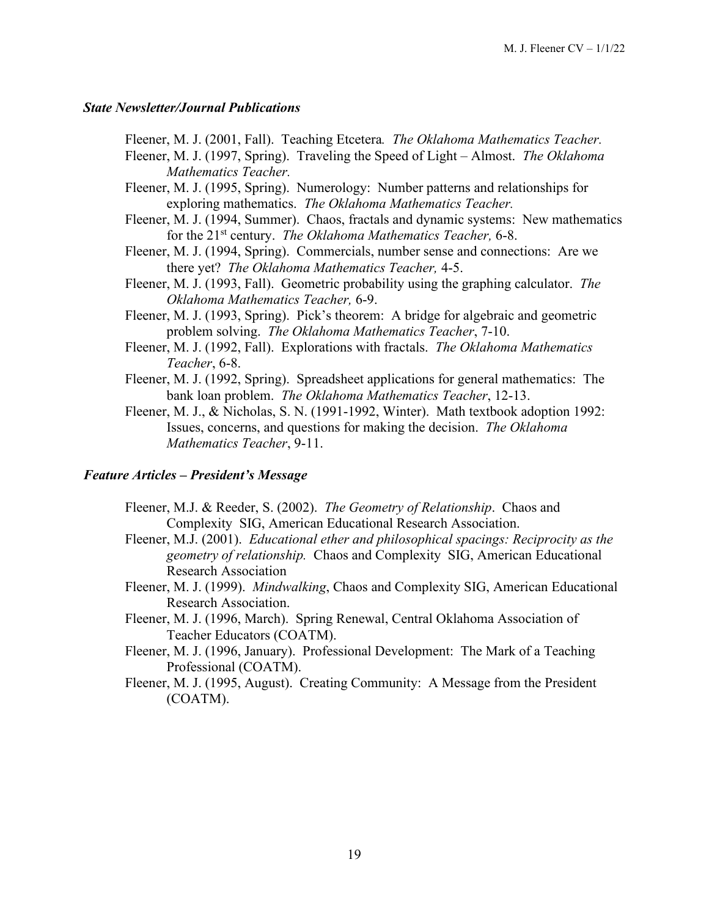#### *State Newsletter/Journal Publications*

Fleener, M. J. (2001, Fall). Teaching Etcetera*. The Oklahoma Mathematics Teacher.*

- Fleener, M. J. (1997, Spring). Traveling the Speed of Light Almost. *The Oklahoma Mathematics Teacher.*
- Fleener, M. J. (1995, Spring). Numerology: Number patterns and relationships for exploring mathematics. *The Oklahoma Mathematics Teacher.*
- Fleener, M. J. (1994, Summer). Chaos, fractals and dynamic systems: New mathematics for the 21st century. *The Oklahoma Mathematics Teacher,* 6-8.
- Fleener, M. J. (1994, Spring). Commercials, number sense and connections: Are we there yet? *The Oklahoma Mathematics Teacher,* 4-5.
- Fleener, M. J. (1993, Fall). Geometric probability using the graphing calculator. *The Oklahoma Mathematics Teacher,* 6-9.
- Fleener, M. J. (1993, Spring). Pick's theorem: A bridge for algebraic and geometric problem solving. *The Oklahoma Mathematics Teacher*, 7-10.
- Fleener, M. J. (1992, Fall). Explorations with fractals. *The Oklahoma Mathematics Teacher*, 6-8.
- Fleener, M. J. (1992, Spring). Spreadsheet applications for general mathematics: The bank loan problem. *The Oklahoma Mathematics Teacher*, 12-13.
- Fleener, M. J., & Nicholas, S. N. (1991-1992, Winter). Math textbook adoption 1992: Issues, concerns, and questions for making the decision. *The Oklahoma Mathematics Teacher*, 9-11.

#### *Feature Articles – President's Message*

- Fleener, M.J. & Reeder, S. (2002). *The Geometry of Relationship*. Chaos and Complexity SIG, American Educational Research Association.
- Fleener, M.J. (2001). *Educational ether and philosophical spacings: Reciprocity as the geometry of relationship.* Chaos and Complexity SIG, American Educational Research Association
- Fleener, M. J. (1999). *Mindwalking*, Chaos and Complexity SIG, American Educational Research Association.
- Fleener, M. J. (1996, March). Spring Renewal, Central Oklahoma Association of Teacher Educators (COATM).
- Fleener, M. J. (1996, January). Professional Development: The Mark of a Teaching Professional (COATM).
- Fleener, M. J. (1995, August). Creating Community: A Message from the President (COATM).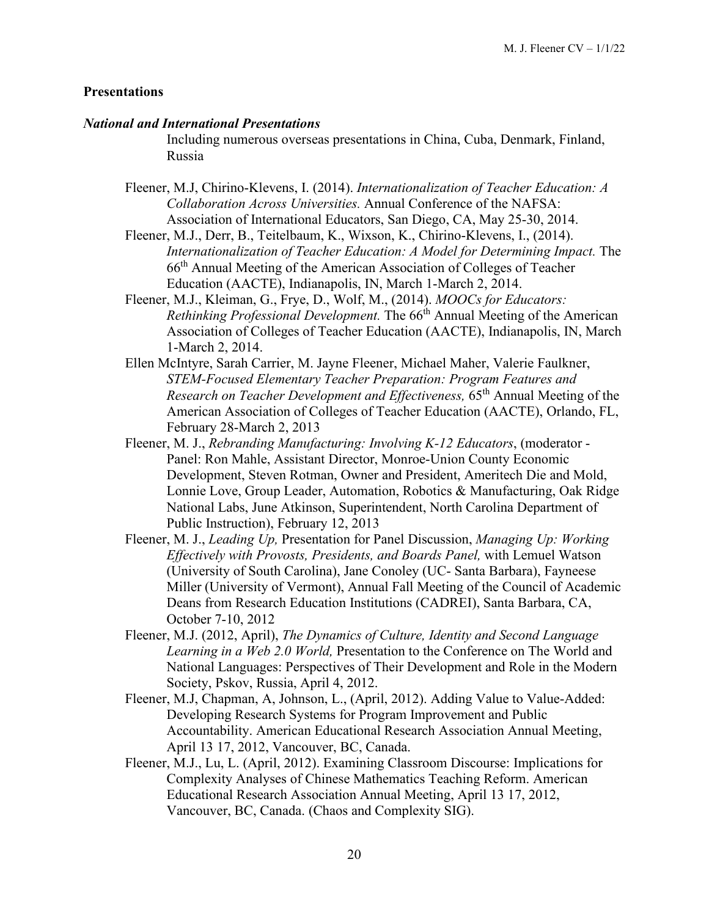#### **Presentations**

#### *National and International Presentations*

Including numerous overseas presentations in China, Cuba, Denmark, Finland, Russia

- Fleener, M.J, Chirino-Klevens, I. (2014). *Internationalization of Teacher Education: A Collaboration Across Universities.* Annual Conference of the NAFSA: Association of International Educators, San Diego, CA, May 25-30, 2014.
- Fleener, M.J., Derr, B., Teitelbaum, K., Wixson, K., Chirino-Klevens, I., (2014). *Internationalization of Teacher Education: A Model for Determining Impact.* The 66th Annual Meeting of the American Association of Colleges of Teacher Education (AACTE), Indianapolis, IN, March 1-March 2, 2014.
- Fleener, M.J., Kleiman, G., Frye, D., Wolf, M., (2014). *MOOCs for Educators: Rethinking Professional Development.* The 66<sup>th</sup> Annual Meeting of the American Association of Colleges of Teacher Education (AACTE), Indianapolis, IN, March 1-March 2, 2014.
- Ellen McIntyre, Sarah Carrier, M. Jayne Fleener, Michael Maher, Valerie Faulkner, *STEM-Focused Elementary Teacher Preparation: Program Features and Research on Teacher Development and Effectiveness,* 65<sup>th</sup> Annual Meeting of the American Association of Colleges of Teacher Education (AACTE), Orlando, FL, February 28-March 2, 2013
- Fleener, M. J., *Rebranding Manufacturing: Involving K-12 Educators*, (moderator Panel: Ron Mahle, Assistant Director, Monroe-Union County Economic Development, Steven Rotman, Owner and President, Ameritech Die and Mold, Lonnie Love, Group Leader, Automation, Robotics & Manufacturing, Oak Ridge National Labs, June Atkinson, Superintendent, North Carolina Department of Public Instruction), February 12, 2013
- Fleener, M. J., *Leading Up,* Presentation for Panel Discussion, *Managing Up: Working Effectively with Provosts, Presidents, and Boards Panel,* with Lemuel Watson (University of South Carolina), Jane Conoley (UC- Santa Barbara), Fayneese Miller (University of Vermont), Annual Fall Meeting of the Council of Academic Deans from Research Education Institutions (CADREI), Santa Barbara, CA, October 7-10, 2012
- Fleener, M.J. (2012, April), *The Dynamics of Culture, Identity and Second Language Learning in a Web 2.0 World,* Presentation to the Conference on The World and National Languages: Perspectives of Their Development and Role in the Modern Society, Pskov, Russia, April 4, 2012.
- Fleener, M.J, Chapman, A, Johnson, L., (April, 2012). Adding Value to Value-Added: Developing Research Systems for Program Improvement and Public Accountability. American Educational Research Association Annual Meeting, April 13 17, 2012, Vancouver, BC, Canada.
- Fleener, M.J., Lu, L. (April, 2012). Examining Classroom Discourse: Implications for Complexity Analyses of Chinese Mathematics Teaching Reform. American Educational Research Association Annual Meeting, April 13 17, 2012, Vancouver, BC, Canada. (Chaos and Complexity SIG).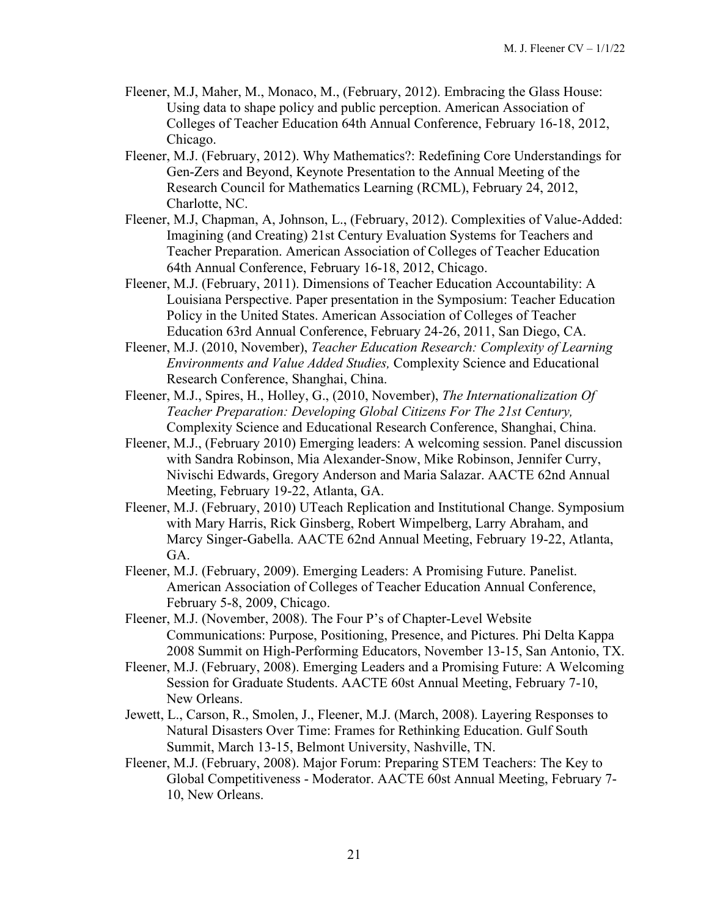- Fleener, M.J, Maher, M., Monaco, M., (February, 2012). Embracing the Glass House: Using data to shape policy and public perception. American Association of Colleges of Teacher Education 64th Annual Conference, February 16-18, 2012, Chicago.
- Fleener, M.J. (February, 2012). Why Mathematics?: Redefining Core Understandings for Gen-Zers and Beyond, Keynote Presentation to the Annual Meeting of the Research Council for Mathematics Learning (RCML), February 24, 2012, Charlotte, NC.
- Fleener, M.J, Chapman, A, Johnson, L., (February, 2012). Complexities of Value-Added: Imagining (and Creating) 21st Century Evaluation Systems for Teachers and Teacher Preparation. American Association of Colleges of Teacher Education 64th Annual Conference, February 16-18, 2012, Chicago.
- Fleener, M.J. (February, 2011). Dimensions of Teacher Education Accountability: A Louisiana Perspective. Paper presentation in the Symposium: Teacher Education Policy in the United States. American Association of Colleges of Teacher Education 63rd Annual Conference, February 24-26, 2011, San Diego, CA.
- Fleener, M.J. (2010, November), *Teacher Education Research: Complexity of Learning Environments and Value Added Studies,* Complexity Science and Educational Research Conference, Shanghai, China.
- Fleener, M.J., Spires, H., Holley, G., (2010, November), *The Internationalization Of Teacher Preparation: Developing Global Citizens For The 21st Century,*  Complexity Science and Educational Research Conference, Shanghai, China.
- Fleener, M.J., (February 2010) Emerging leaders: A welcoming session. Panel discussion with Sandra Robinson, Mia Alexander-Snow, Mike Robinson, Jennifer Curry, Nivischi Edwards, Gregory Anderson and Maria Salazar. AACTE 62nd Annual Meeting, February 19-22, Atlanta, GA.
- Fleener, M.J. (February, 2010) UTeach Replication and Institutional Change. Symposium with Mary Harris, Rick Ginsberg, Robert Wimpelberg, Larry Abraham, and Marcy Singer-Gabella. AACTE 62nd Annual Meeting, February 19-22, Atlanta, GA.
- Fleener, M.J. (February, 2009). Emerging Leaders: A Promising Future. Panelist. American Association of Colleges of Teacher Education Annual Conference, February 5-8, 2009, Chicago.
- Fleener, M.J. (November, 2008). The Four P's of Chapter-Level Website Communications: Purpose, Positioning, Presence, and Pictures. Phi Delta Kappa 2008 Summit on High-Performing Educators, November 13-15, San Antonio, TX.
- Fleener, M.J. (February, 2008). Emerging Leaders and a Promising Future: A Welcoming Session for Graduate Students. AACTE 60st Annual Meeting, February 7-10, New Orleans.
- Jewett, L., Carson, R., Smolen, J., Fleener, M.J. (March, 2008). Layering Responses to Natural Disasters Over Time: Frames for Rethinking Education. Gulf South Summit, March 13-15, Belmont University, Nashville, TN.
- Fleener, M.J. (February, 2008). Major Forum: Preparing STEM Teachers: The Key to Global Competitiveness - Moderator. AACTE 60st Annual Meeting, February 7- 10, New Orleans.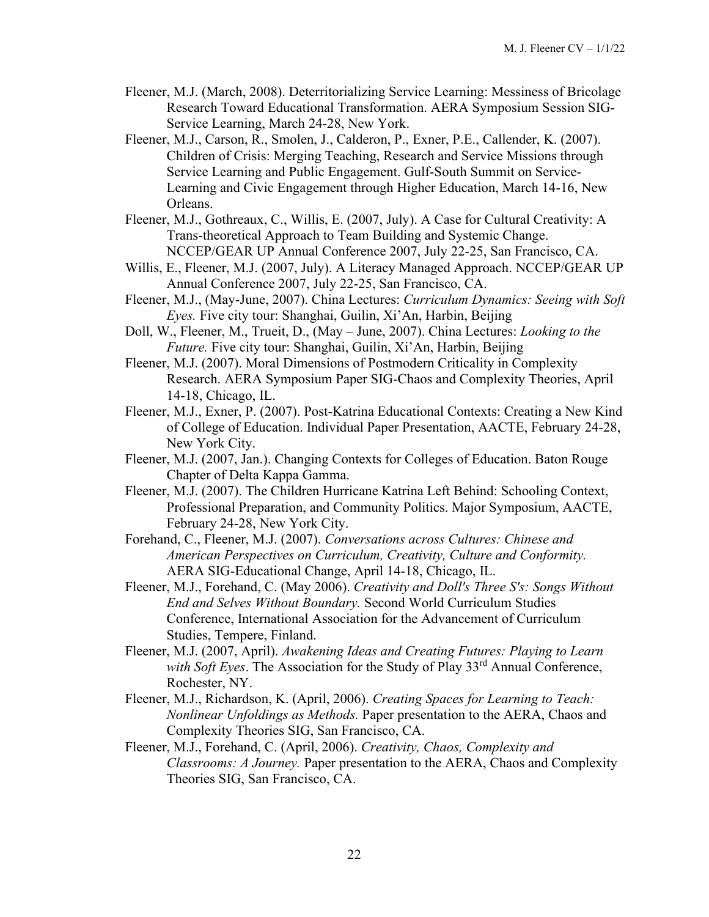- Fleener, M.J. (March, 2008). Deterritorializing Service Learning: Messiness of Bricolage Research Toward Educational Transformation. AERA Symposium Session SIG-Service Learning, March 24-28, New York.
- Fleener, M.J., Carson, R., Smolen, J., Calderon, P., Exner, P.E., Callender, K. (2007). Children of Crisis: Merging Teaching, Research and Service Missions through Service Learning and Public Engagement. Gulf-South Summit on Service-Learning and Civic Engagement through Higher Education, March 14-16, New Orleans.
- Fleener, M.J., Gothreaux, C., Willis, E. (2007, July). A Case for Cultural Creativity: A Trans-theoretical Approach to Team Building and Systemic Change. NCCEP/GEAR UP Annual Conference 2007, July 22-25, San Francisco, CA.
- Willis, E., Fleener, M.J. (2007, July). A Literacy Managed Approach. NCCEP/GEAR UP Annual Conference 2007, July 22-25, San Francisco, CA.
- Fleener, M.J., (May-June, 2007). China Lectures: *Curriculum Dynamics: Seeing with Soft Eyes.* Five city tour: Shanghai, Guilin, Xi'An, Harbin, Beijing
- Doll, W., Fleener, M., Trueit, D., (May June, 2007). China Lectures: *Looking to the Future.* Five city tour: Shanghai, Guilin, Xi'An, Harbin, Beijing
- Fleener, M.J. (2007). Moral Dimensions of Postmodern Criticality in Complexity Research. AERA Symposium Paper SIG-Chaos and Complexity Theories, April 14-18, Chicago, IL.
- Fleener, M.J., Exner, P. (2007). Post-Katrina Educational Contexts: Creating a New Kind of College of Education. Individual Paper Presentation, AACTE, February 24-28, New York City.
- Fleener, M.J. (2007, Jan.). Changing Contexts for Colleges of Education. Baton Rouge Chapter of Delta Kappa Gamma.
- Fleener, M.J. (2007). The Children Hurricane Katrina Left Behind: Schooling Context, Professional Preparation, and Community Politics. Major Symposium, AACTE, February 24-28, New York City.
- Forehand, C., Fleener, M.J. (2007). *Conversations across Cultures: Chinese and American Perspectives on Curriculum, Creativity, Culture and Conformity.*  AERA SIG-Educational Change, April 14-18, Chicago, IL.
- Fleener, M.J., Forehand, C. (May 2006). *Creativity and Doll's Three S's: Songs Without End and Selves Without Boundary.* Second World Curriculum Studies Conference, International Association for the Advancement of Curriculum Studies, Tempere, Finland.
- Fleener, M.J. (2007, April). *Awakening Ideas and Creating Futures: Playing to Learn*  with Soft Eyes. The Association for the Study of Play 33<sup>rd</sup> Annual Conference, Rochester, NY.
- Fleener, M.J., Richardson, K. (April, 2006). *Creating Spaces for Learning to Teach: Nonlinear Unfoldings as Methods.* Paper presentation to the AERA, Chaos and Complexity Theories SIG, San Francisco, CA.
- Fleener, M.J., Forehand, C. (April, 2006). *Creativity, Chaos, Complexity and Classrooms: A Journey.* Paper presentation to the AERA, Chaos and Complexity Theories SIG, San Francisco, CA.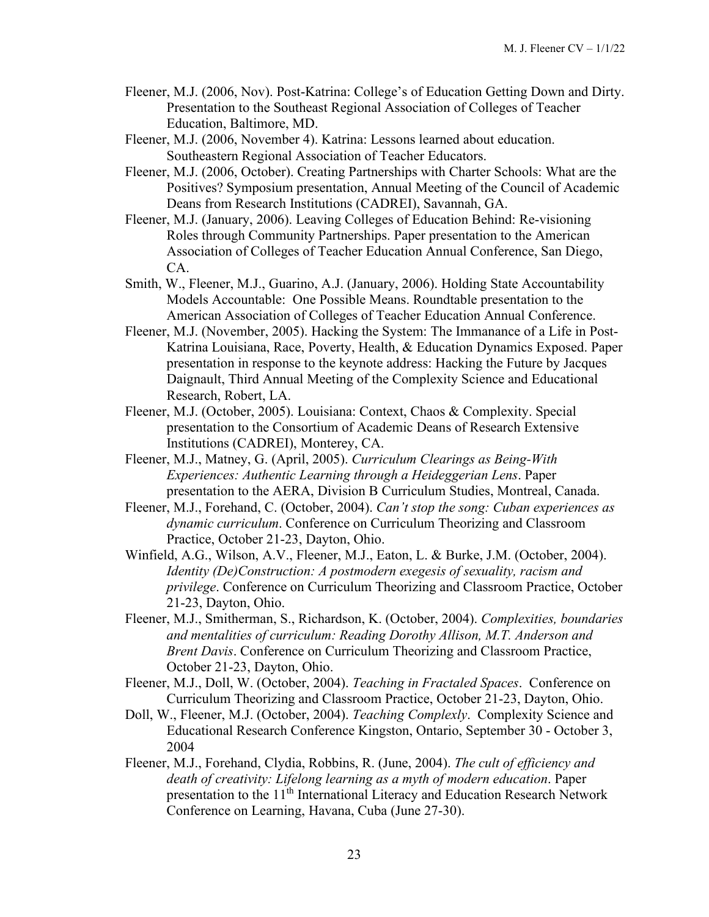- Fleener, M.J. (2006, Nov). Post-Katrina: College's of Education Getting Down and Dirty. Presentation to the Southeast Regional Association of Colleges of Teacher Education, Baltimore, MD.
- Fleener, M.J. (2006, November 4). Katrina: Lessons learned about education. Southeastern Regional Association of Teacher Educators.
- Fleener, M.J. (2006, October). Creating Partnerships with Charter Schools: What are the Positives? Symposium presentation, Annual Meeting of the Council of Academic Deans from Research Institutions (CADREI), Savannah, GA.
- Fleener, M.J. (January, 2006). Leaving Colleges of Education Behind: Re-visioning Roles through Community Partnerships. Paper presentation to the American Association of Colleges of Teacher Education Annual Conference, San Diego, CA.
- Smith, W., Fleener, M.J., Guarino, A.J. (January, 2006). Holding State Accountability Models Accountable: One Possible Means. Roundtable presentation to the American Association of Colleges of Teacher Education Annual Conference.
- Fleener, M.J. (November, 2005). Hacking the System: The Immanance of a Life in Post-Katrina Louisiana, Race, Poverty, Health, & Education Dynamics Exposed. Paper presentation in response to the keynote address: Hacking the Future by Jacques Daignault, Third Annual Meeting of the Complexity Science and Educational Research, Robert, LA.
- Fleener, M.J. (October, 2005). Louisiana: Context, Chaos & Complexity. Special presentation to the Consortium of Academic Deans of Research Extensive Institutions (CADREI), Monterey, CA.
- Fleener, M.J., Matney, G. (April, 2005). *Curriculum Clearings as Being-With Experiences: Authentic Learning through a Heideggerian Lens*. Paper presentation to the AERA, Division B Curriculum Studies, Montreal, Canada.
- Fleener, M.J., Forehand, C. (October, 2004). *Can't stop the song: Cuban experiences as dynamic curriculum*. Conference on Curriculum Theorizing and Classroom Practice, October 21-23, Dayton, Ohio.
- Winfield, A.G., Wilson, A.V., Fleener, M.J., Eaton, L. & Burke, J.M. (October, 2004). *Identity (De)Construction: A postmodern exegesis of sexuality, racism and privilege*. Conference on Curriculum Theorizing and Classroom Practice, October 21-23, Dayton, Ohio.
- Fleener, M.J., Smitherman, S., Richardson, K. (October, 2004). *Complexities, boundaries and mentalities of curriculum: Reading Dorothy Allison, M.T. Anderson and Brent Davis*. Conference on Curriculum Theorizing and Classroom Practice, October 21-23, Dayton, Ohio.
- Fleener, M.J., Doll, W. (October, 2004). *Teaching in Fractaled Spaces*. Conference on Curriculum Theorizing and Classroom Practice, October 21-23, Dayton, Ohio.
- Doll, W., Fleener, M.J. (October, 2004). *Teaching Complexly*. Complexity Science and Educational Research Conference Kingston, Ontario, September 30 - October 3, 2004
- Fleener, M.J., Forehand, Clydia, Robbins, R. (June, 2004). *The cult of efficiency and death of creativity: Lifelong learning as a myth of modern education*. Paper presentation to the 11<sup>th</sup> International Literacy and Education Research Network Conference on Learning, Havana, Cuba (June 27-30).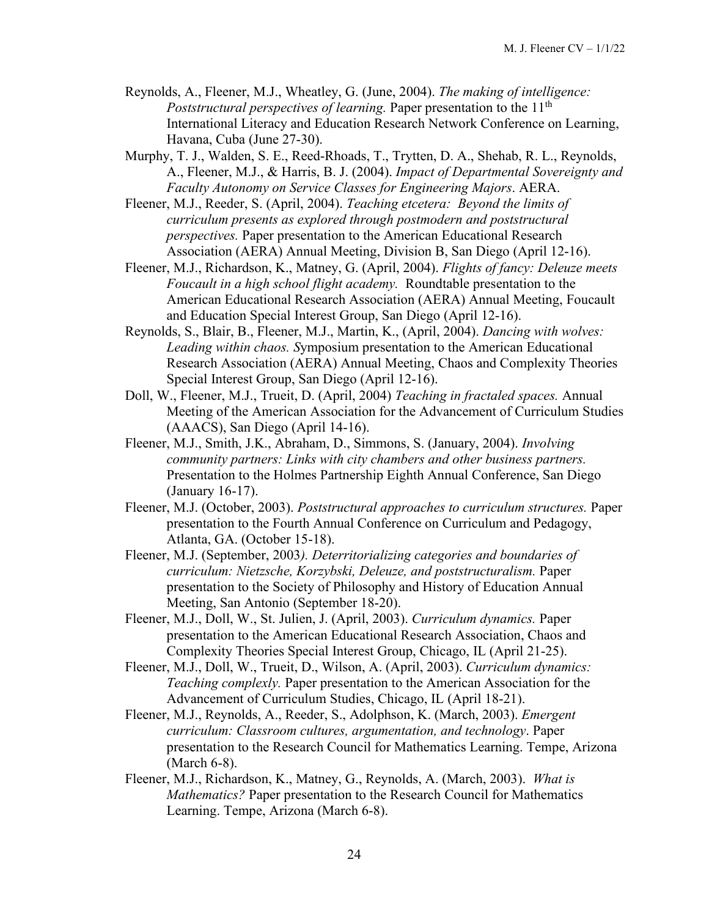- Reynolds, A., Fleener, M.J., Wheatley, G. (June, 2004). *The making of intelligence: Poststructural perspectives of learning.* Paper presentation to the 11<sup>th</sup> International Literacy and Education Research Network Conference on Learning, Havana, Cuba (June 27-30).
- Murphy, T. J., Walden, S. E., Reed-Rhoads, T., Trytten, D. A., Shehab, R. L., Reynolds, A., Fleener, M.J., & Harris, B. J. (2004). *Impact of Departmental Sovereignty and Faculty Autonomy on Service Classes for Engineering Majors*. AERA.
- Fleener, M.J., Reeder, S. (April, 2004). *Teaching etcetera: Beyond the limits of curriculum presents as explored through postmodern and poststructural perspectives.* Paper presentation to the American Educational Research Association (AERA) Annual Meeting, Division B, San Diego (April 12-16).
- Fleener, M.J., Richardson, K., Matney, G. (April, 2004). *Flights of fancy: Deleuze meets Foucault in a high school flight academy.* Roundtable presentation to the American Educational Research Association (AERA) Annual Meeting, Foucault and Education Special Interest Group, San Diego (April 12-16).
- Reynolds, S., Blair, B., Fleener, M.J., Martin, K., (April, 2004). *Dancing with wolves: Leading within chaos. S*ymposium presentation to the American Educational Research Association (AERA) Annual Meeting, Chaos and Complexity Theories Special Interest Group, San Diego (April 12-16).
- Doll, W., Fleener, M.J., Trueit, D. (April, 2004) *Teaching in fractaled spaces.* Annual Meeting of the American Association for the Advancement of Curriculum Studies (AAACS), San Diego (April 14-16).
- Fleener, M.J., Smith, J.K., Abraham, D., Simmons, S. (January, 2004). *Involving community partners: Links with city chambers and other business partners.* Presentation to the Holmes Partnership Eighth Annual Conference, San Diego (January 16-17).
- Fleener, M.J. (October, 2003). *Poststructural approaches to curriculum structures.* Paper presentation to the Fourth Annual Conference on Curriculum and Pedagogy, Atlanta, GA. (October 15-18).
- Fleener, M.J. (September, 2003*). Deterritorializing categories and boundaries of curriculum: Nietzsche, Korzybski, Deleuze, and poststructuralism.* Paper presentation to the Society of Philosophy and History of Education Annual Meeting, San Antonio (September 18-20).
- Fleener, M.J., Doll, W., St. Julien, J. (April, 2003). *Curriculum dynamics.* Paper presentation to the American Educational Research Association, Chaos and Complexity Theories Special Interest Group, Chicago, IL (April 21-25).
- Fleener, M.J., Doll, W., Trueit, D., Wilson, A. (April, 2003). *Curriculum dynamics: Teaching complexly.* Paper presentation to the American Association for the Advancement of Curriculum Studies, Chicago, IL (April 18-21).
- Fleener, M.J., Reynolds, A., Reeder, S., Adolphson, K. (March, 2003). *Emergent curriculum: Classroom cultures, argumentation, and technology*. Paper presentation to the Research Council for Mathematics Learning. Tempe, Arizona (March 6-8).
- Fleener, M.J., Richardson, K., Matney, G., Reynolds, A. (March, 2003). *What is Mathematics?* Paper presentation to the Research Council for Mathematics Learning. Tempe, Arizona (March 6-8).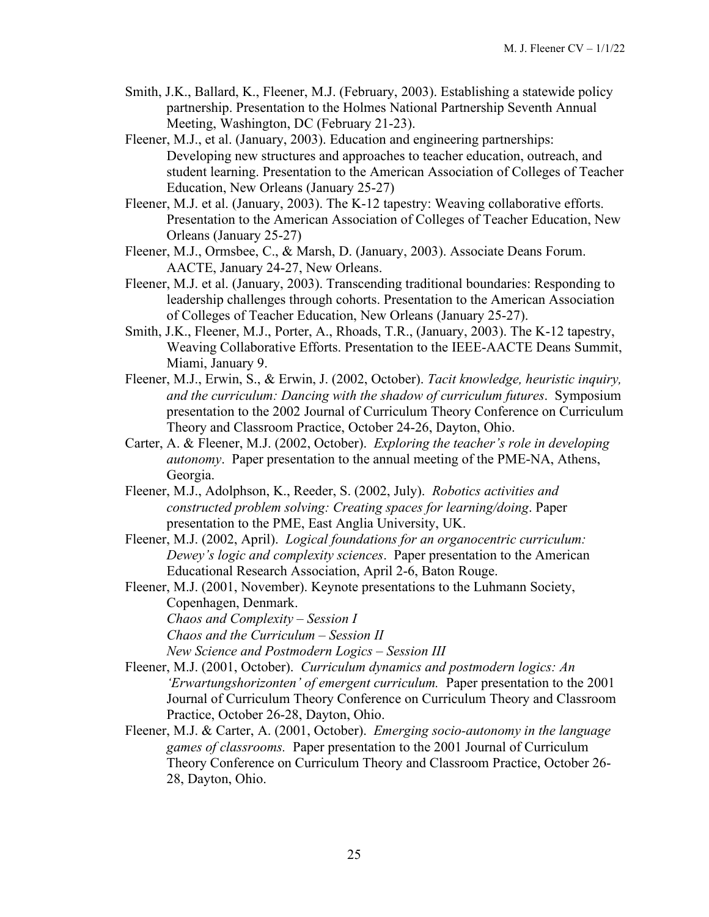- Smith, J.K., Ballard, K., Fleener, M.J. (February, 2003). Establishing a statewide policy partnership. Presentation to the Holmes National Partnership Seventh Annual Meeting, Washington, DC (February 21-23).
- Fleener, M.J., et al. (January, 2003). Education and engineering partnerships: Developing new structures and approaches to teacher education, outreach, and student learning. Presentation to the American Association of Colleges of Teacher Education, New Orleans (January 25-27)
- Fleener, M.J. et al. (January, 2003). The K-12 tapestry: Weaving collaborative efforts. Presentation to the American Association of Colleges of Teacher Education, New Orleans (January 25-27)
- Fleener, M.J., Ormsbee, C., & Marsh, D. (January, 2003). Associate Deans Forum. AACTE, January 24-27, New Orleans.
- Fleener, M.J. et al. (January, 2003). Transcending traditional boundaries: Responding to leadership challenges through cohorts. Presentation to the American Association of Colleges of Teacher Education, New Orleans (January 25-27).
- Smith, J.K., Fleener, M.J., Porter, A., Rhoads, T.R., (January, 2003). The K-12 tapestry, Weaving Collaborative Efforts. Presentation to the IEEE-AACTE Deans Summit, Miami, January 9.
- Fleener, M.J., Erwin, S., & Erwin, J. (2002, October). *Tacit knowledge, heuristic inquiry, and the curriculum: Dancing with the shadow of curriculum futures*. Symposium presentation to the 2002 Journal of Curriculum Theory Conference on Curriculum Theory and Classroom Practice, October 24-26, Dayton, Ohio.
- Carter, A. & Fleener, M.J. (2002, October). *Exploring the teacher's role in developing autonomy*. Paper presentation to the annual meeting of the PME-NA, Athens, Georgia.
- Fleener, M.J., Adolphson, K., Reeder, S. (2002, July). *Robotics activities and constructed problem solving: Creating spaces for learning/doing*. Paper presentation to the PME, East Anglia University, UK.
- Fleener, M.J. (2002, April). *Logical foundations for an organocentric curriculum: Dewey's logic and complexity sciences*. Paper presentation to the American Educational Research Association, April 2-6, Baton Rouge.
- Fleener, M.J. (2001, November). Keynote presentations to the Luhmann Society, Copenhagen, Denmark.
	- *Chaos and Complexity – Session I*
	- *Chaos and the Curriculum – Session II*
	- *New Science and Postmodern Logics – Session III*
- Fleener, M.J. (2001, October). *Curriculum dynamics and postmodern logics: An 'Erwartungshorizonten' of emergent curriculum.* Paper presentation to the 2001 Journal of Curriculum Theory Conference on Curriculum Theory and Classroom Practice, October 26-28, Dayton, Ohio.
- Fleener, M.J. & Carter, A. (2001, October). *Emerging socio-autonomy in the language games of classrooms.* Paper presentation to the 2001 Journal of Curriculum Theory Conference on Curriculum Theory and Classroom Practice, October 26- 28, Dayton, Ohio.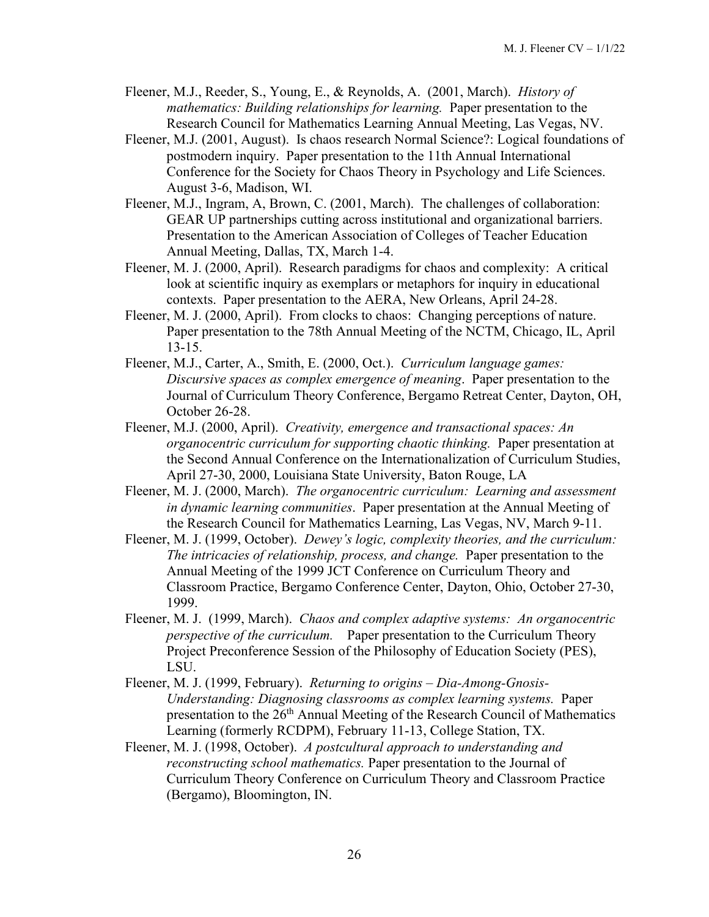- Fleener, M.J., Reeder, S., Young, E., & Reynolds, A. (2001, March). *History of mathematics: Building relationships for learning.* Paper presentation to the Research Council for Mathematics Learning Annual Meeting, Las Vegas, NV.
- Fleener, M.J. (2001, August). Is chaos research Normal Science?: Logical foundations of postmodern inquiry. Paper presentation to the 11th Annual International Conference for the Society for Chaos Theory in Psychology and Life Sciences. August 3-6, Madison, WI.
- Fleener, M.J., Ingram, A, Brown, C. (2001, March). The challenges of collaboration: GEAR UP partnerships cutting across institutional and organizational barriers. Presentation to the American Association of Colleges of Teacher Education Annual Meeting, Dallas, TX, March 1-4.
- Fleener, M. J. (2000, April). Research paradigms for chaos and complexity: A critical look at scientific inquiry as exemplars or metaphors for inquiry in educational contexts. Paper presentation to the AERA, New Orleans, April 24-28.
- Fleener, M. J. (2000, April). From clocks to chaos: Changing perceptions of nature. Paper presentation to the 78th Annual Meeting of the NCTM, Chicago, IL, April 13-15.
- Fleener, M.J., Carter, A., Smith, E. (2000, Oct.). *Curriculum language games: Discursive spaces as complex emergence of meaning*. Paper presentation to the Journal of Curriculum Theory Conference, Bergamo Retreat Center, Dayton, OH, October 26-28.
- Fleener, M.J. (2000, April). *Creativity, emergence and transactional spaces: An organocentric curriculum for supporting chaotic thinking.* Paper presentation at the Second Annual Conference on the Internationalization of Curriculum Studies, April 27-30, 2000, Louisiana State University, Baton Rouge, LA
- Fleener, M. J. (2000, March). *The organocentric curriculum: Learning and assessment in dynamic learning communities*. Paper presentation at the Annual Meeting of the Research Council for Mathematics Learning, Las Vegas, NV, March 9-11.
- Fleener, M. J. (1999, October). *Dewey's logic, complexity theories, and the curriculum: The intricacies of relationship, process, and change.* Paper presentation to the Annual Meeting of the 1999 JCT Conference on Curriculum Theory and Classroom Practice, Bergamo Conference Center, Dayton, Ohio, October 27-30, 1999.
- Fleener, M. J. (1999, March). *Chaos and complex adaptive systems: An organocentric perspective of the curriculum.* Paper presentation to the Curriculum Theory Project Preconference Session of the Philosophy of Education Society (PES), LSU.
- Fleener, M. J. (1999, February). *Returning to origins – Dia-Among-Gnosis-Understanding: Diagnosing classrooms as complex learning systems.* Paper presentation to the  $26<sup>th</sup>$  Annual Meeting of the Research Council of Mathematics Learning (formerly RCDPM), February 11-13, College Station, TX.
- Fleener, M. J. (1998, October). *A postcultural approach to understanding and reconstructing school mathematics.* Paper presentation to the Journal of Curriculum Theory Conference on Curriculum Theory and Classroom Practice (Bergamo), Bloomington, IN.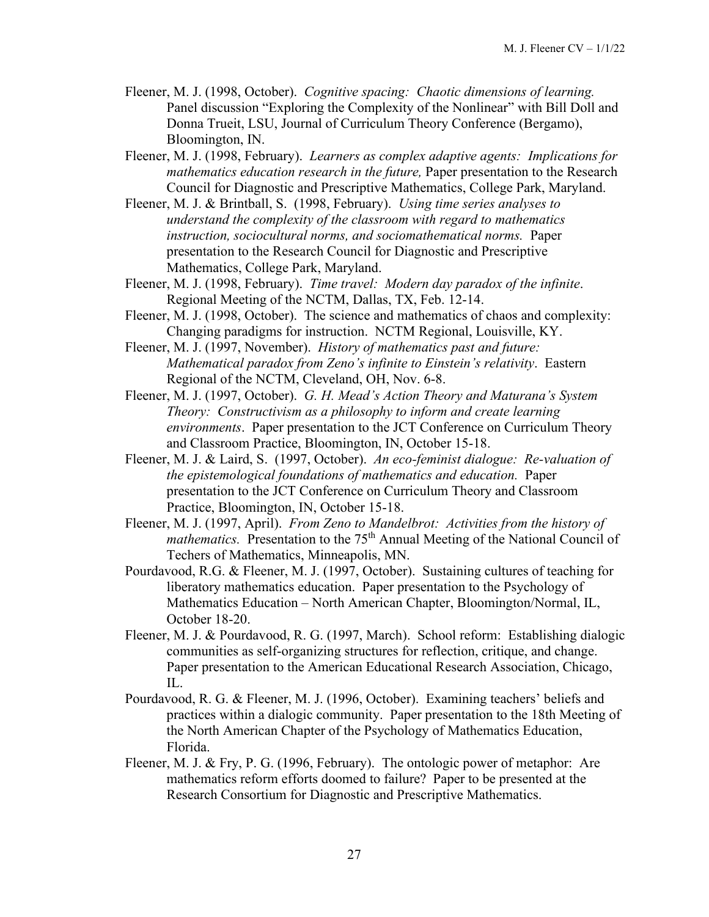- Fleener, M. J. (1998, October). *Cognitive spacing: Chaotic dimensions of learning.* Panel discussion "Exploring the Complexity of the Nonlinear" with Bill Doll and Donna Trueit, LSU, Journal of Curriculum Theory Conference (Bergamo), Bloomington, IN.
- Fleener, M. J. (1998, February). *Learners as complex adaptive agents: Implications for mathematics education research in the future, Paper presentation to the Research* Council for Diagnostic and Prescriptive Mathematics, College Park, Maryland.
- Fleener, M. J. & Brintball, S. (1998, February). *Using time series analyses to understand the complexity of the classroom with regard to mathematics instruction, sociocultural norms, and sociomathematical norms.* Paper presentation to the Research Council for Diagnostic and Prescriptive Mathematics, College Park, Maryland.
- Fleener, M. J. (1998, February). *Time travel: Modern day paradox of the infinite*. Regional Meeting of the NCTM, Dallas, TX, Feb. 12-14.
- Fleener, M. J. (1998, October). The science and mathematics of chaos and complexity: Changing paradigms for instruction. NCTM Regional, Louisville, KY.
- Fleener, M. J. (1997, November). *History of mathematics past and future: Mathematical paradox from Zeno's infinite to Einstein's relativity*. Eastern Regional of the NCTM, Cleveland, OH, Nov. 6-8.
- Fleener, M. J. (1997, October). *G. H. Mead's Action Theory and Maturana's System Theory: Constructivism as a philosophy to inform and create learning environments*. Paper presentation to the JCT Conference on Curriculum Theory and Classroom Practice, Bloomington, IN, October 15-18.
- Fleener, M. J. & Laird, S. (1997, October). *An eco-feminist dialogue: Re-valuation of the epistemological foundations of mathematics and education.* Paper presentation to the JCT Conference on Curriculum Theory and Classroom Practice, Bloomington, IN, October 15-18.
- Fleener, M. J. (1997, April). *From Zeno to Mandelbrot: Activities from the history of mathematics.* Presentation to the 75<sup>th</sup> Annual Meeting of the National Council of Techers of Mathematics, Minneapolis, MN.
- Pourdavood, R.G. & Fleener, M. J. (1997, October). Sustaining cultures of teaching for liberatory mathematics education. Paper presentation to the Psychology of Mathematics Education – North American Chapter, Bloomington/Normal, IL, October 18-20.
- Fleener, M. J. & Pourdavood, R. G. (1997, March). School reform: Establishing dialogic communities as self-organizing structures for reflection, critique, and change. Paper presentation to the American Educational Research Association, Chicago, IL.
- Pourdavood, R. G. & Fleener, M. J. (1996, October). Examining teachers' beliefs and practices within a dialogic community. Paper presentation to the 18th Meeting of the North American Chapter of the Psychology of Mathematics Education, Florida.
- Fleener, M. J. & Fry, P. G. (1996, February). The ontologic power of metaphor: Are mathematics reform efforts doomed to failure? Paper to be presented at the Research Consortium for Diagnostic and Prescriptive Mathematics.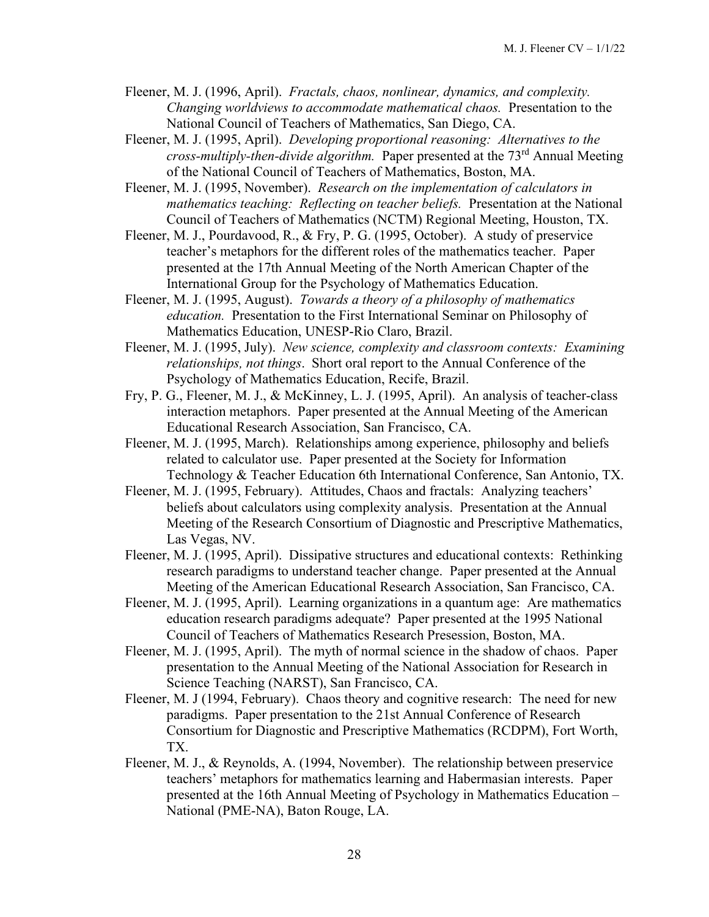- Fleener, M. J. (1996, April). *Fractals, chaos, nonlinear, dynamics, and complexity. Changing worldviews to accommodate mathematical chaos.* Presentation to the National Council of Teachers of Mathematics, San Diego, CA.
- Fleener, M. J. (1995, April). *Developing proportional reasoning: Alternatives to the cross-multiply-then-divide algorithm.* Paper presented at the 73rd Annual Meeting of the National Council of Teachers of Mathematics, Boston, MA.
- Fleener, M. J. (1995, November). *Research on the implementation of calculators in mathematics teaching: Reflecting on teacher beliefs.* Presentation at the National Council of Teachers of Mathematics (NCTM) Regional Meeting, Houston, TX.
- Fleener, M. J., Pourdavood, R., & Fry, P. G. (1995, October). A study of preservice teacher's metaphors for the different roles of the mathematics teacher. Paper presented at the 17th Annual Meeting of the North American Chapter of the International Group for the Psychology of Mathematics Education.
- Fleener, M. J. (1995, August). *Towards a theory of a philosophy of mathematics education.* Presentation to the First International Seminar on Philosophy of Mathematics Education, UNESP-Rio Claro, Brazil.
- Fleener, M. J. (1995, July). *New science, complexity and classroom contexts: Examining relationships, not things*. Short oral report to the Annual Conference of the Psychology of Mathematics Education, Recife, Brazil.
- Fry, P. G., Fleener, M. J., & McKinney, L. J. (1995, April). An analysis of teacher-class interaction metaphors. Paper presented at the Annual Meeting of the American Educational Research Association, San Francisco, CA.
- Fleener, M. J. (1995, March). Relationships among experience, philosophy and beliefs related to calculator use. Paper presented at the Society for Information Technology & Teacher Education 6th International Conference, San Antonio, TX.
- Fleener, M. J. (1995, February). Attitudes, Chaos and fractals: Analyzing teachers' beliefs about calculators using complexity analysis. Presentation at the Annual Meeting of the Research Consortium of Diagnostic and Prescriptive Mathematics, Las Vegas, NV.
- Fleener, M. J. (1995, April). Dissipative structures and educational contexts: Rethinking research paradigms to understand teacher change. Paper presented at the Annual Meeting of the American Educational Research Association, San Francisco, CA.
- Fleener, M. J. (1995, April). Learning organizations in a quantum age: Are mathematics education research paradigms adequate? Paper presented at the 1995 National Council of Teachers of Mathematics Research Presession, Boston, MA.
- Fleener, M. J. (1995, April). The myth of normal science in the shadow of chaos. Paper presentation to the Annual Meeting of the National Association for Research in Science Teaching (NARST), San Francisco, CA.
- Fleener, M. J (1994, February). Chaos theory and cognitive research: The need for new paradigms. Paper presentation to the 21st Annual Conference of Research Consortium for Diagnostic and Prescriptive Mathematics (RCDPM), Fort Worth, TX.
- Fleener, M. J., & Reynolds, A. (1994, November). The relationship between preservice teachers' metaphors for mathematics learning and Habermasian interests. Paper presented at the 16th Annual Meeting of Psychology in Mathematics Education – National (PME-NA), Baton Rouge, LA.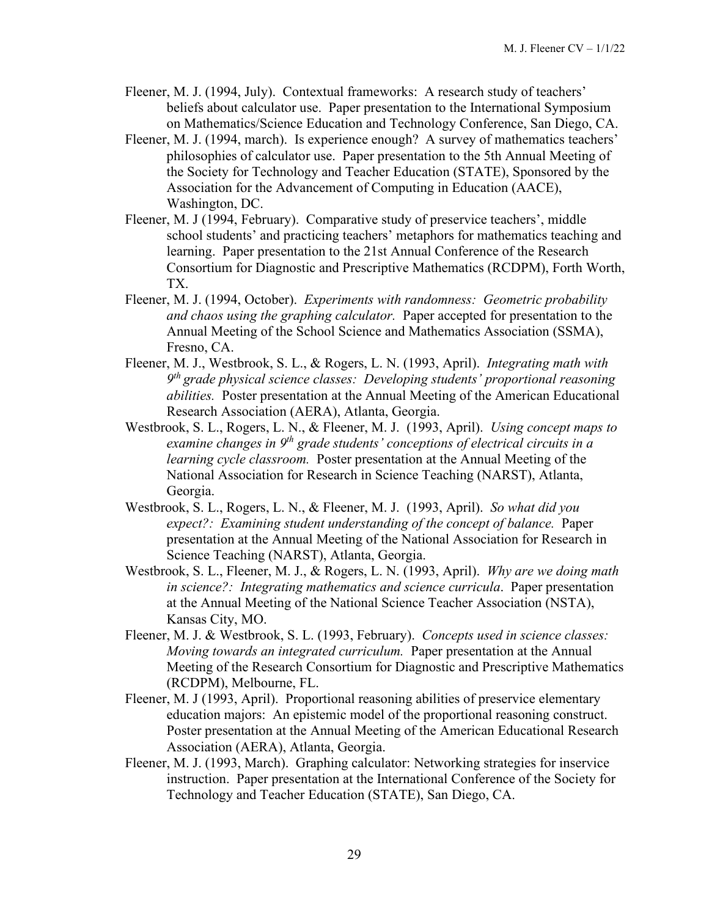- Fleener, M. J. (1994, July). Contextual frameworks: A research study of teachers' beliefs about calculator use. Paper presentation to the International Symposium on Mathematics/Science Education and Technology Conference, San Diego, CA.
- Fleener, M. J. (1994, march). Is experience enough? A survey of mathematics teachers' philosophies of calculator use. Paper presentation to the 5th Annual Meeting of the Society for Technology and Teacher Education (STATE), Sponsored by the Association for the Advancement of Computing in Education (AACE), Washington, DC.
- Fleener, M. J (1994, February). Comparative study of preservice teachers', middle school students' and practicing teachers' metaphors for mathematics teaching and learning. Paper presentation to the 21st Annual Conference of the Research Consortium for Diagnostic and Prescriptive Mathematics (RCDPM), Forth Worth, TX.
- Fleener, M. J. (1994, October). *Experiments with randomness: Geometric probability and chaos using the graphing calculator.* Paper accepted for presentation to the Annual Meeting of the School Science and Mathematics Association (SSMA), Fresno, CA.
- Fleener, M. J., Westbrook, S. L., & Rogers, L. N. (1993, April). *Integrating math with 9th grade physical science classes: Developing students' proportional reasoning abilities.* Poster presentation at the Annual Meeting of the American Educational Research Association (AERA), Atlanta, Georgia.
- Westbrook, S. L., Rogers, L. N., & Fleener, M. J. (1993, April). *Using concept maps to examine changes in 9th grade students' conceptions of electrical circuits in a learning cycle classroom.* Poster presentation at the Annual Meeting of the National Association for Research in Science Teaching (NARST), Atlanta, Georgia.
- Westbrook, S. L., Rogers, L. N., & Fleener, M. J. (1993, April). *So what did you expect?: Examining student understanding of the concept of balance.* Paper presentation at the Annual Meeting of the National Association for Research in Science Teaching (NARST), Atlanta, Georgia.
- Westbrook, S. L., Fleener, M. J., & Rogers, L. N. (1993, April). *Why are we doing math in science?: Integrating mathematics and science curricula*. Paper presentation at the Annual Meeting of the National Science Teacher Association (NSTA), Kansas City, MO.
- Fleener, M. J. & Westbrook, S. L. (1993, February). *Concepts used in science classes: Moving towards an integrated curriculum.* Paper presentation at the Annual Meeting of the Research Consortium for Diagnostic and Prescriptive Mathematics (RCDPM), Melbourne, FL.
- Fleener, M. J (1993, April). Proportional reasoning abilities of preservice elementary education majors: An epistemic model of the proportional reasoning construct. Poster presentation at the Annual Meeting of the American Educational Research Association (AERA), Atlanta, Georgia.
- Fleener, M. J. (1993, March). Graphing calculator: Networking strategies for inservice instruction. Paper presentation at the International Conference of the Society for Technology and Teacher Education (STATE), San Diego, CA.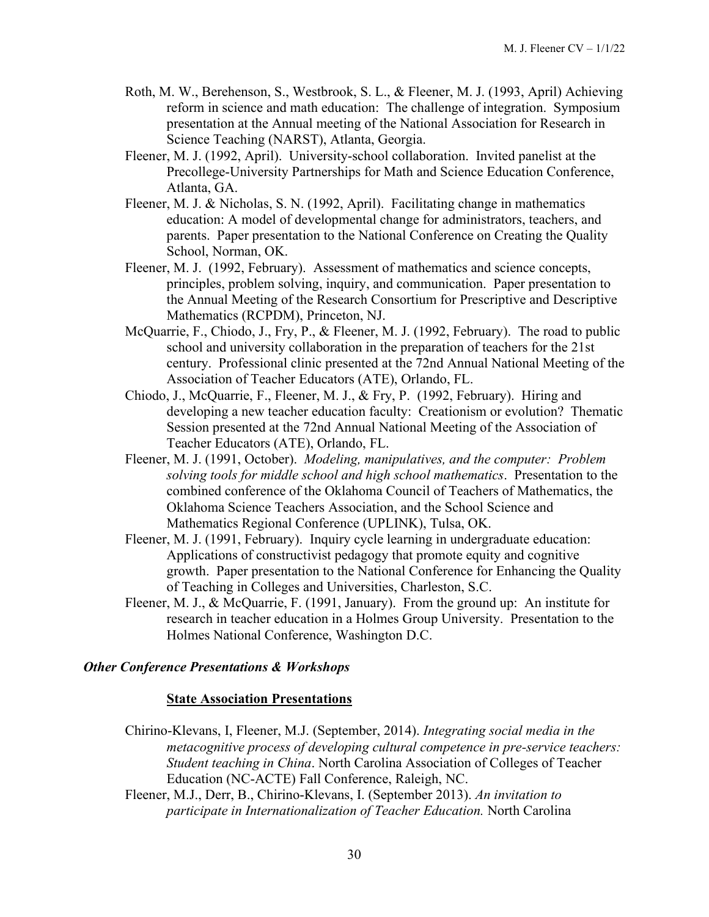- Roth, M. W., Berehenson, S., Westbrook, S. L., & Fleener, M. J. (1993, April) Achieving reform in science and math education: The challenge of integration. Symposium presentation at the Annual meeting of the National Association for Research in Science Teaching (NARST), Atlanta, Georgia.
- Fleener, M. J. (1992, April). University-school collaboration. Invited panelist at the Precollege-University Partnerships for Math and Science Education Conference, Atlanta, GA.
- Fleener, M. J. & Nicholas, S. N. (1992, April). Facilitating change in mathematics education: A model of developmental change for administrators, teachers, and parents. Paper presentation to the National Conference on Creating the Quality School, Norman, OK.
- Fleener, M. J. (1992, February). Assessment of mathematics and science concepts, principles, problem solving, inquiry, and communication. Paper presentation to the Annual Meeting of the Research Consortium for Prescriptive and Descriptive Mathematics (RCPDM), Princeton, NJ.
- McQuarrie, F., Chiodo, J., Fry, P., & Fleener, M. J. (1992, February). The road to public school and university collaboration in the preparation of teachers for the 21st century. Professional clinic presented at the 72nd Annual National Meeting of the Association of Teacher Educators (ATE), Orlando, FL.
- Chiodo, J., McQuarrie, F., Fleener, M. J., & Fry, P. (1992, February). Hiring and developing a new teacher education faculty: Creationism or evolution? Thematic Session presented at the 72nd Annual National Meeting of the Association of Teacher Educators (ATE), Orlando, FL.
- Fleener, M. J. (1991, October). *Modeling, manipulatives, and the computer: Problem solving tools for middle school and high school mathematics*. Presentation to the combined conference of the Oklahoma Council of Teachers of Mathematics, the Oklahoma Science Teachers Association, and the School Science and Mathematics Regional Conference (UPLINK), Tulsa, OK.
- Fleener, M. J. (1991, February). Inquiry cycle learning in undergraduate education: Applications of constructivist pedagogy that promote equity and cognitive growth. Paper presentation to the National Conference for Enhancing the Quality of Teaching in Colleges and Universities, Charleston, S.C.
- Fleener, M. J., & McQuarrie, F. (1991, January). From the ground up: An institute for research in teacher education in a Holmes Group University. Presentation to the Holmes National Conference, Washington D.C.

# *Other Conference Presentations & Workshops*

#### **State Association Presentations**

- Chirino-Klevans, I, Fleener, M.J. (September, 2014). *Integrating social media in the metacognitive process of developing cultural competence in pre-service teachers: Student teaching in China*. North Carolina Association of Colleges of Teacher Education (NC-ACTE) Fall Conference, Raleigh, NC.
- Fleener, M.J., Derr, B., Chirino-Klevans, I. (September 2013). *An invitation to participate in Internationalization of Teacher Education.* North Carolina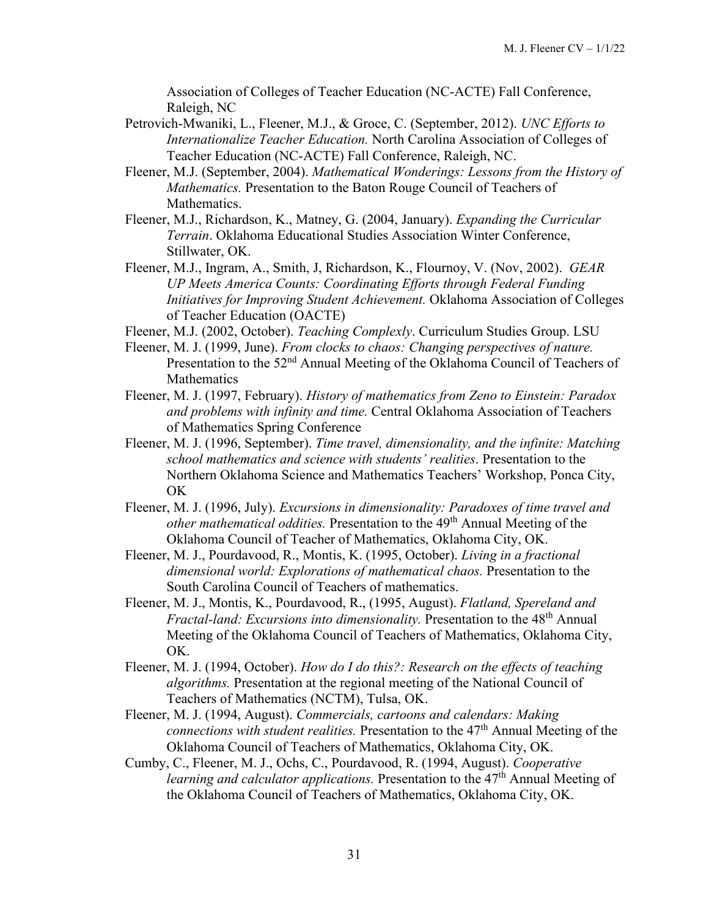Association of Colleges of Teacher Education (NC-ACTE) Fall Conference, Raleigh, NC

- Petrovich-Mwaniki, L., Fleener, M.J., & Groce, C. (September, 2012). *UNC Efforts to Internationalize Teacher Education.* North Carolina Association of Colleges of Teacher Education (NC-ACTE) Fall Conference, Raleigh, NC.
- Fleener, M.J. (September, 2004). *Mathematical Wonderings: Lessons from the History of Mathematics.* Presentation to the Baton Rouge Council of Teachers of Mathematics.
- Fleener, M.J., Richardson, K., Matney, G. (2004, January). *Expanding the Curricular Terrain*. Oklahoma Educational Studies Association Winter Conference, Stillwater, OK.
- Fleener, M.J., Ingram, A., Smith, J, Richardson, K., Flournoy, V. (Nov, 2002). *GEAR UP Meets America Counts: Coordinating Efforts through Federal Funding Initiatives for Improving Student Achievement.* Oklahoma Association of Colleges of Teacher Education (OACTE)
- Fleener, M.J. (2002, October). *Teaching Complexly*. Curriculum Studies Group. LSU
- Fleener, M. J. (1999, June). *From clocks to chaos: Changing perspectives of nature.* Presentation to the 52<sup>nd</sup> Annual Meeting of the Oklahoma Council of Teachers of Mathematics
- Fleener, M. J. (1997, February). *History of mathematics from Zeno to Einstein: Paradox and problems with infinity and time.* Central Oklahoma Association of Teachers of Mathematics Spring Conference
- Fleener, M. J. (1996, September). *Time travel, dimensionality, and the infinite: Matching school mathematics and science with students' realities*. Presentation to the Northern Oklahoma Science and Mathematics Teachers' Workshop, Ponca City, OK
- Fleener, M. J. (1996, July). *Excursions in dimensionality: Paradoxes of time travel and other mathematical oddities.* Presentation to the 49th Annual Meeting of the Oklahoma Council of Teacher of Mathematics, Oklahoma City, OK.
- Fleener, M. J., Pourdavood, R., Montis, K. (1995, October). *Living in a fractional dimensional world: Explorations of mathematical chaos.* Presentation to the South Carolina Council of Teachers of mathematics.
- Fleener, M. J., Montis, K., Pourdavood, R., (1995, August). *Flatland, Spereland and Fractal-land: Excursions into dimensionality.* Presentation to the 48th Annual Meeting of the Oklahoma Council of Teachers of Mathematics, Oklahoma City, OK.
- Fleener, M. J. (1994, October). *How do I do this?: Research on the effects of teaching algorithms.* Presentation at the regional meeting of the National Council of Teachers of Mathematics (NCTM), Tulsa, OK.
- Fleener, M. J. (1994, August). *Commercials, cartoons and calendars: Making connections with student realities.* Presentation to the 47<sup>th</sup> Annual Meeting of the Oklahoma Council of Teachers of Mathematics, Oklahoma City, OK.
- Cumby, C., Fleener, M. J., Ochs, C., Pourdavood, R. (1994, August). *Cooperative learning and calculator applications.* Presentation to the 47<sup>th</sup> Annual Meeting of the Oklahoma Council of Teachers of Mathematics, Oklahoma City, OK.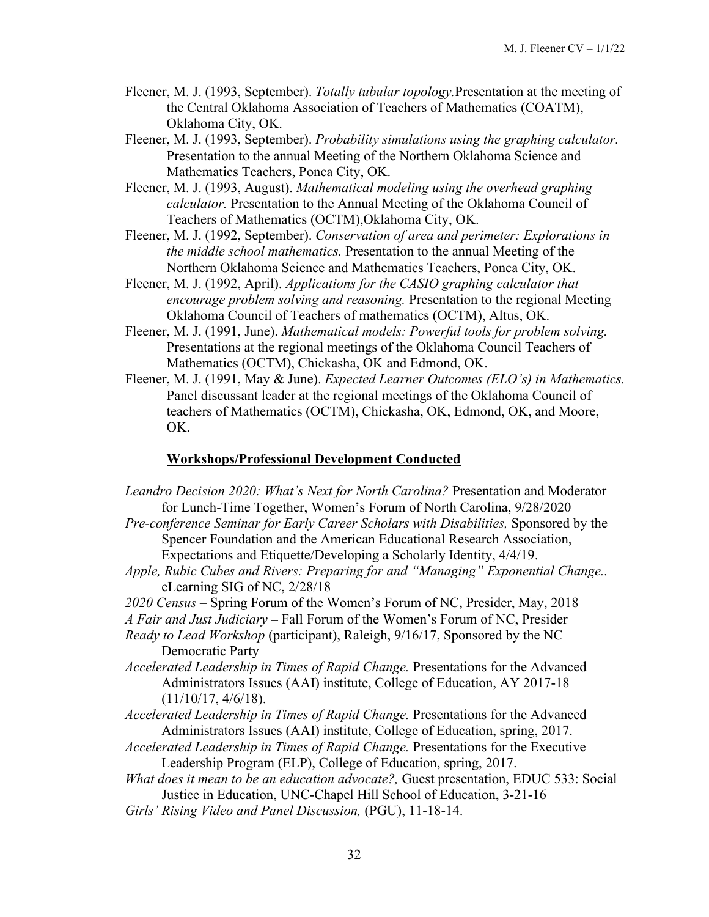- Fleener, M. J. (1993, September). *Totally tubular topology.*Presentation at the meeting of the Central Oklahoma Association of Teachers of Mathematics (COATM), Oklahoma City, OK.
- Fleener, M. J. (1993, September). *Probability simulations using the graphing calculator.*  Presentation to the annual Meeting of the Northern Oklahoma Science and Mathematics Teachers, Ponca City, OK.
- Fleener, M. J. (1993, August). *Mathematical modeling using the overhead graphing calculator.* Presentation to the Annual Meeting of the Oklahoma Council of Teachers of Mathematics (OCTM),Oklahoma City, OK.
- Fleener, M. J. (1992, September). *Conservation of area and perimeter: Explorations in the middle school mathematics.* Presentation to the annual Meeting of the Northern Oklahoma Science and Mathematics Teachers, Ponca City, OK.
- Fleener, M. J. (1992, April). *Applications for the CASIO graphing calculator that encourage problem solving and reasoning.* Presentation to the regional Meeting Oklahoma Council of Teachers of mathematics (OCTM), Altus, OK.
- Fleener, M. J. (1991, June). *Mathematical models: Powerful tools for problem solving.*  Presentations at the regional meetings of the Oklahoma Council Teachers of Mathematics (OCTM), Chickasha, OK and Edmond, OK.
- Fleener, M. J. (1991, May & June). *Expected Learner Outcomes (ELO's) in Mathematics.* Panel discussant leader at the regional meetings of the Oklahoma Council of teachers of Mathematics (OCTM), Chickasha, OK, Edmond, OK, and Moore, OK.

## **Workshops/Professional Development Conducted**

- *Leandro Decision 2020: What's Next for North Carolina?* Presentation and Moderator for Lunch-Time Together, Women's Forum of North Carolina, 9/28/2020 *Pre-conference Seminar for Early Career Scholars with Disabilities,* Sponsored by the Spencer Foundation and the American Educational Research Association, Expectations and Etiquette/Developing a Scholarly Identity, 4/4/19. *Apple, Rubic Cubes and Rivers: Preparing for and "Managing" Exponential Change..*  eLearning SIG of NC, 2/28/18 *2020 Census –* Spring Forum of the Women's Forum of NC, Presider, May, 2018 *A Fair and Just Judiciary* – Fall Forum of the Women's Forum of NC, Presider *Ready to Lead Workshop* (participant), Raleigh, 9/16/17, Sponsored by the NC Democratic Party
- *Accelerated Leadership in Times of Rapid Change.* Presentations for the Advanced Administrators Issues (AAI) institute, College of Education, AY 2017-18  $(11/10/17, 4/6/18).$
- *Accelerated Leadership in Times of Rapid Change.* Presentations for the Advanced Administrators Issues (AAI) institute, College of Education, spring, 2017.
- *Accelerated Leadership in Times of Rapid Change.* Presentations for the Executive Leadership Program (ELP), College of Education, spring, 2017.
- *What does it mean to be an education advocate?,* Guest presentation, EDUC 533: Social Justice in Education, UNC-Chapel Hill School of Education, 3-21-16
- *Girls' Rising Video and Panel Discussion,* (PGU), 11-18-14.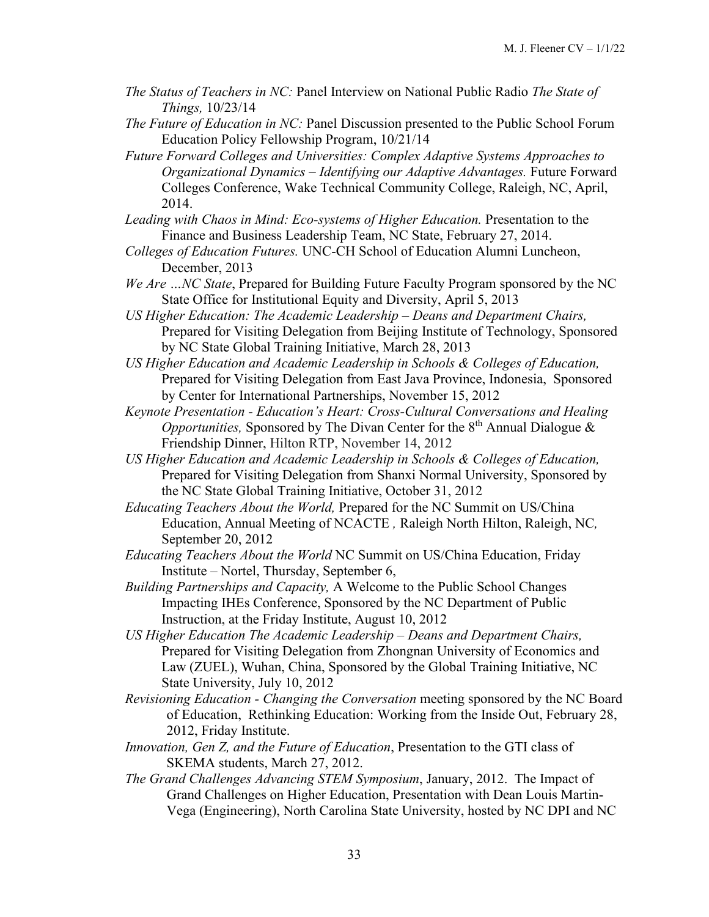- *The Status of Teachers in NC:* Panel Interview on National Public Radio *The State of Things,* 10/23/14
- *The Future of Education in NC:* Panel Discussion presented to the Public School Forum Education Policy Fellowship Program, 10/21/14
- *Future Forward Colleges and Universities: Complex Adaptive Systems Approaches to Organizational Dynamics – Identifying our Adaptive Advantages.* Future Forward Colleges Conference, Wake Technical Community College, Raleigh, NC, April, 2014.
- *Leading with Chaos in Mind: Eco-systems of Higher Education.* Presentation to the Finance and Business Leadership Team, NC State, February 27, 2014.
- *Colleges of Education Futures.* UNC-CH School of Education Alumni Luncheon, December, 2013
- *We Are …NC State*, Prepared for Building Future Faculty Program sponsored by the NC State Office for Institutional Equity and Diversity, April 5, 2013
- *US Higher Education: The Academic Leadership Deans and Department Chairs,*  Prepared for Visiting Delegation from Beijing Institute of Technology, Sponsored by NC State Global Training Initiative, March 28, 2013
- *US Higher Education and Academic Leadership in Schools & Colleges of Education,*  Prepared for Visiting Delegation from East Java Province, Indonesia, Sponsored by Center for International Partnerships, November 15, 2012
- *Keynote Presentation Education's Heart: Cross-Cultural Conversations and Healing Opportunities, Sponsored by The Divan Center for the 8<sup>th</sup> Annual Dialogue &* Friendship Dinner, Hilton RTP, November 14, 2012
- *US Higher Education and Academic Leadership in Schools & Colleges of Education,*  Prepared for Visiting Delegation from Shanxi Normal University, Sponsored by the NC State Global Training Initiative, October 31, 2012
- *Educating Teachers About the World,* Prepared for the NC Summit on US/China Education, Annual Meeting of NCACTE *,* Raleigh North Hilton, Raleigh, NC*,*  September 20, 2012
- *Educating Teachers About the World* NC Summit on US/China Education, Friday Institute – Nortel, Thursday, September 6,
- *Building Partnerships and Capacity,* A Welcome to the Public School Changes Impacting IHEs Conference, Sponsored by the NC Department of Public Instruction, at the Friday Institute, August 10, 2012
- *US Higher Education The Academic Leadership Deans and Department Chairs,*  Prepared for Visiting Delegation from Zhongnan University of Economics and Law (ZUEL), Wuhan, China, Sponsored by the Global Training Initiative, NC State University, July 10, 2012
- *Revisioning Education Changing the Conversation* meeting sponsored by the NC Board of Education, Rethinking Education: Working from the Inside Out, February 28, 2012, Friday Institute.
- *Innovation, Gen Z, and the Future of Education*, Presentation to the GTI class of SKEMA students, March 27, 2012.
- *The Grand Challenges Advancing STEM Symposium*, January, 2012. The Impact of Grand Challenges on Higher Education, Presentation with Dean Louis Martin-Vega (Engineering), North Carolina State University, hosted by NC DPI and NC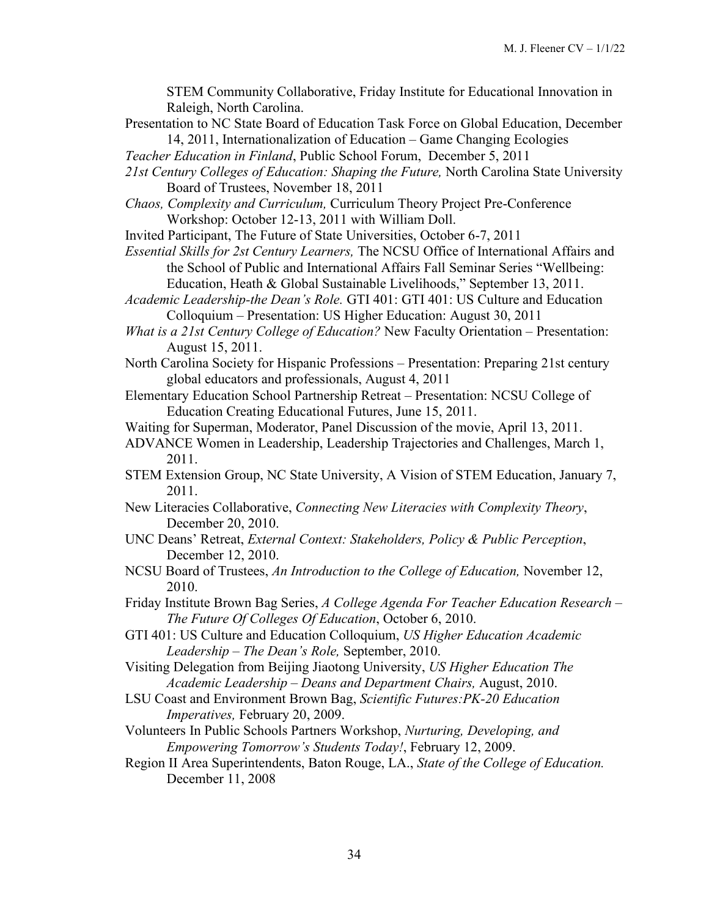STEM Community Collaborative, Friday Institute for Educational Innovation in Raleigh, North Carolina.

- Presentation to NC State Board of Education Task Force on Global Education, December 14, 2011, Internationalization of Education – Game Changing Ecologies
- *Teacher Education in Finland*, Public School Forum, December 5, 2011
- *21st Century Colleges of Education: Shaping the Future,* North Carolina State University Board of Trustees, November 18, 2011
- *Chaos, Complexity and Curriculum,* Curriculum Theory Project Pre-Conference Workshop: October 12-13, 2011 with William Doll.
- Invited Participant, The Future of State Universities, October 6-7, 2011
- *Essential Skills for 2st Century Learners,* The NCSU Office of International Affairs and the School of Public and International Affairs Fall Seminar Series "Wellbeing:
- Education, Heath & Global Sustainable Livelihoods," September 13, 2011. *Academic Leadership-the Dean's Role.* GTI 401: GTI 401: US Culture and Education Colloquium – Presentation: US Higher Education: August 30, 2011
- *What is a 21st Century College of Education?* New Faculty Orientation Presentation: August 15, 2011.
- North Carolina Society for Hispanic Professions Presentation: Preparing 21st century global educators and professionals, August 4, 2011
- Elementary Education School Partnership Retreat Presentation: NCSU College of Education Creating Educational Futures, June 15, 2011.
- Waiting for Superman, Moderator, Panel Discussion of the movie, April 13, 2011.
- ADVANCE Women in Leadership, Leadership Trajectories and Challenges, March 1, 2011.
- STEM Extension Group, NC State University, A Vision of STEM Education, January 7, 2011.
- New Literacies Collaborative, *Connecting New Literacies with Complexity Theory*, December 20, 2010.
- UNC Deans' Retreat, *External Context: Stakeholders, Policy & Public Perception*, December 12, 2010.
- NCSU Board of Trustees, *An Introduction to the College of Education,* November 12, 2010.
- Friday Institute Brown Bag Series, *A College Agenda For Teacher Education Research – The Future Of Colleges Of Education*, October 6, 2010.
- GTI 401: US Culture and Education Colloquium, *US Higher Education Academic Leadership – The Dean's Role,* September, 2010.
- Visiting Delegation from Beijing Jiaotong University, *US Higher Education The Academic Leadership – Deans and Department Chairs,* August, 2010.
- LSU Coast and Environment Brown Bag, *Scientific Futures:PK-20 Education Imperatives,* February 20, 2009.
- Volunteers In Public Schools Partners Workshop, *Nurturing, Developing, and Empowering Tomorrow's Students Today!*, February 12, 2009.
- Region II Area Superintendents, Baton Rouge, LA., *State of the College of Education.*  December 11, 2008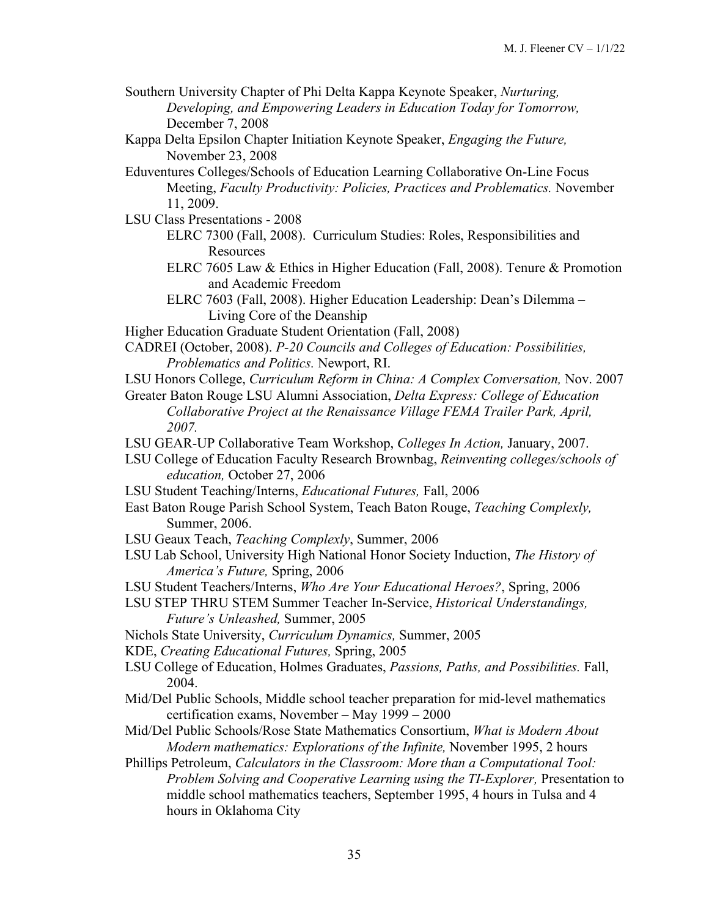- Southern University Chapter of Phi Delta Kappa Keynote Speaker, *Nurturing, Developing, and Empowering Leaders in Education Today for Tomorrow,*  December 7, 2008
- Kappa Delta Epsilon Chapter Initiation Keynote Speaker, *Engaging the Future,*  November 23, 2008
- Eduventures Colleges/Schools of Education Learning Collaborative On-Line Focus Meeting, *Faculty Productivity: Policies, Practices and Problematics.* November 11, 2009.
- LSU Class Presentations 2008
	- ELRC 7300 (Fall, 2008). Curriculum Studies: Roles, Responsibilities and Resources
	- ELRC 7605 Law & Ethics in Higher Education (Fall, 2008). Tenure & Promotion and Academic Freedom
	- ELRC 7603 (Fall, 2008). Higher Education Leadership: Dean's Dilemma Living Core of the Deanship
- Higher Education Graduate Student Orientation (Fall, 2008)
- CADREI (October, 2008). *P-20 Councils and Colleges of Education: Possibilities, Problematics and Politics.* Newport, RI.
- LSU Honors College, *Curriculum Reform in China: A Complex Conversation,* Nov. 2007
- Greater Baton Rouge LSU Alumni Association, *Delta Express: College of Education Collaborative Project at the Renaissance Village FEMA Trailer Park, April, 2007.*
- LSU GEAR-UP Collaborative Team Workshop, *Colleges In Action,* January, 2007.
- LSU College of Education Faculty Research Brownbag, *Reinventing colleges/schools of education,* October 27, 2006
- LSU Student Teaching/Interns, *Educational Futures,* Fall, 2006
- East Baton Rouge Parish School System, Teach Baton Rouge, *Teaching Complexly,*  Summer, 2006.
- LSU Geaux Teach, *Teaching Complexly*, Summer, 2006
- LSU Lab School, University High National Honor Society Induction, *The History of America's Future,* Spring, 2006
- LSU Student Teachers/Interns, *Who Are Your Educational Heroes?*, Spring, 2006
- LSU STEP THRU STEM Summer Teacher In-Service, *Historical Understandings, Future's Unleashed,* Summer, 2005
- Nichols State University, *Curriculum Dynamics,* Summer, 2005
- KDE, *Creating Educational Futures,* Spring, 2005
- LSU College of Education, Holmes Graduates, *Passions, Paths, and Possibilities.* Fall, 2004.
- Mid/Del Public Schools, Middle school teacher preparation for mid-level mathematics certification exams, November – May 1999 – 2000
- Mid/Del Public Schools/Rose State Mathematics Consortium, *What is Modern About Modern mathematics: Explorations of the Infinite,* November 1995, 2 hours
- Phillips Petroleum, *Calculators in the Classroom: More than a Computational Tool: Problem Solving and Cooperative Learning using the TI-Explorer, Presentation to* middle school mathematics teachers, September 1995, 4 hours in Tulsa and 4 hours in Oklahoma City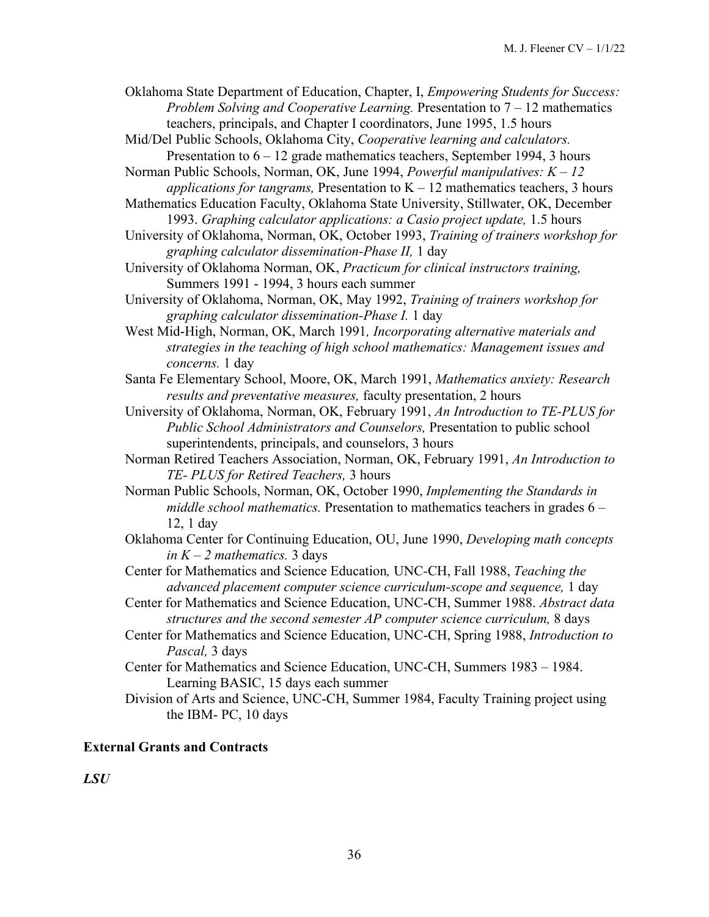Oklahoma State Department of Education, Chapter, I, *Empowering Students for Success: Problem Solving and Cooperative Learning.* Presentation to 7 – 12 mathematics teachers, principals, and Chapter I coordinators, June 1995, 1.5 hours

Mid/Del Public Schools, Oklahoma City, *Cooperative learning and calculators.* Presentation to  $6 - 12$  grade mathematics teachers, September 1994, 3 hours

Norman Public Schools, Norman, OK, June 1994, *Powerful manipulatives: K – 12 applications for tangrams, Presentation to*  $K - 12$  mathematics teachers, 3 hours

- Mathematics Education Faculty, Oklahoma State University, Stillwater, OK, December 1993. *Graphing calculator applications: a Casio project update,* 1.5 hours
- University of Oklahoma, Norman, OK, October 1993, *Training of trainers workshop for graphing calculator dissemination-Phase II,* 1 day

University of Oklahoma Norman, OK, *Practicum for clinical instructors training,*  Summers 1991 - 1994, 3 hours each summer

University of Oklahoma, Norman, OK, May 1992, *Training of trainers workshop for graphing calculator dissemination-Phase I.* 1 day

West Mid-High, Norman, OK, March 1991*, Incorporating alternative materials and strategies in the teaching of high school mathematics: Management issues and concerns.* 1 day

Santa Fe Elementary School, Moore, OK, March 1991, *Mathematics anxiety: Research results and preventative measures,* faculty presentation, 2 hours

University of Oklahoma, Norman, OK, February 1991, *An Introduction to TE-PLUS for Public School Administrators and Counselors,* Presentation to public school superintendents, principals, and counselors, 3 hours

Norman Retired Teachers Association, Norman, OK, February 1991, *An Introduction to TE- PLUS for Retired Teachers,* 3 hours

Norman Public Schools, Norman, OK, October 1990, *Implementing the Standards in middle school mathematics.* Presentation to mathematics teachers in grades 6 – 12, 1 day

Oklahoma Center for Continuing Education, OU, June 1990, *Developing math concepts in K – 2 mathematics.* 3 days

Center for Mathematics and Science Education*,* UNC*-*CH, Fall 1988, *Teaching the advanced placement computer science curriculum-scope and sequence,* 1 day

- Center for Mathematics and Science Education, UNC-CH, Summer 1988. *Abstract data structures and the second semester AP computer science curriculum,* 8 days
- Center for Mathematics and Science Education, UNC-CH, Spring 1988, *Introduction to Pascal,* 3 days

Center for Mathematics and Science Education, UNC-CH, Summers 1983 – 1984. Learning BASIC, 15 days each summer

Division of Arts and Science, UNC-CH, Summer 1984, Faculty Training project using the IBM- PC, 10 days

### **External Grants and Contracts**

*LSU*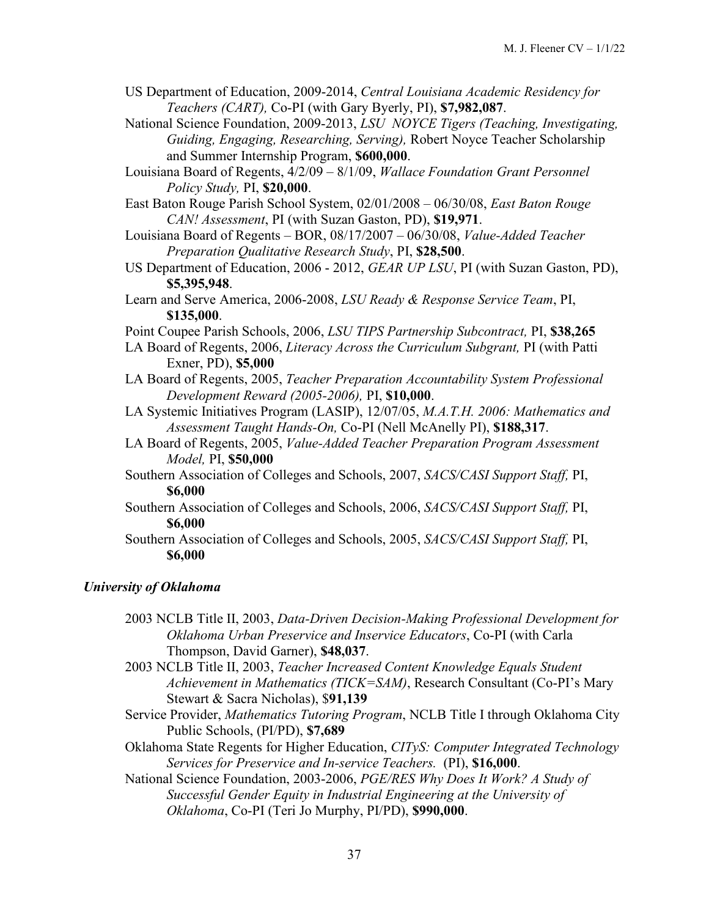- US Department of Education, 2009-2014, *Central Louisiana Academic Residency for Teachers (CART),* Co-PI (with Gary Byerly, PI), **\$7,982,087**.
- National Science Foundation, 2009-2013, *LSU NOYCE Tigers (Teaching, Investigating, Guiding, Engaging, Researching, Serving),* Robert Noyce Teacher Scholarship and Summer Internship Program, **\$600,000**.
- Louisiana Board of Regents, 4/2/09 8/1/09, *Wallace Foundation Grant Personnel Policy Study,* PI, **\$20,000**.
- East Baton Rouge Parish School System, 02/01/2008 06/30/08, *East Baton Rouge CAN! Assessment*, PI (with Suzan Gaston, PD), **\$19,971**.
- Louisiana Board of Regents BOR, 08/17/2007 06/30/08, *Value-Added Teacher Preparation Qualitative Research Study*, PI, **\$28,500**.
- US Department of Education, 2006 2012, *GEAR UP LSU*, PI (with Suzan Gaston, PD), **\$5,395,948**.
- Learn and Serve America, 2006-2008, *LSU Ready & Response Service Team*, PI, **\$135,000**.
- Point Coupee Parish Schools, 2006, *LSU TIPS Partnership Subcontract,* PI, **\$38,265**
- LA Board of Regents, 2006, *Literacy Across the Curriculum Subgrant,* PI (with Patti Exner, PD), **\$5,000**
- LA Board of Regents, 2005, *Teacher Preparation Accountability System Professional Development Reward (2005-2006),* PI, **\$10,000**.
- LA Systemic Initiatives Program (LASIP), 12/07/05, *M.A.T.H. 2006: Mathematics and Assessment Taught Hands-On,* Co-PI (Nell McAnelly PI), **\$188,317**.
- LA Board of Regents, 2005, *Value-Added Teacher Preparation Program Assessment Model,* PI, **\$50,000**
- Southern Association of Colleges and Schools, 2007, *SACS/CASI Support Staff,* PI, **\$6,000**
- Southern Association of Colleges and Schools, 2006, *SACS/CASI Support Staff,* PI, **\$6,000**
- Southern Association of Colleges and Schools, 2005, *SACS/CASI Support Staff,* PI, **\$6,000**

# *University of Oklahoma*

- 2003 NCLB Title II, 2003, *Data-Driven Decision-Making Professional Development for Oklahoma Urban Preservice and Inservice Educators*, Co-PI (with Carla Thompson, David Garner), **\$48,037**.
- 2003 NCLB Title II, 2003, *Teacher Increased Content Knowledge Equals Student Achievement in Mathematics (TICK=SAM)*, Research Consultant (Co-PI's Mary Stewart & Sacra Nicholas), \$**91,139**
- Service Provider, *Mathematics Tutoring Program*, NCLB Title I through Oklahoma City Public Schools, (PI/PD), **\$7,689**
- Oklahoma State Regents for Higher Education, *CITyS: Computer Integrated Technology Services for Preservice and In-service Teachers.* (PI), **\$16,000**.
- National Science Foundation, 2003-2006, *PGE/RES Why Does It Work? A Study of Successful Gender Equity in Industrial Engineering at the University of Oklahoma*, Co-PI (Teri Jo Murphy, PI/PD), **\$990,000**.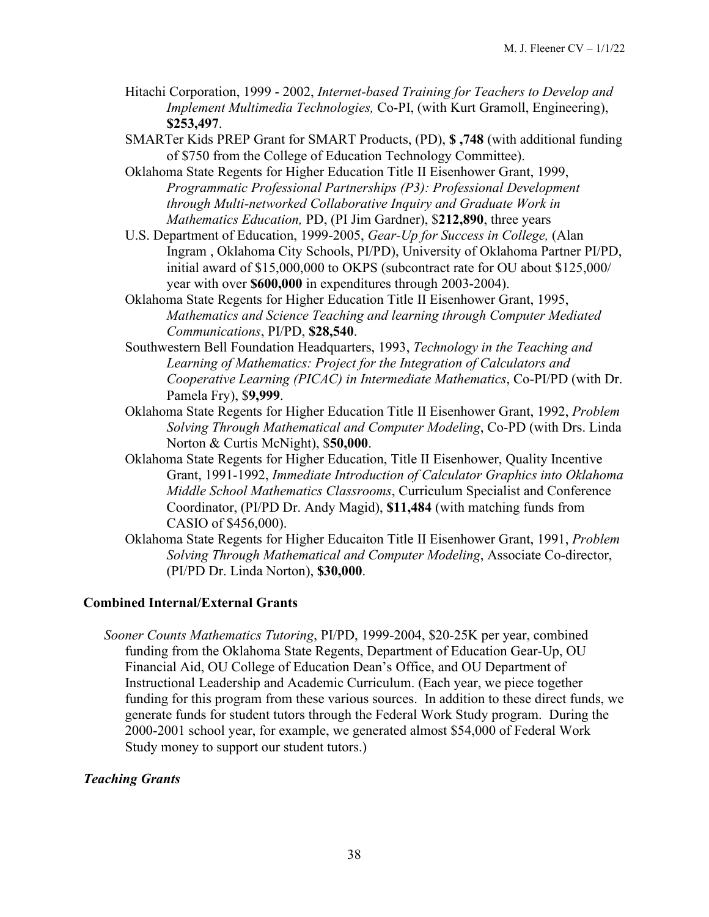- Hitachi Corporation, 1999 2002, *Internet-based Training for Teachers to Develop and Implement Multimedia Technologies,* Co-PI, (with Kurt Gramoll, Engineering), **\$253,497**.
- SMARTer Kids PREP Grant for SMART Products, (PD), **\$ ,748** (with additional funding of \$750 from the College of Education Technology Committee).
- Oklahoma State Regents for Higher Education Title II Eisenhower Grant, 1999, *Programmatic Professional Partnerships (P3): Professional Development through Multi-networked Collaborative Inquiry and Graduate Work in Mathematics Education,* PD, (PI Jim Gardner), \$**212,890**, three years
- U.S. Department of Education, 1999-2005, *Gear-Up for Success in College,* (Alan Ingram , Oklahoma City Schools, PI/PD), University of Oklahoma Partner PI/PD, initial award of \$15,000,000 to OKPS (subcontract rate for OU about \$125,000/ year with over **\$600,000** in expenditures through 2003-2004).
- Oklahoma State Regents for Higher Education Title II Eisenhower Grant, 1995, *Mathematics and Science Teaching and learning through Computer Mediated Communications*, PI/PD, **\$28,540**.
- Southwestern Bell Foundation Headquarters, 1993, *Technology in the Teaching and Learning of Mathematics: Project for the Integration of Calculators and Cooperative Learning (PICAC) in Intermediate Mathematics*, Co-PI/PD (with Dr. Pamela Fry), \$**9,999**.
- Oklahoma State Regents for Higher Education Title II Eisenhower Grant, 1992, *Problem Solving Through Mathematical and Computer Modeling*, Co-PD (with Drs. Linda Norton & Curtis McNight), \$**50,000**.
- Oklahoma State Regents for Higher Education, Title II Eisenhower, Quality Incentive Grant, 1991-1992, *Immediate Introduction of Calculator Graphics into Oklahoma Middle School Mathematics Classrooms*, Curriculum Specialist and Conference Coordinator, (PI/PD Dr. Andy Magid), **\$11,484** (with matching funds from CASIO of \$456,000).
- Oklahoma State Regents for Higher Educaiton Title II Eisenhower Grant, 1991, *Problem Solving Through Mathematical and Computer Modeling*, Associate Co-director, (PI/PD Dr. Linda Norton), **\$30,000**.

# **Combined Internal/External Grants**

*Sooner Counts Mathematics Tutoring*, PI/PD, 1999-2004, \$20-25K per year, combined funding from the Oklahoma State Regents, Department of Education Gear-Up, OU Financial Aid, OU College of Education Dean's Office, and OU Department of Instructional Leadership and Academic Curriculum. (Each year, we piece together funding for this program from these various sources. In addition to these direct funds, we generate funds for student tutors through the Federal Work Study program. During the 2000-2001 school year, for example, we generated almost \$54,000 of Federal Work Study money to support our student tutors.)

### *Teaching Grants*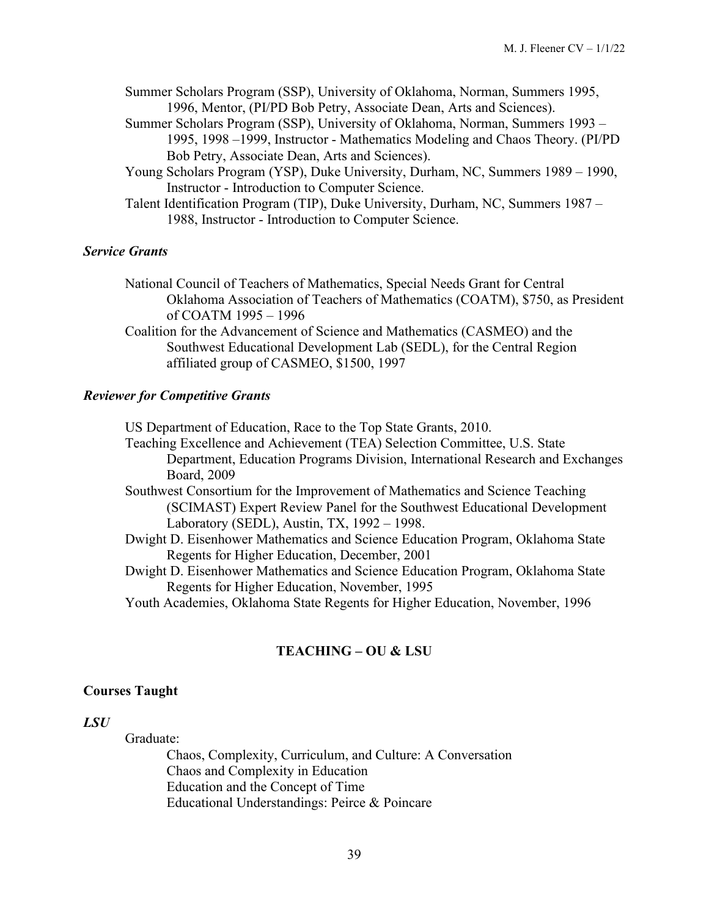- Summer Scholars Program (SSP), University of Oklahoma, Norman, Summers 1995, 1996, Mentor, (PI/PD Bob Petry, Associate Dean, Arts and Sciences).
- Summer Scholars Program (SSP), University of Oklahoma, Norman, Summers 1993 1995, 1998 –1999, Instructor - Mathematics Modeling and Chaos Theory. (PI/PD Bob Petry, Associate Dean, Arts and Sciences).
- Young Scholars Program (YSP), Duke University, Durham, NC, Summers 1989 1990, Instructor - Introduction to Computer Science.
- Talent Identification Program (TIP), Duke University, Durham, NC, Summers 1987 1988, Instructor - Introduction to Computer Science.

#### *Service Grants*

- National Council of Teachers of Mathematics, Special Needs Grant for Central Oklahoma Association of Teachers of Mathematics (COATM), \$750, as President of COATM 1995 – 1996
- Coalition for the Advancement of Science and Mathematics (CASMEO) and the Southwest Educational Development Lab (SEDL), for the Central Region affiliated group of CASMEO, \$1500, 1997

#### *Reviewer for Competitive Grants*

US Department of Education, Race to the Top State Grants, 2010.

- Teaching Excellence and Achievement (TEA) Selection Committee, U.S. State Department, Education Programs Division, International Research and Exchanges Board, 2009
- Southwest Consortium for the Improvement of Mathematics and Science Teaching (SCIMAST) Expert Review Panel for the Southwest Educational Development Laboratory (SEDL), Austin, TX, 1992 – 1998.
- Dwight D. Eisenhower Mathematics and Science Education Program, Oklahoma State Regents for Higher Education, December, 2001
- Dwight D. Eisenhower Mathematics and Science Education Program, Oklahoma State Regents for Higher Education, November, 1995
- Youth Academies, Oklahoma State Regents for Higher Education, November, 1996

### **TEACHING – OU & LSU**

#### **Courses Taught**

#### *LSU*

Graduate:

Chaos, Complexity, Curriculum, and Culture: A Conversation Chaos and Complexity in Education Education and the Concept of Time Educational Understandings: Peirce & Poincare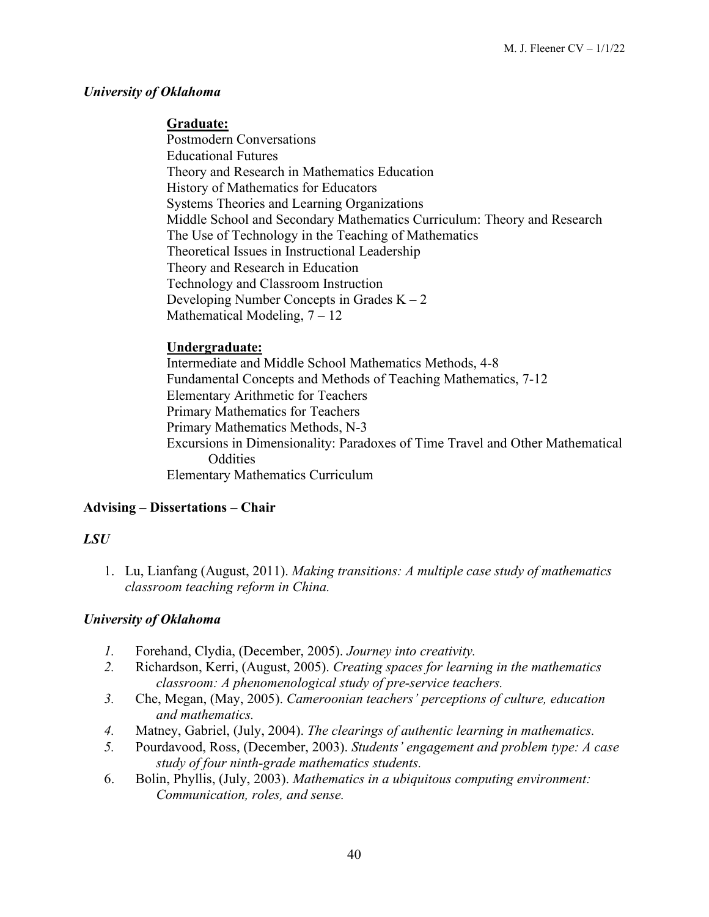### *University of Oklahoma*

### **Graduate:**

 Postmodern Conversations Educational Futures Theory and Research in Mathematics Education History of Mathematics for Educators Systems Theories and Learning Organizations Middle School and Secondary Mathematics Curriculum: Theory and Research The Use of Technology in the Teaching of Mathematics Theoretical Issues in Instructional Leadership Theory and Research in Education Technology and Classroom Instruction Developing Number Concepts in Grades  $K - 2$ Mathematical Modeling,  $7 - 12$ 

### **Undergraduate:**

 Intermediate and Middle School Mathematics Methods, 4-8 Fundamental Concepts and Methods of Teaching Mathematics, 7-12 Elementary Arithmetic for Teachers Primary Mathematics for Teachers Primary Mathematics Methods, N-3 Excursions in Dimensionality: Paradoxes of Time Travel and Other Mathematical **Oddities** Elementary Mathematics Curriculum

# **Advising – Dissertations – Chair**

# *LSU*

1. Lu, Lianfang (August, 2011). *Making transitions: A multiple case study of mathematics classroom teaching reform in China.*

# *University of Oklahoma*

- *1.* Forehand, Clydia, (December, 2005). *Journey into creativity.*
- *2.* Richardson, Kerri, (August, 2005). *Creating spaces for learning in the mathematics classroom: A phenomenological study of pre-service teachers.*
- *3.* Che, Megan, (May, 2005). *Cameroonian teachers' perceptions of culture, education and mathematics.*
- *4.* Matney, Gabriel, (July, 2004). *The clearings of authentic learning in mathematics.*
- *5.* Pourdavood, Ross, (December, 2003). *Students' engagement and problem type: A case study of four ninth-grade mathematics students.*
- 6. Bolin, Phyllis, (July, 2003). *Mathematics in a ubiquitous computing environment: Communication, roles, and sense.*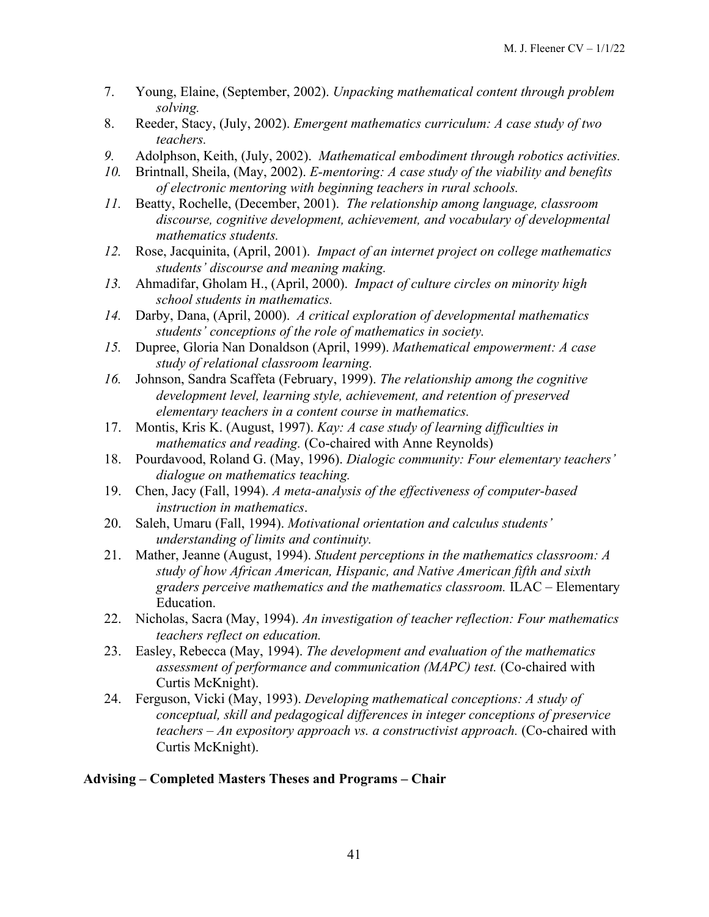- 7. Young, Elaine, (September, 2002). *Unpacking mathematical content through problem solving.*
- 8. Reeder, Stacy, (July, 2002). *Emergent mathematics curriculum: A case study of two teachers.*
- *9.* Adolphson, Keith, (July, 2002). *Mathematical embodiment through robotics activities.*
- *10.* Brintnall, Sheila, (May, 2002). *E-mentoring: A case study of the viability and benefits of electronic mentoring with beginning teachers in rural schools.*
- *11.* Beatty, Rochelle, (December, 2001). *The relationship among language, classroom discourse, cognitive development, achievement, and vocabulary of developmental mathematics students.*
- *12.* Rose, Jacquinita, (April, 2001). *Impact of an internet project on college mathematics students' discourse and meaning making.*
- *13.* Ahmadifar, Gholam H., (April, 2000). *Impact of culture circles on minority high school students in mathematics.*
- *14.* Darby, Dana, (April, 2000). *A critical exploration of developmental mathematics students' conceptions of the role of mathematics in society.*
- *15.* Dupree, Gloria Nan Donaldson (April, 1999). *Mathematical empowerment: A case study of relational classroom learning.*
- *16.* Johnson, Sandra Scaffeta (February, 1999). *The relationship among the cognitive development level, learning style, achievement, and retention of preserved elementary teachers in a content course in mathematics.*
- 17. Montis, Kris K. (August, 1997). *Kay: A case study of learning difficulties in mathematics and reading.* (Co-chaired with Anne Reynolds)
- 18. Pourdavood, Roland G. (May, 1996). *Dialogic community: Four elementary teachers' dialogue on mathematics teaching.*
- 19. Chen, Jacy (Fall, 1994). *A meta-analysis of the effectiveness of computer-based instruction in mathematics*.
- 20. Saleh, Umaru (Fall, 1994). *Motivational orientation and calculus students' understanding of limits and continuity.*
- 21. Mather, Jeanne (August, 1994). *Student perceptions in the mathematics classroom: A study of how African American, Hispanic, and Native American fifth and sixth graders perceive mathematics and the mathematics classroom.* ILAC – Elementary Education.
- 22. Nicholas, Sacra (May, 1994). *An investigation of teacher reflection: Four mathematics teachers reflect on education.*
- 23. Easley, Rebecca (May, 1994). *The development and evaluation of the mathematics assessment of performance and communication (MAPC) test.* (Co-chaired with Curtis McKnight).
- 24. Ferguson, Vicki (May, 1993). *Developing mathematical conceptions: A study of conceptual, skill and pedagogical differences in integer conceptions of preservice teachers – An expository approach vs. a constructivist approach.* (Co-chaired with Curtis McKnight).

### **Advising – Completed Masters Theses and Programs – Chair**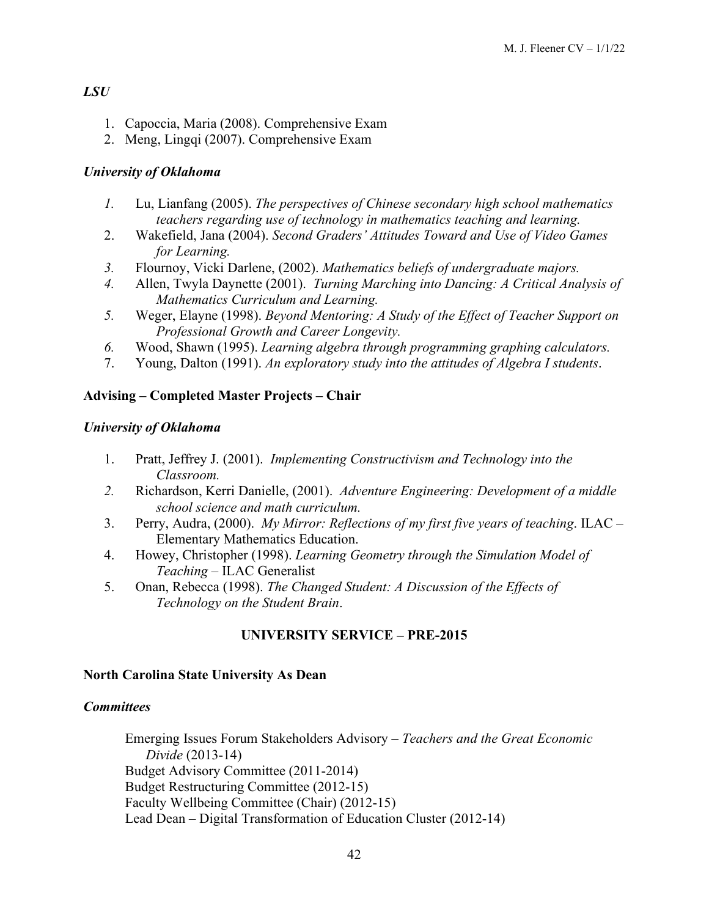# *LSU*

- 1. Capoccia, Maria (2008). Comprehensive Exam
- 2. Meng, Lingqi (2007). Comprehensive Exam

# *University of Oklahoma*

- *1.* Lu, Lianfang (2005). *The perspectives of Chinese secondary high school mathematics teachers regarding use of technology in mathematics teaching and learning.*
- 2. Wakefield, Jana (2004). *Second Graders' Attitudes Toward and Use of Video Games for Learning.*
- *3.* Flournoy, Vicki Darlene, (2002). *Mathematics beliefs of undergraduate majors.*
- *4.* Allen, Twyla Daynette (2001). *Turning Marching into Dancing: A Critical Analysis of Mathematics Curriculum and Learning.*
- *5.* Weger, Elayne (1998). *Beyond Mentoring: A Study of the Effect of Teacher Support on Professional Growth and Career Longevity.*
- *6.* Wood, Shawn (1995). *Learning algebra through programming graphing calculators.*
- 7. Young, Dalton (1991). *An exploratory study into the attitudes of Algebra I students*.

# **Advising – Completed Master Projects – Chair**

# *University of Oklahoma*

- 1. Pratt, Jeffrey J. (2001). *Implementing Constructivism and Technology into the Classroom.*
- *2.* Richardson, Kerri Danielle, (2001). *Adventure Engineering: Development of a middle school science and math curriculum.*
- 3. Perry, Audra, (2000). *My Mirror: Reflections of my first five years of teaching*. ILAC Elementary Mathematics Education.
- 4. Howey, Christopher (1998). *Learning Geometry through the Simulation Model of Teaching* – ILAC Generalist
- 5. Onan, Rebecca (1998). *The Changed Student: A Discussion of the Effects of Technology on the Student Brain*.

# **UNIVERSITY SERVICE – PRE-2015**

# **North Carolina State University As Dean**

# *Committees*

Emerging Issues Forum Stakeholders Advisory – *Teachers and the Great Economic Divide* (2013-14) Budget Advisory Committee (2011-2014) Budget Restructuring Committee (2012-15) Faculty Wellbeing Committee (Chair) (2012-15) Lead Dean – Digital Transformation of Education Cluster (2012-14)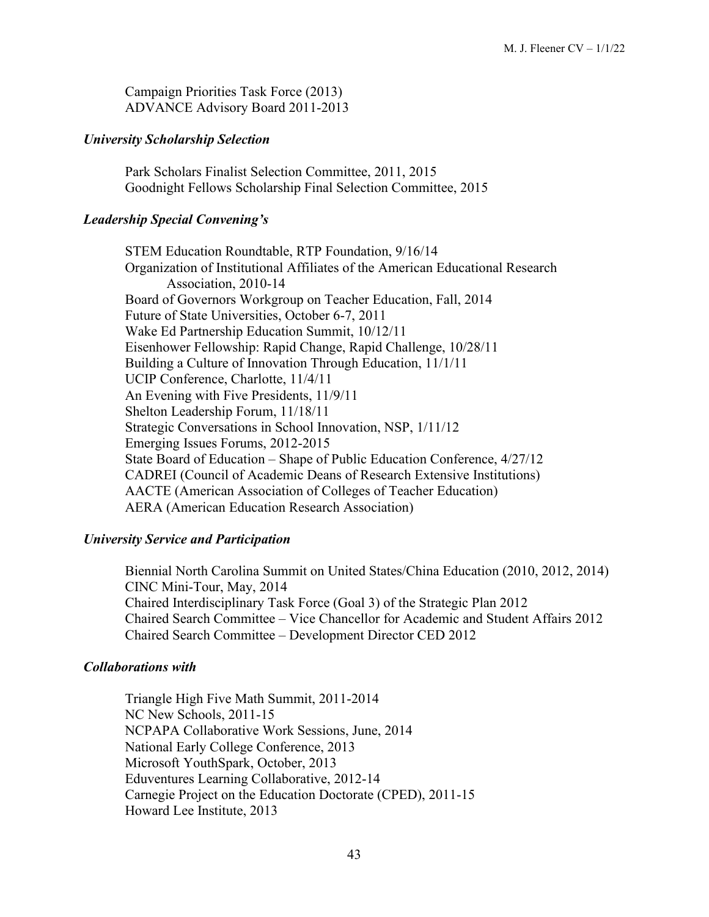Campaign Priorities Task Force (2013) ADVANCE Advisory Board 2011-2013

### *University Scholarship Selection*

Park Scholars Finalist Selection Committee, 2011, 2015 Goodnight Fellows Scholarship Final Selection Committee, 2015

### *Leadership Special Convening's*

STEM Education Roundtable, RTP Foundation, 9/16/14 Organization of Institutional Affiliates of the American Educational Research Association, 2010-14 Board of Governors Workgroup on Teacher Education, Fall, 2014 Future of State Universities, October 6-7, 2011 Wake Ed Partnership Education Summit, 10/12/11 Eisenhower Fellowship: Rapid Change, Rapid Challenge, 10/28/11 Building a Culture of Innovation Through Education, 11/1/11 UCIP Conference, Charlotte, 11/4/11 An Evening with Five Presidents, 11/9/11 Shelton Leadership Forum, 11/18/11 Strategic Conversations in School Innovation, NSP, 1/11/12 Emerging Issues Forums, 2012-2015 State Board of Education – Shape of Public Education Conference, 4/27/12 CADREI (Council of Academic Deans of Research Extensive Institutions) AACTE (American Association of Colleges of Teacher Education) AERA (American Education Research Association)

# *University Service and Participation*

Biennial North Carolina Summit on United States/China Education (2010, 2012, 2014) CINC Mini-Tour, May, 2014 Chaired Interdisciplinary Task Force (Goal 3) of the Strategic Plan 2012 Chaired Search Committee – Vice Chancellor for Academic and Student Affairs 2012 Chaired Search Committee – Development Director CED 2012

# *Collaborations with*

Triangle High Five Math Summit, 2011-2014 NC New Schools, 2011-15 NCPAPA Collaborative Work Sessions, June, 2014 National Early College Conference, 2013 Microsoft YouthSpark, October, 2013 Eduventures Learning Collaborative, 2012-14 Carnegie Project on the Education Doctorate (CPED), 2011-15 Howard Lee Institute, 2013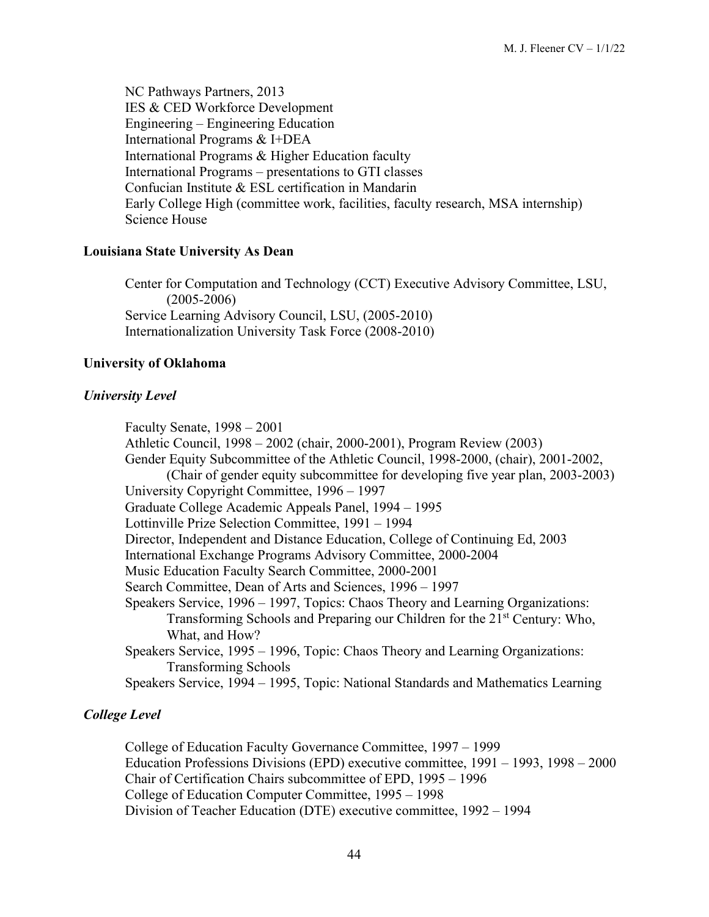NC Pathways Partners, 2013 IES & CED Workforce Development Engineering – Engineering Education International Programs & I+DEA International Programs & Higher Education faculty International Programs – presentations to GTI classes Confucian Institute & ESL certification in Mandarin Early College High (committee work, facilities, faculty research, MSA internship) Science House

### **Louisiana State University As Dean**

Center for Computation and Technology (CCT) Executive Advisory Committee, LSU, (2005-2006) Service Learning Advisory Council, LSU, (2005-2010) Internationalization University Task Force (2008-2010)

#### **University of Oklahoma**

#### *University Level*

Faculty Senate, 1998 – 2001 Athletic Council, 1998 – 2002 (chair, 2000-2001), Program Review (2003) Gender Equity Subcommittee of the Athletic Council, 1998-2000, (chair), 2001-2002, (Chair of gender equity subcommittee for developing five year plan, 2003-2003) University Copyright Committee, 1996 – 1997 Graduate College Academic Appeals Panel, 1994 – 1995 Lottinville Prize Selection Committee, 1991 – 1994 Director, Independent and Distance Education, College of Continuing Ed, 2003 International Exchange Programs Advisory Committee, 2000-2004 Music Education Faculty Search Committee, 2000-2001 Search Committee, Dean of Arts and Sciences, 1996 – 1997 Speakers Service, 1996 – 1997, Topics: Chaos Theory and Learning Organizations: Transforming Schools and Preparing our Children for the 21<sup>st</sup> Century: Who, What, and How? Speakers Service, 1995 – 1996, Topic: Chaos Theory and Learning Organizations: Transforming Schools Speakers Service, 1994 – 1995, Topic: National Standards and Mathematics Learning

### *College Level*

College of Education Faculty Governance Committee, 1997 – 1999 Education Professions Divisions (EPD) executive committee, 1991 – 1993, 1998 – 2000 Chair of Certification Chairs subcommittee of EPD, 1995 – 1996 College of Education Computer Committee, 1995 – 1998 Division of Teacher Education (DTE) executive committee, 1992 – 1994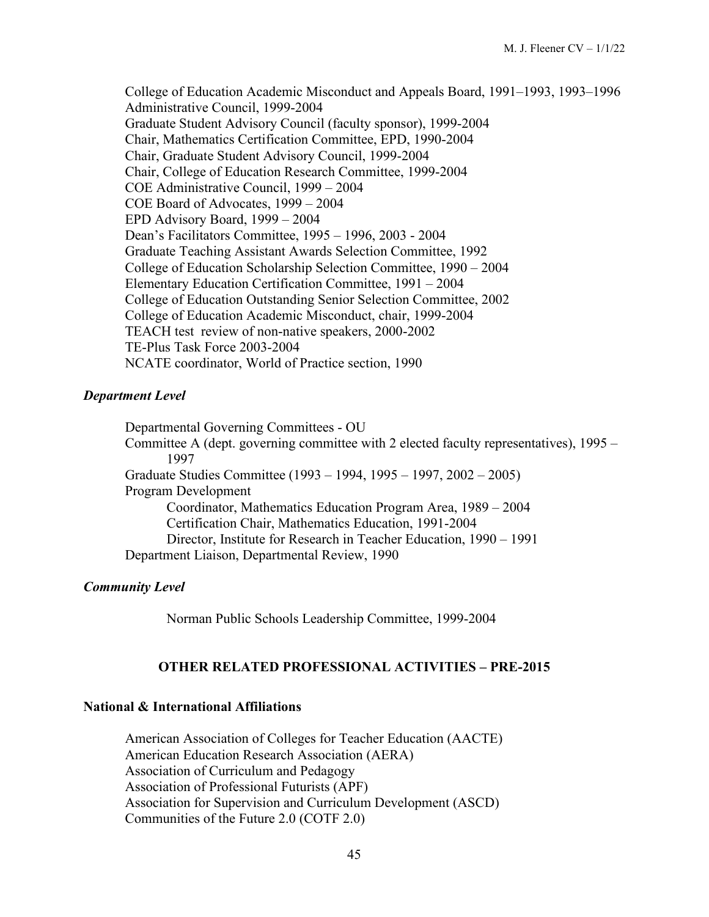College of Education Academic Misconduct and Appeals Board, 1991–1993, 1993–1996 Administrative Council, 1999-2004 Graduate Student Advisory Council (faculty sponsor), 1999-2004 Chair, Mathematics Certification Committee, EPD, 1990-2004 Chair, Graduate Student Advisory Council, 1999-2004 Chair, College of Education Research Committee, 1999-2004 COE Administrative Council, 1999 – 2004 COE Board of Advocates, 1999 – 2004 EPD Advisory Board, 1999 – 2004 Dean's Facilitators Committee, 1995 – 1996, 2003 - 2004 Graduate Teaching Assistant Awards Selection Committee, 1992 College of Education Scholarship Selection Committee, 1990 – 2004 Elementary Education Certification Committee, 1991 – 2004 College of Education Outstanding Senior Selection Committee, 2002 College of Education Academic Misconduct, chair, 1999-2004 TEACH test review of non-native speakers, 2000-2002 TE-Plus Task Force 2003-2004 NCATE coordinator, World of Practice section, 1990

### *Department Level*

Departmental Governing Committees - OU Committee A (dept. governing committee with 2 elected faculty representatives), 1995 – 1997 Graduate Studies Committee (1993 – 1994, 1995 – 1997, 2002 – 2005) Program Development Coordinator, Mathematics Education Program Area, 1989 – 2004 Certification Chair, Mathematics Education, 1991-2004 Director, Institute for Research in Teacher Education, 1990 – 1991 Department Liaison, Departmental Review, 1990

#### *Community Level*

Norman Public Schools Leadership Committee, 1999-2004

### **OTHER RELATED PROFESSIONAL ACTIVITIES – PRE-2015**

#### **National & International Affiliations**

American Association of Colleges for Teacher Education (AACTE) American Education Research Association (AERA) Association of Curriculum and Pedagogy Association of Professional Futurists (APF) Association for Supervision and Curriculum Development (ASCD) Communities of the Future 2.0 (COTF 2.0)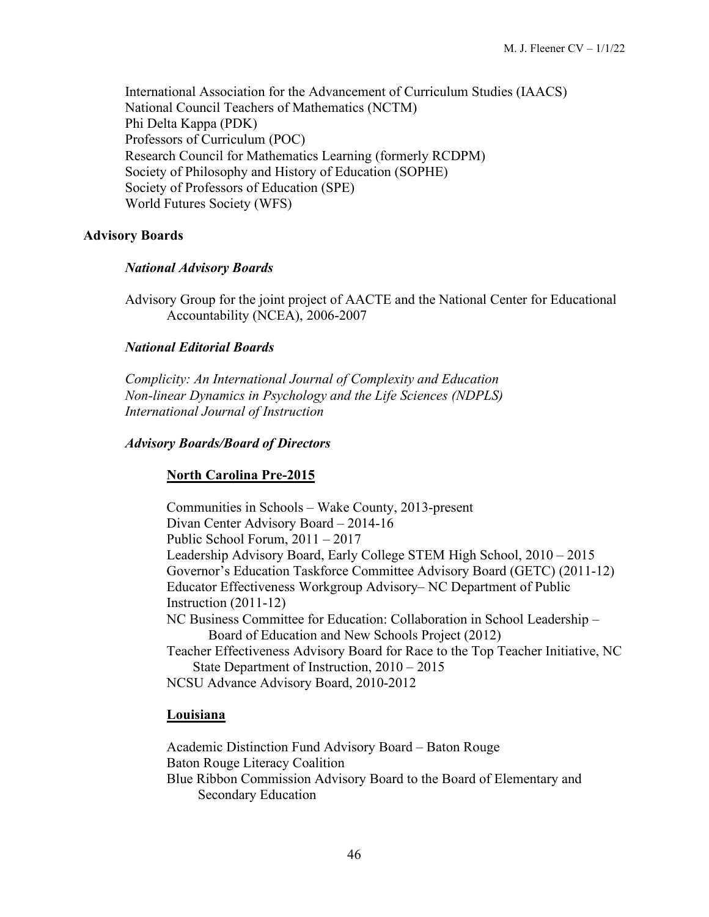International Association for the Advancement of Curriculum Studies (IAACS) National Council Teachers of Mathematics (NCTM) Phi Delta Kappa (PDK) Professors of Curriculum (POC) Research Council for Mathematics Learning (formerly RCDPM) Society of Philosophy and History of Education (SOPHE) Society of Professors of Education (SPE) World Futures Society (WFS)

### **Advisory Boards**

### *National Advisory Boards*

Advisory Group for the joint project of AACTE and the National Center for Educational Accountability (NCEA), 2006-2007

### *National Editorial Boards*

*Complicity: An International Journal of Complexity and Education Non-linear Dynamics in Psychology and the Life Sciences (NDPLS) International Journal of Instruction*

### *Advisory Boards/Board of Directors*

# **North Carolina Pre-2015**

Communities in Schools – Wake County, 2013-present Divan Center Advisory Board – 2014-16 Public School Forum, 2011 – 2017 Leadership Advisory Board, Early College STEM High School, 2010 – 2015 Governor's Education Taskforce Committee Advisory Board (GETC) (2011-12) Educator Effectiveness Workgroup Advisory– NC Department of Public Instruction (2011-12) NC Business Committee for Education: Collaboration in School Leadership – Board of Education and New Schools Project (2012) Teacher Effectiveness Advisory Board for Race to the Top Teacher Initiative, NC State Department of Instruction, 2010 – 2015 NCSU Advance Advisory Board, 2010-2012

### **Louisiana**

Academic Distinction Fund Advisory Board – Baton Rouge Baton Rouge Literacy Coalition Blue Ribbon Commission Advisory Board to the Board of Elementary and Secondary Education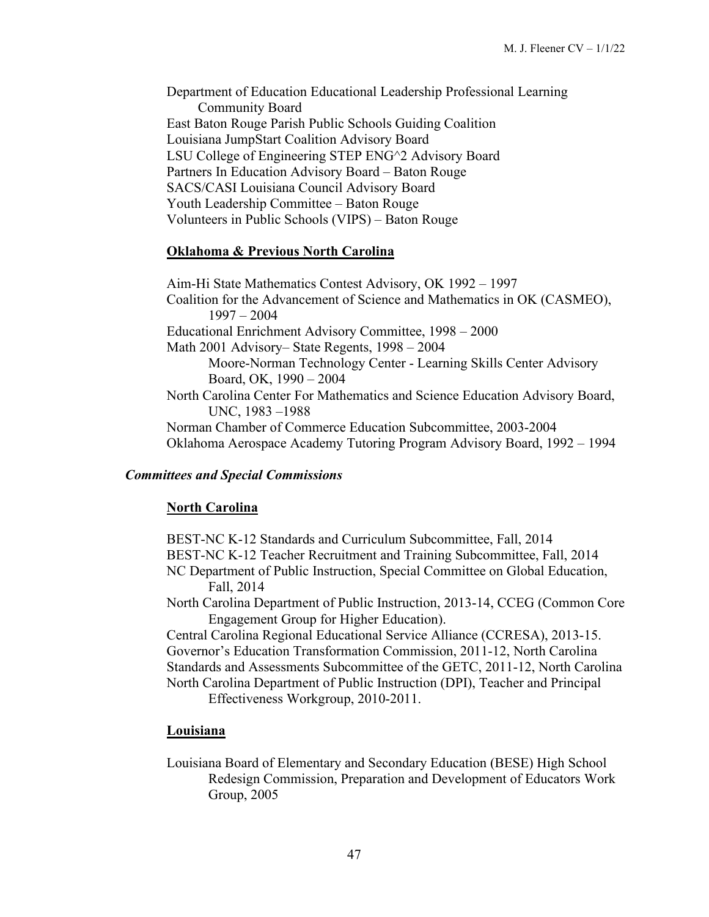Department of Education Educational Leadership Professional Learning Community Board East Baton Rouge Parish Public Schools Guiding Coalition Louisiana JumpStart Coalition Advisory Board LSU College of Engineering STEP ENG^2 Advisory Board Partners In Education Advisory Board – Baton Rouge SACS/CASI Louisiana Council Advisory Board Youth Leadership Committee – Baton Rouge Volunteers in Public Schools (VIPS) – Baton Rouge

### **Oklahoma & Previous North Carolina**

Aim-Hi State Mathematics Contest Advisory, OK 1992 – 1997 Coalition for the Advancement of Science and Mathematics in OK (CASMEO), 1997 – 2004 Educational Enrichment Advisory Committee, 1998 – 2000 Math 2001 Advisory– State Regents, 1998 – 2004 Moore-Norman Technology Center - Learning Skills Center Advisory Board, OK, 1990 – 2004 North Carolina Center For Mathematics and Science Education Advisory Board, UNC, 1983 –1988 Norman Chamber of Commerce Education Subcommittee, 2003-2004 Oklahoma Aerospace Academy Tutoring Program Advisory Board, 1992 – 1994

### *Committees and Special Commissions*

### **North Carolina**

BEST-NC K-12 Standards and Curriculum Subcommittee, Fall, 2014 BEST-NC K-12 Teacher Recruitment and Training Subcommittee, Fall, 2014 NC Department of Public Instruction, Special Committee on Global Education, Fall, 2014 North Carolina Department of Public Instruction, 2013-14, CCEG (Common Core

Engagement Group for Higher Education).

Central Carolina Regional Educational Service Alliance (CCRESA), 2013-15. Governor's Education Transformation Commission, 2011-12, North Carolina Standards and Assessments Subcommittee of the GETC, 2011-12, North Carolina North Carolina Department of Public Instruction (DPI), Teacher and Principal

Effectiveness Workgroup, 2010-2011.

### **Louisiana**

Louisiana Board of Elementary and Secondary Education (BESE) High School Redesign Commission, Preparation and Development of Educators Work Group, 2005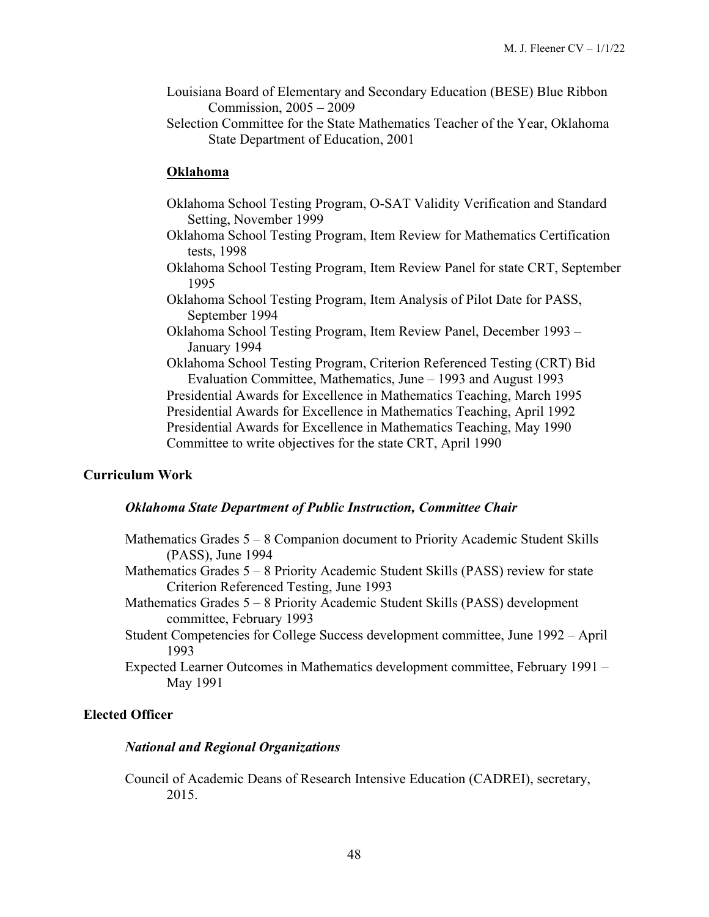- Louisiana Board of Elementary and Secondary Education (BESE) Blue Ribbon Commission, 2005 – 2009
- Selection Committee for the State Mathematics Teacher of the Year, Oklahoma State Department of Education, 2001

### **Oklahoma**

- Oklahoma School Testing Program, O-SAT Validity Verification and Standard Setting, November 1999
- Oklahoma School Testing Program, Item Review for Mathematics Certification tests, 1998
- Oklahoma School Testing Program, Item Review Panel for state CRT, September 1995
- Oklahoma School Testing Program, Item Analysis of Pilot Date for PASS, September 1994
- Oklahoma School Testing Program, Item Review Panel, December 1993 January 1994

Oklahoma School Testing Program, Criterion Referenced Testing (CRT) Bid Evaluation Committee, Mathematics, June – 1993 and August 1993 Presidential Awards for Excellence in Mathematics Teaching, March 1995 Presidential Awards for Excellence in Mathematics Teaching, April 1992 Presidential Awards for Excellence in Mathematics Teaching, May 1990 Committee to write objectives for the state CRT, April 1990

#### **Curriculum Work**

### *Oklahoma State Department of Public Instruction, Committee Chair*

- Mathematics Grades 5 8 Companion document to Priority Academic Student Skills (PASS), June 1994
- Mathematics Grades 5 8 Priority Academic Student Skills (PASS) review for state Criterion Referenced Testing, June 1993
- Mathematics Grades 5 8 Priority Academic Student Skills (PASS) development committee, February 1993
- Student Competencies for College Success development committee, June 1992 April 1993
- Expected Learner Outcomes in Mathematics development committee, February 1991 May 1991

### **Elected Officer**

#### *National and Regional Organizations*

Council of Academic Deans of Research Intensive Education (CADREI), secretary, 2015.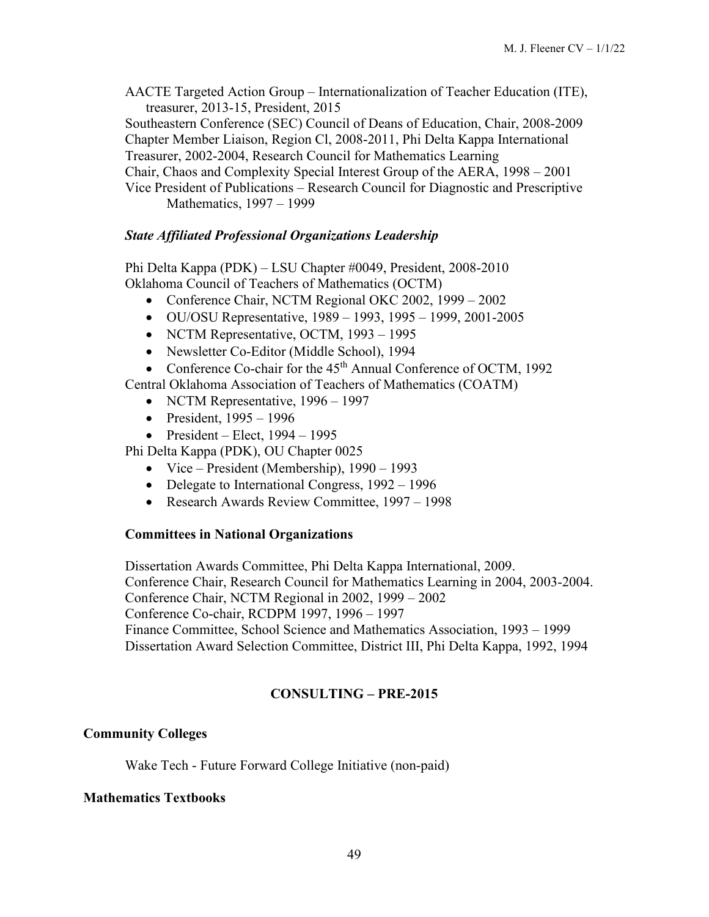AACTE Targeted Action Group – Internationalization of Teacher Education (ITE), treasurer, 2013-15, President, 2015

Southeastern Conference (SEC) Council of Deans of Education, Chair, 2008-2009 Chapter Member Liaison, Region Cl, 2008-2011, Phi Delta Kappa International Treasurer, 2002-2004, Research Council for Mathematics Learning

Chair, Chaos and Complexity Special Interest Group of the AERA, 1998 – 2001

### *State Affiliated Professional Organizations Leadership*

Phi Delta Kappa (PDK) – LSU Chapter #0049, President, 2008-2010 Oklahoma Council of Teachers of Mathematics (OCTM)

- Conference Chair, NCTM Regional OKC 2002, 1999 2002
- OU/OSU Representative, 1989 1993, 1995 1999, 2001-2005
- NCTM Representative, OCTM, 1993 1995
- Newsletter Co-Editor (Middle School), 1994
- Conference Co-chair for the  $45<sup>th</sup>$  Annual Conference of OCTM, 1992

Central Oklahoma Association of Teachers of Mathematics (COATM)

- NCTM Representative, 1996 1997
- President,  $1995 1996$
- President Elect,  $1994 1995$

Phi Delta Kappa (PDK), OU Chapter 0025

- Vice President (Membership), 1990 1993
- Delegate to International Congress, 1992 1996
- Research Awards Review Committee, 1997 1998

# **Committees in National Organizations**

Dissertation Awards Committee, Phi Delta Kappa International, 2009. Conference Chair, Research Council for Mathematics Learning in 2004, 2003-2004. Conference Chair, NCTM Regional in 2002, 1999 – 2002 Conference Co-chair, RCDPM 1997, 1996 – 1997 Finance Committee, School Science and Mathematics Association, 1993 – 1999 Dissertation Award Selection Committee, District III, Phi Delta Kappa, 1992, 1994

# **CONSULTING – PRE-2015**

# **Community Colleges**

Wake Tech - Future Forward College Initiative (non-paid)

# **Mathematics Textbooks**

Vice President of Publications – Research Council for Diagnostic and Prescriptive Mathematics, 1997 – 1999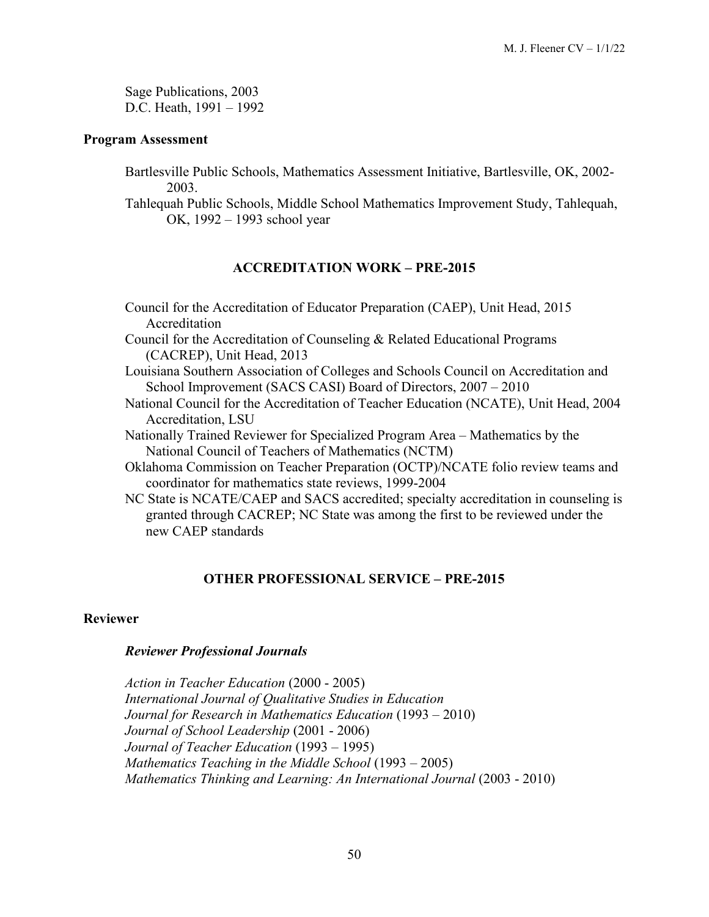Sage Publications, 2003 D.C. Heath, 1991 – 1992

#### **Program Assessment**

Bartlesville Public Schools, Mathematics Assessment Initiative, Bartlesville, OK, 2002- 2003.

Tahlequah Public Schools, Middle School Mathematics Improvement Study, Tahlequah, OK, 1992 – 1993 school year

# **ACCREDITATION WORK – PRE-2015**

- Council for the Accreditation of Educator Preparation (CAEP), Unit Head, 2015 Accreditation
- Council for the Accreditation of Counseling & Related Educational Programs (CACREP), Unit Head, 2013
- Louisiana Southern Association of Colleges and Schools Council on Accreditation and School Improvement (SACS CASI) Board of Directors, 2007 – 2010
- National Council for the Accreditation of Teacher Education (NCATE), Unit Head, 2004 Accreditation, LSU
- Nationally Trained Reviewer for Specialized Program Area Mathematics by the National Council of Teachers of Mathematics (NCTM)
- Oklahoma Commission on Teacher Preparation (OCTP)/NCATE folio review teams and coordinator for mathematics state reviews, 1999-2004
- NC State is NCATE/CAEP and SACS accredited; specialty accreditation in counseling is granted through CACREP; NC State was among the first to be reviewed under the new CAEP standards

# **OTHER PROFESSIONAL SERVICE – PRE-2015**

### **Reviewer**

#### *Reviewer Professional Journals*

*Action in Teacher Education* (2000 - 2005) *International Journal of Qualitative Studies in Education Journal for Research in Mathematics Education* (1993 – 2010) *Journal of School Leadership* (2001 - 2006) *Journal of Teacher Education* (1993 – 1995) *Mathematics Teaching in the Middle School* (1993 – 2005) *Mathematics Thinking and Learning: An International Journal (2003 - 2010)*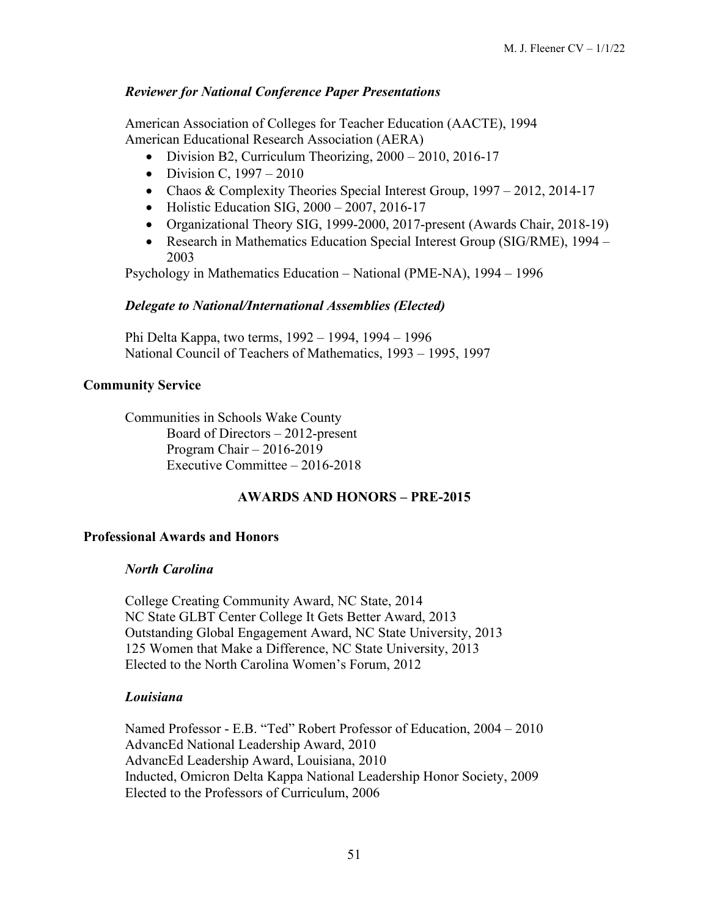## *Reviewer for National Conference Paper Presentations*

American Association of Colleges for Teacher Education (AACTE), 1994 American Educational Research Association (AERA)

- Division B2, Curriculum Theorizing,  $2000 2010$ ,  $2016-17$
- Division C,  $1997 2010$
- Chaos & Complexity Theories Special Interest Group, 1997 2012, 2014-17
- Holistic Education SIG,  $2000 2007$ ,  $2016-17$
- Organizational Theory SIG, 1999-2000, 2017-present (Awards Chair, 2018-19)
- Research in Mathematics Education Special Interest Group (SIG/RME), 1994 2003

Psychology in Mathematics Education – National (PME-NA), 1994 – 1996

#### *Delegate to National/International Assemblies (Elected)*

Phi Delta Kappa, two terms, 1992 – 1994, 1994 – 1996 National Council of Teachers of Mathematics, 1993 – 1995, 1997

### **Community Service**

Communities in Schools Wake County Board of Directors – 2012-present Program Chair – 2016-2019 Executive Committee – 2016-2018

### **AWARDS AND HONORS – PRE-2015**

### **Professional Awards and Honors**

#### *North Carolina*

College Creating Community Award, NC State, 2014 NC State GLBT Center College It Gets Better Award, 2013 Outstanding Global Engagement Award, NC State University, 2013 125 Women that Make a Difference, NC State University, 2013 Elected to the North Carolina Women's Forum, 2012

### *Louisiana*

Named Professor - E.B. "Ted" Robert Professor of Education, 2004 – 2010 AdvancEd National Leadership Award, 2010 AdvancEd Leadership Award, Louisiana, 2010 Inducted, Omicron Delta Kappa National Leadership Honor Society, 2009 Elected to the Professors of Curriculum, 2006